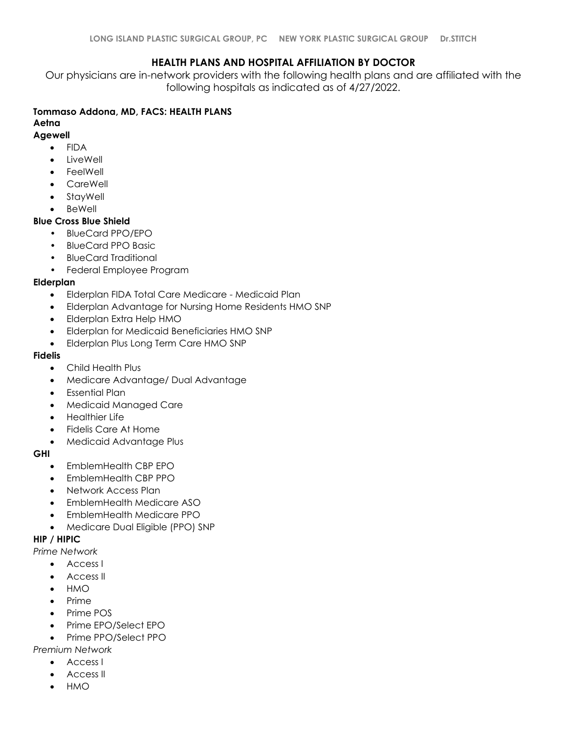## **HEALTH PLANS AND HOSPITAL AFFILIATION BY DOCTOR**

Our physicians are in-network providers with the following health plans and are affiliated with the following hospitals as indicated as of 4/27/2022.

## **Tommaso Addona, MD, FACS: HEALTH PLANS**

# **Aetna**

- **Agewell** • FIDA
	- LiveWell
	- **FeelWell**
	- CareWell
	- StayWell
	- **BeWell**

## **Blue Cross Blue Shield**

- BlueCard PPO/EPO
- BlueCard PPO Basic
- BlueCard Traditional
- Federal Employee Program

## **Elderplan**

- Elderplan FIDA Total Care Medicare Medicaid Plan
- Elderplan Advantage for Nursing Home Residents HMO SNP
- Elderplan Extra Help HMO
- Elderplan for Medicaid Beneficiaries HMO SNP
- Elderplan Plus Long Term Care HMO SNP

### **Fidelis**

- Child Health Plus
- Medicare Advantage/ Dual Advantage
- Essential Plan
- Medicaid Managed Care
- Healthier Life
- Fidelis Care At Home
- Medicaid Advantage Plus

### **GHI**

- EmblemHealth CBP EPO
- EmblemHealth CBP PPO
- Network Access Plan
- EmblemHealth Medicare ASO
- EmblemHealth Medicare PPO
- Medicare Dual Eligible (PPO) SNP

## **HIP / HIPIC**

*Prime Network*

- Access I
- Access II
- HMO
- Prime
- Prime POS
- Prime EPO/Select EPO
- Prime PPO/Select PPO

## *Premium Network*

- Access I
- Access II
- HMO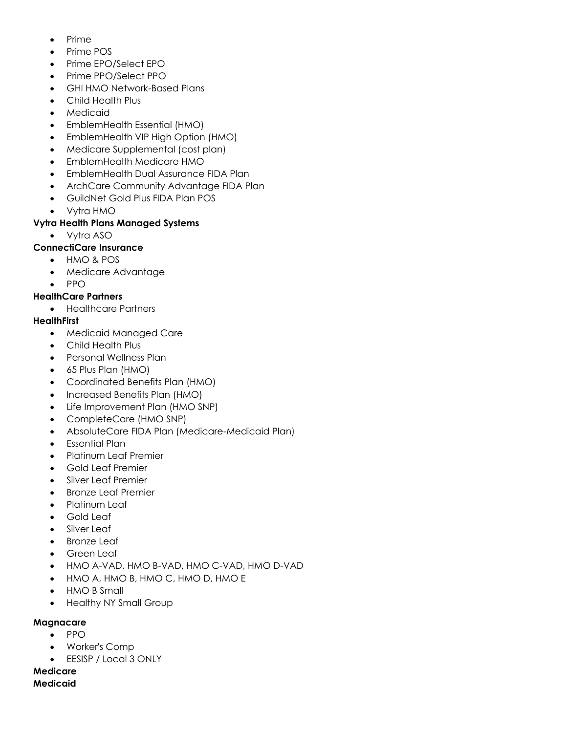- Prime
- Prime POS
- Prime EPO/Select EPO
- Prime PPO/Select PPO
- GHI HMO Network-Based Plans
- Child Health Plus
- **Medicaid**
- EmblemHealth Essential (HMO)
- EmblemHealth VIP High Option (HMO)
- Medicare Supplemental (cost plan)
- EmblemHealth Medicare HMO
- EmblemHealth Dual Assurance FIDA Plan
- ArchCare Community Advantage FIDA Plan
- GuildNet Gold Plus FIDA Plan POS
- Vytra HMO

## **Vytra Health Plans Managed Systems**

• Vytra ASO

## **ConnectiCare Insurance**

- HMO & POS
- Medicare Advantage
- PPO

## **HealthCare Partners**

• Healthcare Partners

## **HealthFirst**

- Medicaid Managed Care
- Child Health Plus
- Personal Wellness Plan
- 65 Plus Plan (HMO)
- Coordinated Benefits Plan (HMO)
- Increased Benefits Plan (HMO)
- Life Improvement Plan (HMO SNP)
- CompleteCare (HMO SNP)
- AbsoluteCare FIDA Plan (Medicare-Medicaid Plan)
- Essential Plan
- Platinum Leaf Premier
- Gold Leaf Premier
- Silver Leaf Premier
- Bronze Leaf Premier
- Platinum Leaf
- Gold Leaf
- Silver Leaf
- **Bronze Leaf**
- Green Leaf
- HMO A-VAD, HMO B-VAD, HMO C-VAD, HMO D-VAD
- HMO A, HMO B, HMO C, HMO D, HMO E
- HMO B Small
- Healthy NY Small Group

### **Magnacare**

- PPO
- Worker's Comp
- EESISP / Local 3 ONLY

# **Medicare**

**Medicaid**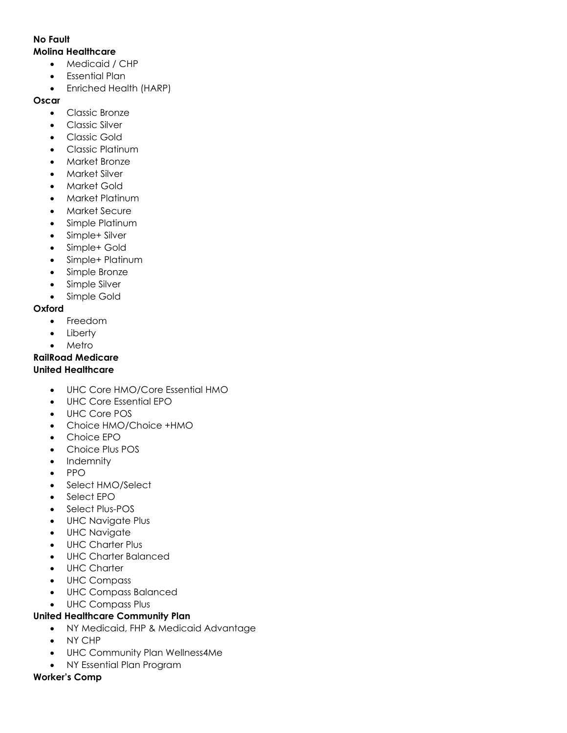### **No Fault**

# **Molina Healthcare**

- Medicaid / CHP
- Essential Plan
- Enriched Health (HARP)

# **Oscar**

- Classic Bronze
- Classic Silver
- Classic Gold
- Classic Platinum
- Market Bronze
- Market Silver
- Market Gold
- Market Platinum
- Market Secure
- Simple Platinum
- Simple+ Silver
- Simple+ Gold
- Simple+ Platinum
- Simple Bronze
- Simple Silver
- Simple Gold

## **Oxford**

- Freedom
- Liberty
- **Metro**

# **RailRoad Medicare**

## **United Healthcare**

- UHC Core HMO/Core Essential HMO
- UHC Core Essential EPO
- UHC Core POS
- Choice HMO/Choice +HMO
- Choice EPO
- Choice Plus POS
- Indemnity
- PPO
- Select HMO/Select
- Select EPO
- Select Plus-POS
- UHC Navigate Plus
- UHC Navigate
- UHC Charter Plus
- UHC Charter Balanced
- UHC Charter
- UHC Compass
- UHC Compass Balanced
- UHC Compass Plus

## **United Healthcare Community Plan**

- NY Medicaid, FHP & Medicaid Advantage
- NY CHP
- UHC Community Plan Wellness4Me
- NY Essential Plan Program

# **Worker's Comp**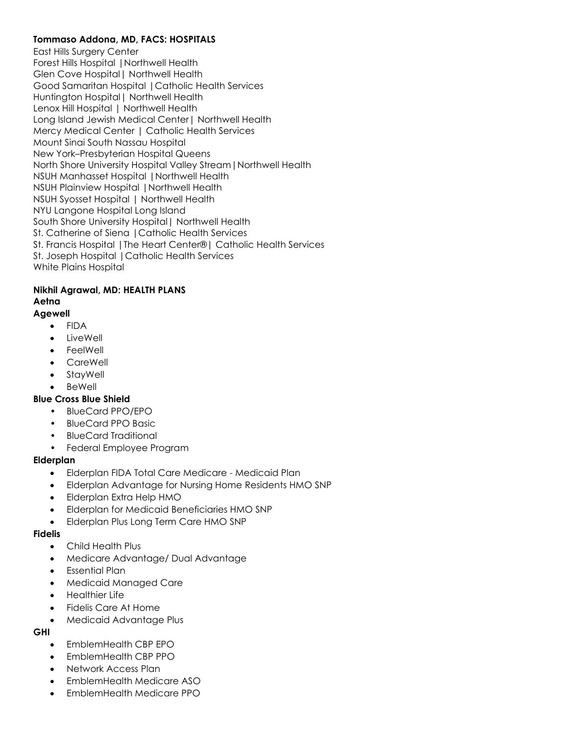## **Tommaso Addona, MD, FACS: HOSPITALS**

East Hills Surgery Center Forest Hills Hospital |Northwell Health Glen Cove Hospital| Northwell Health Good Samaritan Hospital |Catholic Health Services Huntington Hospital| Northwell Health Lenox Hill Hospital | Northwell Health Long Island Jewish Medical Center| Northwell Health Mercy Medical Center | Catholic Health Services Mount Sinai South Nassau Hospital New York–Presbyterian Hospital Queens North Shore University Hospital Valley Stream|Northwell Health NSUH Manhasset Hospital |Northwell Health NSUH Plainview Hospital |Northwell Health NSUH Syosset Hospital | Northwell Health NYU Langone Hospital Long Island South Shore University Hospital| Northwell Health St. Catherine of Siena |Catholic Health Services St. Francis Hospital |The Heart Center®| Catholic Health Services St. Joseph Hospital | Catholic Health Services White Plains Hospital

## **Nikhil Agrawal, MD: HEALTH PLANS Aetna**

## **Agewell**

- FIDA
- LiveWell
- FeelWell
- CareWell
- StayWell
- BeWell

### **Blue Cross Blue Shield**

- BlueCard PPO/EPO
- BlueCard PPO Basic
- BlueCard Traditional
- Federal Employee Program

### **Elderplan**

- Elderplan FIDA Total Care Medicare Medicaid Plan
- Elderplan Advantage for Nursing Home Residents HMO SNP
- Elderplan Extra Help HMO
- Elderplan for Medicaid Beneficiaries HMO SNP
- Elderplan Plus Long Term Care HMO SNP

#### **Fidelis**

- Child Health Plus
- Medicare Advantage/ Dual Advantage
- Essential Plan
- Medicaid Managed Care
- Healthier Life
- Fidelis Care At Home
- Medicaid Advantage Plus

### **GHI**

- EmblemHealth CBP EPO
- EmblemHealth CBP PPO
- Network Access Plan
- EmblemHealth Medicare ASO
- EmblemHealth Medicare PPO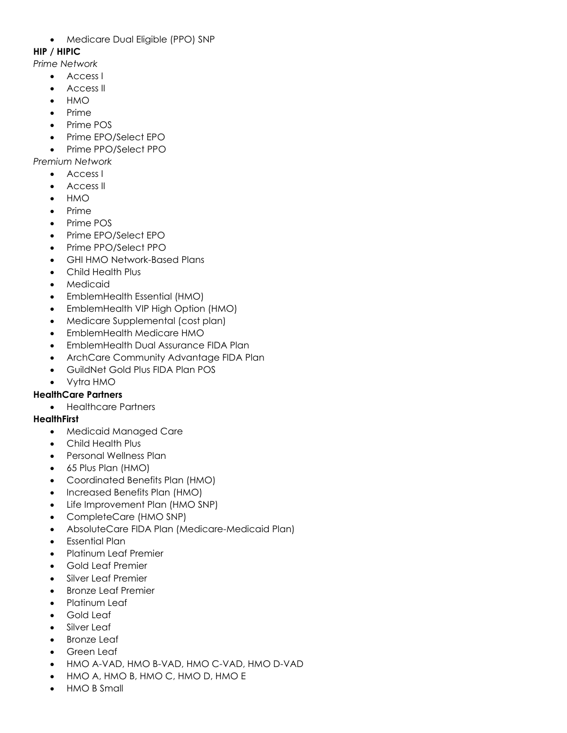• Medicare Dual Eligible (PPO) SNP

## **HIP / HIPIC**

*Prime Network*

- Access I
- Access II
- HMO
- Prime
- Prime POS
- Prime EPO/Select EPO
- Prime PPO/Select PPO

*Premium Network*

- Access I
- Access II
- HMO
- Prime
- Prime POS
- Prime EPO/Select EPO
- Prime PPO/Select PPO
- GHI HMO Network-Based Plans
- Child Health Plus
- **Medicaid**
- EmblemHealth Essential (HMO)
- EmblemHealth VIP High Option (HMO)
- Medicare Supplemental (cost plan)
- EmblemHealth Medicare HMO
- EmblemHealth Dual Assurance FIDA Plan
- ArchCare Community Advantage FIDA Plan
- GuildNet Gold Plus FIDA Plan POS
- Vytra HMO

# **HealthCare Partners**

• Healthcare Partners

# **HealthFirst**

- Medicaid Managed Care
- Child Health Plus
- Personal Wellness Plan
- 65 Plus Plan (HMO)
- Coordinated Benefits Plan (HMO)
- Increased Benefits Plan (HMO)
- Life Improvement Plan (HMO SNP)
- CompleteCare (HMO SNP)
- AbsoluteCare FIDA Plan (Medicare-Medicaid Plan)
- Essential Plan
- Platinum Leaf Premier
- Gold Leaf Premier
- Silver Leaf Premier
- Bronze Leaf Premier
- Platinum Leaf
- Gold Leaf
- Silver Leaf
- Bronze Leaf
- Green Leaf
- HMO A-VAD, HMO B-VAD, HMO C-VAD, HMO D-VAD
- HMO A, HMO B, HMO C, HMO D, HMO E
- HMO B Small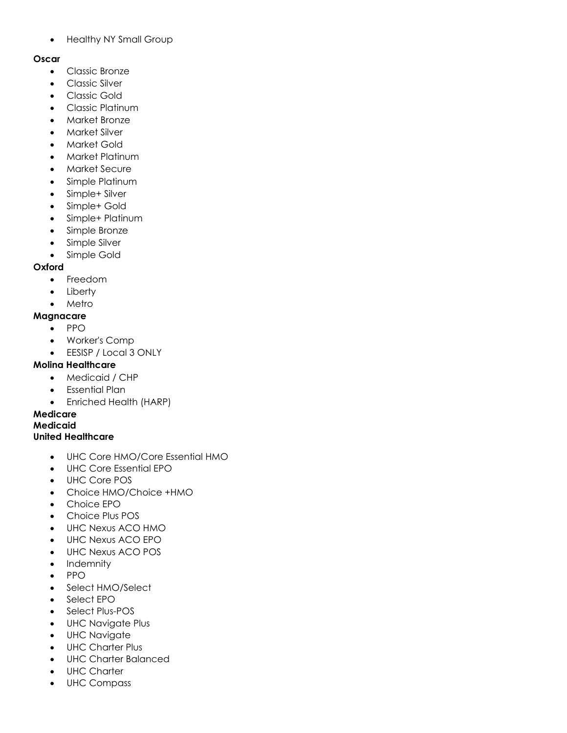• Healthy NY Small Group

#### **Oscar**

- Classic Bronze
- Classic Silver
- Classic Gold
- Classic Platinum
- Market Bronze
- Market Silver
- Market Gold
- Market Platinum
- Market Secure
- Simple Platinum
- Simple+ Silver
- Simple+ Gold
- Simple+ Platinum
- Simple Bronze
- Simple Silver
- Simple Gold

#### **Oxford**

- Freedom
- Liberty
- Metro

#### **Magnacare**

- PPO
- Worker's Comp
- EESISP / Local 3 ONLY

### **Molina Healthcare**

- Medicaid / CHP
- Essential Plan
- Enriched Health (HARP)

## **Medicare**

# **Medicaid**

## **United Healthcare**

- UHC Core HMO/Core Essential HMO
- UHC Core Essential EPO
- UHC Core POS
- Choice HMO/Choice +HMO
- Choice EPO
- Choice Plus POS
- UHC Nexus ACO HMO
- UHC Nexus ACO EPO
- UHC Nexus ACO POS
- Indemnity
- PPO
- Select HMO/Select
- Select EPO
- Select Plus-POS
- UHC Navigate Plus
- UHC Navigate
- UHC Charter Plus
- UHC Charter Balanced
- UHC Charter
- UHC Compass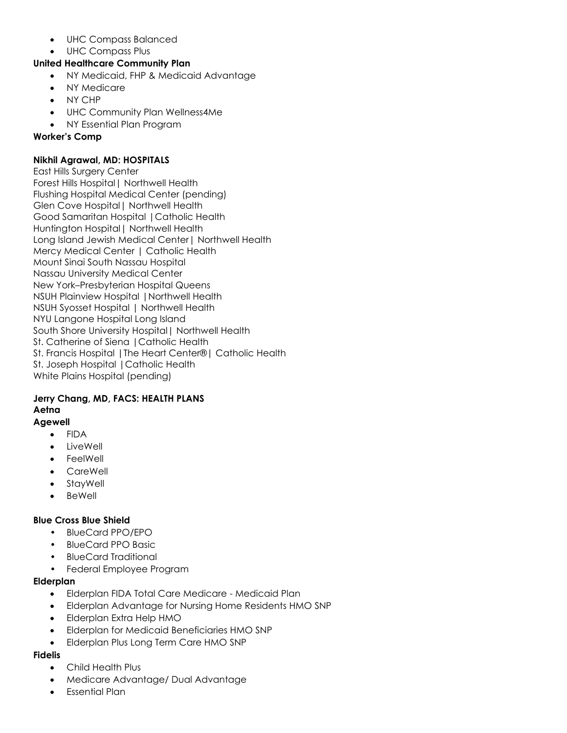- UHC Compass Balanced
- UHC Compass Plus

## **United Healthcare Community Plan**

- NY Medicaid, FHP & Medicaid Advantage
- NY Medicare
- NY CHP
- UHC Community Plan Wellness4Me
- NY Essential Plan Program

### **Worker's Comp**

### **Nikhil Agrawal, MD: HOSPITALS**

East Hills Surgery Center Forest Hills Hospital| Northwell Health Flushing Hospital Medical Center (pending) Glen Cove Hospital| Northwell Health Good Samaritan Hospital |Catholic Health Huntington Hospital| Northwell Health Long Island Jewish Medical Center| Northwell Health Mercy Medical Center | Catholic Health Mount Sinai South Nassau Hospital Nassau University Medical Center New York–Presbyterian Hospital Queens NSUH Plainview Hospital |Northwell Health NSUH Syosset Hospital | Northwell Health NYU Langone Hospital Long Island South Shore University Hospital| Northwell Health St. Catherine of Siena |Catholic Health St. Francis Hospital |The Heart Center®| Catholic Health St. Joseph Hospital |Catholic Health White Plains Hospital (pending)

#### **Jerry Chang, MD, FACS: HEALTH PLANS Aetna Agewell**

- FIDA
- LiveWell
- **FeelWell**
- CareWell
- **StayWell**
- BeWell

## **Blue Cross Blue Shield**

- BlueCard PPO/EPO
- BlueCard PPO Basic
- BlueCard Traditional
- Federal Employee Program

## **Elderplan**

- Elderplan FIDA Total Care Medicare Medicaid Plan
- Elderplan Advantage for Nursing Home Residents HMO SNP
- Elderplan Extra Help HMO
- Elderplan for Medicaid Beneficiaries HMO SNP
- Elderplan Plus Long Term Care HMO SNP

### **Fidelis**

- Child Health Plus
- Medicare Advantage/ Dual Advantage
- Essential Plan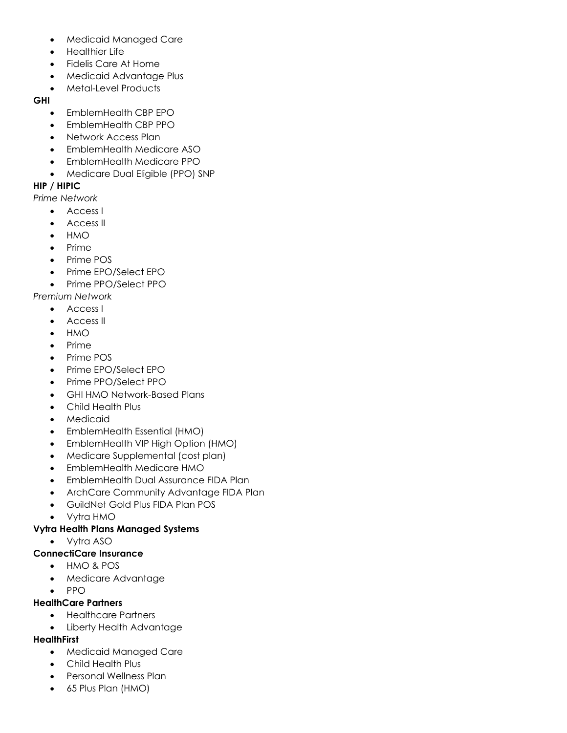- Medicaid Managed Care
- Healthier Life
- Fidelis Care At Home
- Medicaid Advantage Plus
- Metal-Level Products

#### **GHI**

- EmblemHealth CBP EPO
- EmblemHealth CBP PPO
- Network Access Plan
- EmblemHealth Medicare ASO
- EmblemHealth Medicare PPO
- Medicare Dual Eligible (PPO) SNP

### **HIP / HIPIC**

*Prime Network*

- Access I
- Access II
- HMO
- Prime
- Prime POS
- Prime EPO/Select EPO
- Prime PPO/Select PPO

*Premium Network*

- Access I
- Access II
- HMO
- Prime
- Prime POS
- Prime EPO/Select EPO
- Prime PPO/Select PPO
- GHI HMO Network-Based Plans
- Child Health Plus
- **Medicaid**
- EmblemHealth Essential (HMO)
- EmblemHealth VIP High Option (HMO)
- Medicare Supplemental (cost plan)
- EmblemHealth Medicare HMO
- EmblemHealth Dual Assurance FIDA Plan
- ArchCare Community Advantage FIDA Plan
- GuildNet Gold Plus FIDA Plan POS
- Vytra HMO

### **Vytra Health Plans Managed Systems**

• Vytra ASO

### **ConnectiCare Insurance**

- HMO & POS
- Medicare Advantage
- PPO

### **HealthCare Partners**

- Healthcare Partners
- Liberty Health Advantage

### **HealthFirst**

- Medicaid Managed Care
- Child Health Plus
- Personal Wellness Plan
- 65 Plus Plan (HMO)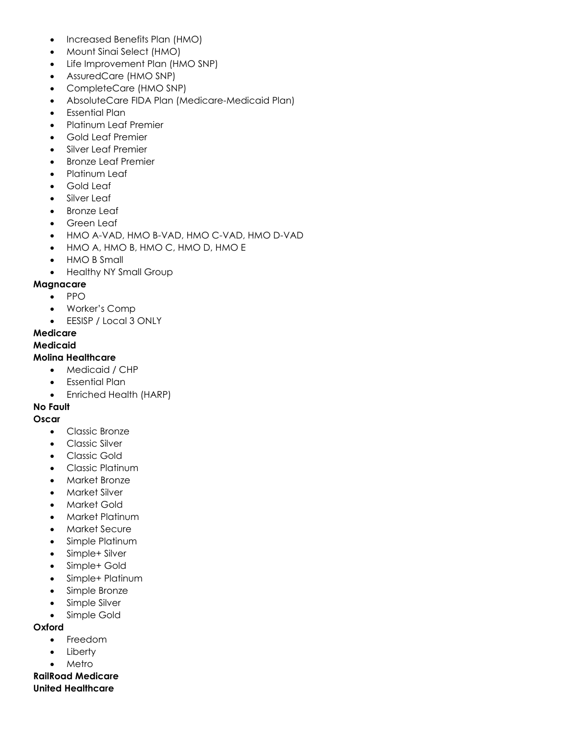- Increased Benefits Plan (HMO)
- Mount Sinai Select (HMO)
- Life Improvement Plan (HMO SNP)
- AssuredCare (HMO SNP)
- CompleteCare (HMO SNP)
- AbsoluteCare FIDA Plan (Medicare-Medicaid Plan)
- Essential Plan
- Platinum Leaf Premier
- Gold Leaf Premier
- Silver Leaf Premier
- Bronze Leaf Premier
- Platinum Leaf
- Gold Leaf
- Silver Leaf
- Bronze Leaf
- Green Leaf
- HMO A-VAD, HMO B-VAD, HMO C-VAD, HMO D-VAD
- HMO A, HMO B, HMO C, HMO D, HMO E
- HMO B Small
- Healthy NY Small Group

#### **Magnacare**

- PPO
- Worker's Comp
- EESISP / Local 3 ONLY

#### **Medicare**

#### **Medicaid**

#### **Molina Healthcare**

- Medicaid / CHP
- Essential Plan
- Enriched Health (HARP)

### **No Fault**

### **Oscar**

- Classic Bronze
- Classic Silver
- Classic Gold
- Classic Platinum
- Market Bronze
- Market Silver
- Market Gold
- Market Platinum
- Market Secure
- Simple Platinum
- Simple+ Silver
- Simple+ Gold
- Simple+ Platinum
- Simple Bronze
- Simple Silver
- Simple Gold

#### **Oxford**

- Freedom
- **Liberty**
- Metro

**RailRoad Medicare United Healthcare**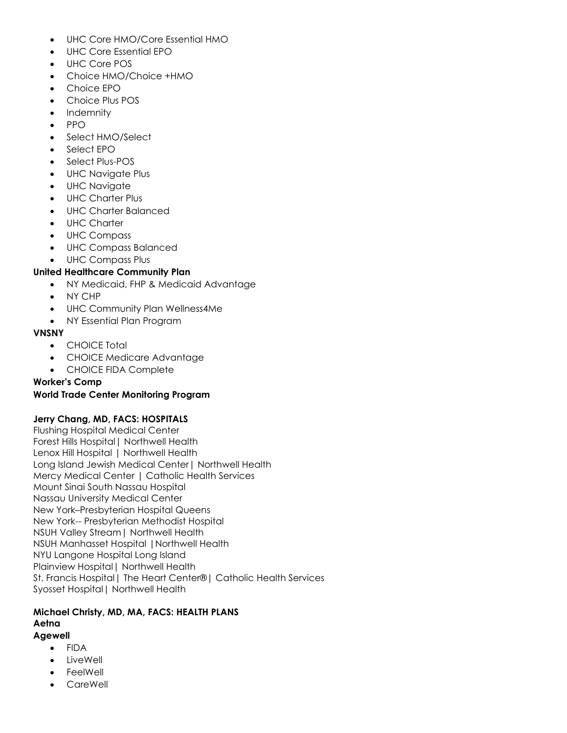- UHC Core HMO/Core Essential HMO
- UHC Core Essential EPO
- UHC Core POS
- Choice HMO/Choice +HMO
- Choice EPO
- Choice Plus POS
- **Indemnity**
- PPO
- Select HMO/Select
- Select EPO
- Select Plus-POS
- UHC Navigate Plus
- UHC Navigate
- UHC Charter Plus
- UHC Charter Balanced
- UHC Charter
- UHC Compass
- UHC Compass Balanced
- UHC Compass Plus

## **United Healthcare Community Plan**

- NY Medicaid, FHP & Medicaid Advantage
- NY CHP
- UHC Community Plan Wellness4Me
- NY Essential Plan Program

### **VNSNY**

- CHOICE Total
- CHOICE Medicare Advantage
- CHOICE FIDA Complete

## **Worker's Comp**

### **World Trade Center Monitoring Program**

### **Jerry Chang, MD, FACS: HOSPITALS**

Flushing Hospital Medical Center Forest Hills Hospital| Northwell Health Lenox Hill Hospital | Northwell Health Long Island Jewish Medical Center| Northwell Health Mercy Medical Center | Catholic Health Services Mount Sinai South Nassau Hospital Nassau University Medical Center New York–Presbyterian Hospital Queens New York-- Presbyterian Methodist Hospital NSUH Valley Stream| Northwell Health NSUH Manhasset Hospital |Northwell Health NYU Langone Hospital Long Island Plainview Hospital | Northwell Health St. Francis Hospital| The Heart Center®| Catholic Health Services Syosset Hospital| Northwell Health

#### **Michael Christy, MD, MA, FACS: HEALTH PLANS Aetna Agewell**

- FIDA
	- **LiveWell**
	- FeelWell
	- CareWell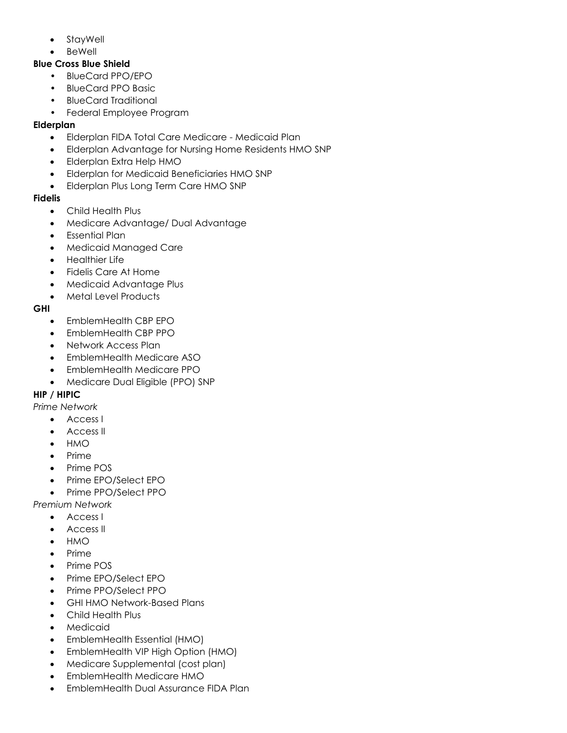- StayWell
- **BeWell**

## **Blue Cross Blue Shield**

- BlueCard PPO/EPO
- BlueCard PPO Basic
- BlueCard Traditional
- Federal Employee Program

# **Elderplan**

- Elderplan FIDA Total Care Medicare Medicaid Plan
- Elderplan Advantage for Nursing Home Residents HMO SNP
- Elderplan Extra Help HMO
- Elderplan for Medicaid Beneficiaries HMO SNP
- Elderplan Plus Long Term Care HMO SNP

# **Fidelis**

- Child Health Plus
- Medicare Advantage/ Dual Advantage
- Essential Plan
- Medicaid Managed Care
- Healthier Life
- Fidelis Care At Home
- Medicaid Advantage Plus
- Metal Level Products

# **GHI**

- EmblemHealth CBP EPO
- EmblemHealth CBP PPO
- Network Access Plan
- EmblemHealth Medicare ASO
- EmblemHealth Medicare PPO
- Medicare Dual Eligible (PPO) SNP

# **HIP / HIPIC**

- *Prime Network*
	- Access I
	- Access II
	- HMO
	- Prime
	- Prime POS
	- Prime EPO/Select EPO
	- Prime PPO/Select PPO

*Premium Network*

- Access I
- Access II
- HMO
- Prime
- Prime POS
- Prime EPO/Select EPO
- Prime PPO/Select PPO
- GHI HMO Network-Based Plans
- Child Health Plus
- **Medicaid**
- EmblemHealth Essential (HMO)
- EmblemHealth VIP High Option (HMO)
- Medicare Supplemental (cost plan)
- EmblemHealth Medicare HMO
- EmblemHealth Dual Assurance FIDA Plan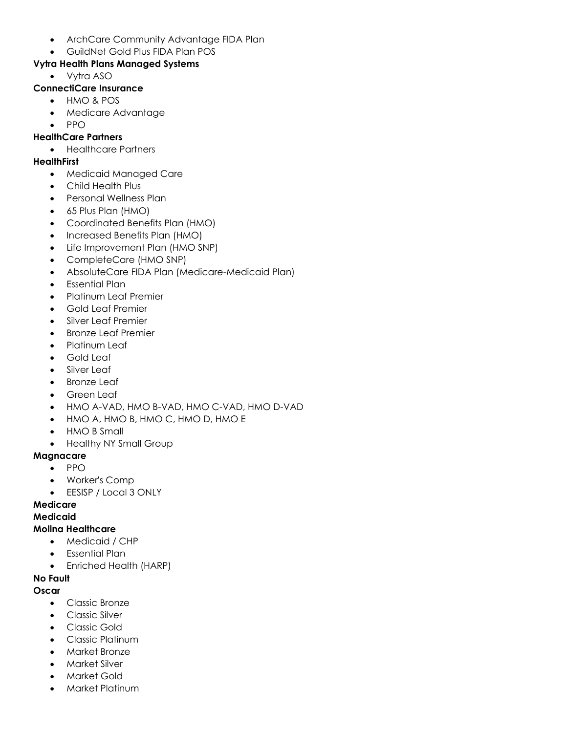- ArchCare Community Advantage FIDA Plan
- GuildNet Gold Plus FIDA Plan POS

# **Vytra Health Plans Managed Systems**

- Vytra ASO
- **ConnectiCare Insurance**
	- HMO & POS
	- Medicare Advantage
	- PPO

# **HealthCare Partners**

• Healthcare Partners

# **HealthFirst**

- Medicaid Managed Care
- Child Health Plus
- Personal Wellness Plan
- 65 Plus Plan (HMO)
- Coordinated Benefits Plan (HMO)
- Increased Benefits Plan (HMO)
- Life Improvement Plan (HMO SNP)
- CompleteCare (HMO SNP)
- AbsoluteCare FIDA Plan (Medicare-Medicaid Plan)
- Essential Plan
- Platinum Leaf Premier
- Gold Leaf Premier
- Silver Leaf Premier
- Bronze Leaf Premier
- Platinum Leaf
- Gold Leaf
- Silver Leaf
- **Bronze Leaf**
- Green Leaf
- HMO A-VAD, HMO B-VAD, HMO C-VAD, HMO D-VAD
- HMO A, HMO B, HMO C, HMO D, HMO E
- HMO B Small
- Healthy NY Small Group

# **Magnacare**

- PPO
- Worker's Comp
- EESISP / Local 3 ONLY

# **Medicare**

# **Medicaid**

## **Molina Healthcare**

- Medicaid / CHP
- Essential Plan
- Enriched Health (HARP)

# **No Fault**

# **Oscar**

- Classic Bronze
- Classic Silver
- Classic Gold
- Classic Platinum
- Market Bronze
- Market Silver
- Market Gold
- Market Platinum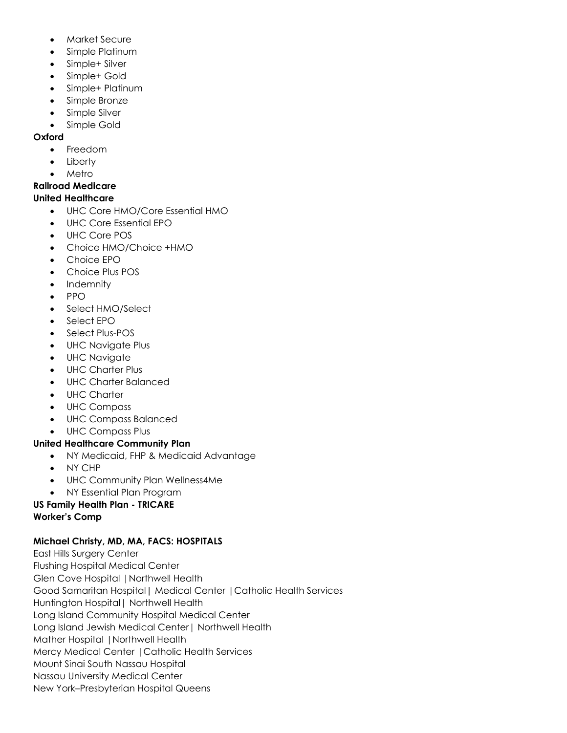- Market Secure
- Simple Platinum
- Simple+ Silver
- Simple+ Gold
- Simple+ Platinum
- Simple Bronze
- Simple Silver
- Simple Gold

## **Oxford**

- Freedom
- **Liberty**
- Metro

# **Railroad Medicare**

## **United Healthcare**

- UHC Core HMO/Core Essential HMO
- UHC Core Essential EPO
- UHC Core POS
- Choice HMO/Choice +HMO
- Choice EPO
- Choice Plus POS
- Indemnity
- PPO
- Select HMO/Select
- Select EPO
- Select Plus-POS
- UHC Navigate Plus
- UHC Navigate
- UHC Charter Plus
- UHC Charter Balanced
- UHC Charter
- UHC Compass
- UHC Compass Balanced
- UHC Compass Plus

## **United Healthcare Community Plan**

- NY Medicaid, FHP & Medicaid Advantage
- NY CHP
- UHC Community Plan Wellness4Me
- NY Essential Plan Program

## **US Family Health Plan - TRICARE Worker's Comp**

## **Michael Christy, MD, MA, FACS: HOSPITALS**

East Hills Surgery Center Flushing Hospital Medical Center Glen Cove Hospital |Northwell Health Good Samaritan Hospital| Medical Center |Catholic Health Services Huntington Hospital| Northwell Health Long Island Community Hospital Medical Center Long Island Jewish Medical Center| Northwell Health Mather Hospital |Northwell Health Mercy Medical Center |Catholic Health Services Mount Sinai South Nassau Hospital Nassau University Medical Center New York–Presbyterian Hospital Queens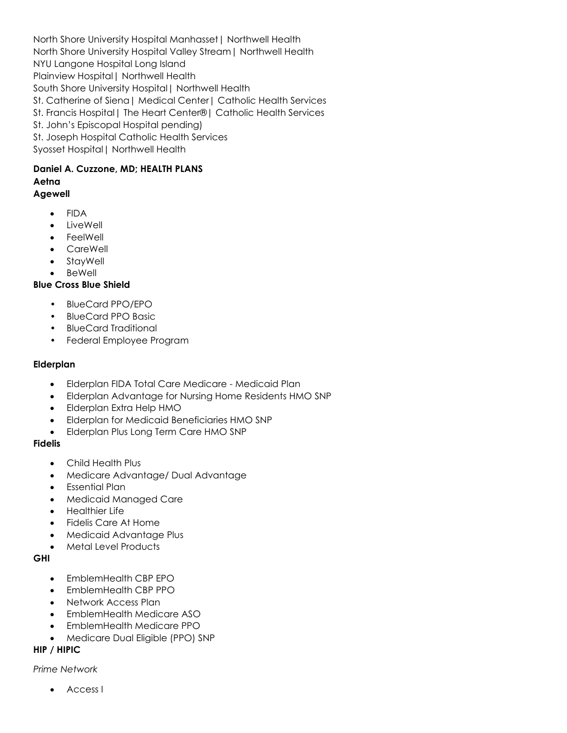North Shore University Hospital Manhasset| Northwell Health North Shore University Hospital Valley Stream| Northwell Health NYU Langone Hospital Long Island Plainview Hospital| Northwell Health South Shore University Hospital| Northwell Health St. Catherine of Siena| Medical Center| Catholic Health Services St. Francis Hospital| The Heart Center®| Catholic Health Services St. John's Episcopal Hospital pending) St. Joseph Hospital Catholic Health Services Syosset Hospital| Northwell Health

#### **Daniel A. Cuzzone, MD; HEALTH PLANS Aetna Agewell**

- FIDA
- **LiveWell**
- FeelWell
- CareWell
- StayWell
- **BeWell**

#### **Blue Cross Blue Shield**

- BlueCard PPO/EPO
- BlueCard PPO Basic
- BlueCard Traditional
- Federal Employee Program

#### **Elderplan**

- Elderplan FIDA Total Care Medicare Medicaid Plan
- Elderplan Advantage for Nursing Home Residents HMO SNP
- Elderplan Extra Help HMO
- Elderplan for Medicaid Beneficiaries HMO SNP
- Elderplan Plus Long Term Care HMO SNP

### **Fidelis**

- Child Health Plus
- Medicare Advantage/ Dual Advantage
- Essential Plan
- Medicaid Managed Care
- Healthier Life
- Fidelis Care At Home
- Medicaid Advantage Plus
- Metal Level Products

#### **GHI**

- EmblemHealth CBP EPO
- EmblemHealth CBP PPO
- Network Access Plan
- EmblemHealth Medicare ASO
- EmblemHealth Medicare PPO
- Medicare Dual Eligible (PPO) SNP

### **HIP / HIPIC**

#### *Prime Network*

• Access I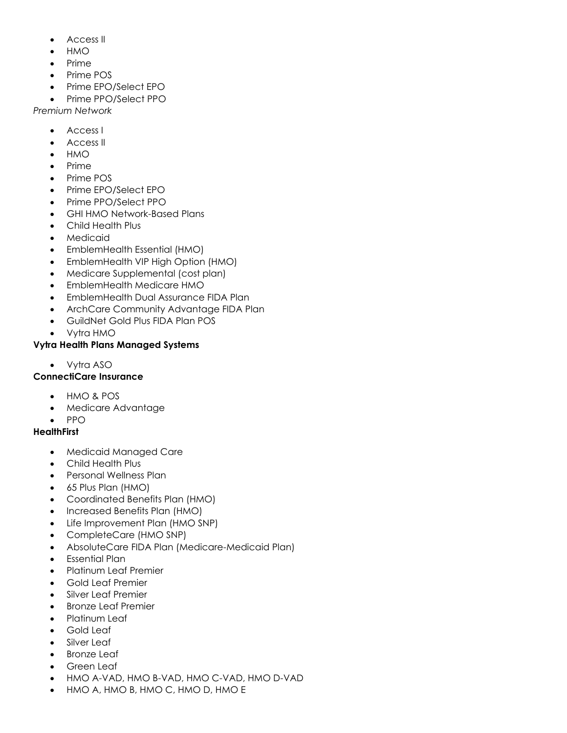- Access II
- HMO
- Prime
- Prime POS
- Prime EPO/Select EPO
- Prime PPO/Select PPO

*Premium Network*

- Access I
- Access II
- HMO
- Prime
- Prime POS
- Prime EPO/Select EPO
- Prime PPO/Select PPO
- GHI HMO Network-Based Plans
- Child Health Plus
- Medicaid
- EmblemHealth Essential (HMO)
- EmblemHealth VIP High Option (HMO)
- Medicare Supplemental (cost plan)
- EmblemHealth Medicare HMO
- EmblemHealth Dual Assurance FIDA Plan
- ArchCare Community Advantage FIDA Plan
- GuildNet Gold Plus FIDA Plan POS
- Vytra HMO

#### **Vytra Health Plans Managed Systems**

• Vytra ASO

### **ConnectiCare Insurance**

- HMO & POS
- Medicare Advantage
- PPO

### **HealthFirst**

- Medicaid Managed Care
- Child Health Plus
- Personal Wellness Plan
- 65 Plus Plan (HMO)
- Coordinated Benefits Plan (HMO)
- Increased Benefits Plan (HMO)
- Life Improvement Plan (HMO SNP)
- CompleteCare (HMO SNP)
- AbsoluteCare FIDA Plan (Medicare-Medicaid Plan)
- Essential Plan
- Platinum Leaf Premier
- Gold Leaf Premier
- Silver Leaf Premier
- Bronze Leaf Premier
- Platinum Leaf
- Gold Leaf
- Silver Leaf
- **Bronze Leaf**
- **Green Leaf**
- HMO A-VAD, HMO B-VAD, HMO C-VAD, HMO D-VAD
- HMO A, HMO B, HMO C, HMO D, HMO E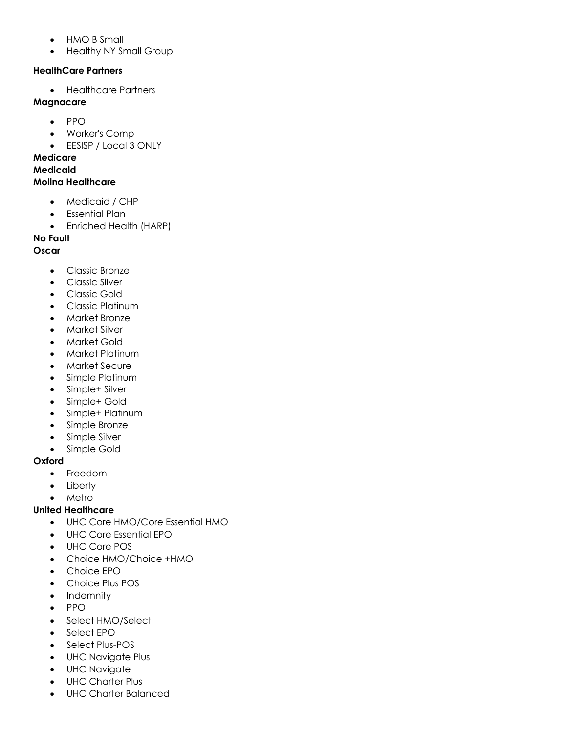- HMO B Small
- Healthy NY Small Group

### **HealthCare Partners**

• Healthcare Partners

## **Magnacare**

- PPO
- Worker's Comp
- EESISP / Local 3 ONLY

## **Medicare**

# **Medicaid**

## **Molina Healthcare**

- Medicaid / CHP
- Essential Plan
- Enriched Health (HARP)

## **No Fault**

## **Oscar**

- Classic Bronze
- Classic Silver
- Classic Gold
- Classic Platinum
- Market Bronze
- Market Silver
- Market Gold
- Market Platinum
- Market Secure
- Simple Platinum
- Simple+ Silver
- Simple+ Gold
- Simple+ Platinum
- Simple Bronze
- Simple Silver
- Simple Gold

## **Oxford**

- Freedom
- Liberty
- Metro

## **United Healthcare**

- UHC Core HMO/Core Essential HMO
- UHC Core Essential EPO
- UHC Core POS
- Choice HMO/Choice +HMO
- Choice EPO
- Choice Plus POS
- Indemnity
- PPO
- Select HMO/Select
- Select EPO
- Select Plus-POS
- UHC Navigate Plus
- UHC Navigate
- UHC Charter Plus
- UHC Charter Balanced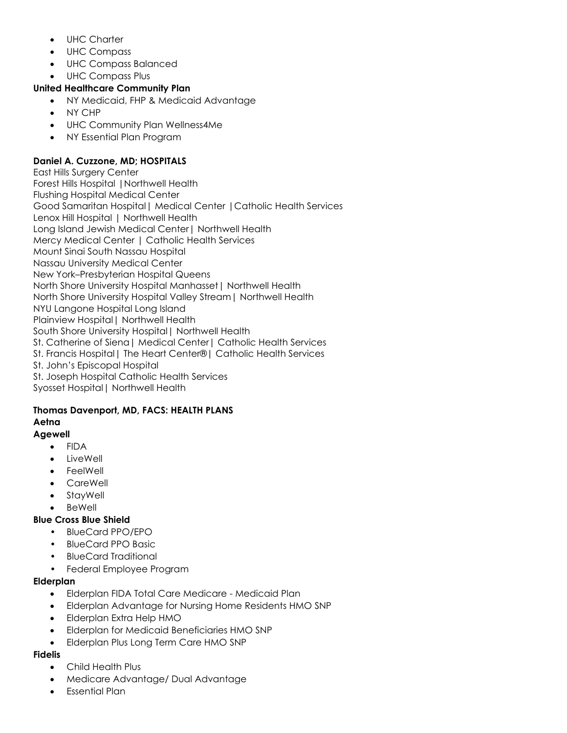- UHC Charter
- UHC Compass
- UHC Compass Balanced
- UHC Compass Plus

## **United Healthcare Community Plan**

- NY Medicaid, FHP & Medicaid Advantage
- NY CHP
- UHC Community Plan Wellness4Me
- NY Essential Plan Program

## **Daniel A. Cuzzone, MD; HOSPITALS**

East Hills Surgery Center Forest Hills Hospital |Northwell Health Flushing Hospital Medical Center Good Samaritan Hospital| Medical Center |Catholic Health Services Lenox Hill Hospital | Northwell Health Long Island Jewish Medical Center| Northwell Health Mercy Medical Center | Catholic Health Services Mount Sinai South Nassau Hospital Nassau University Medical Center New York–Presbyterian Hospital Queens North Shore University Hospital Manhasset| Northwell Health North Shore University Hospital Valley Stream| Northwell Health NYU Langone Hospital Long Island Plainview Hospital| Northwell Health South Shore University Hospital| Northwell Health St. Catherine of Siena| Medical Center| Catholic Health Services St. Francis Hospital| The Heart Center®| Catholic Health Services St. John's Episcopal Hospital St. Joseph Hospital Catholic Health Services Syosset Hospital| Northwell Health

## **Thomas Davenport, MD, FACS: HEALTH PLANS Aetna**

## **Agewell**

- FIDA
- **LiveWell**
- **FeelWell**
- **CareWell**
- **StayWell**
- **BeWell**

## **Blue Cross Blue Shield**

- BlueCard PPO/EPO
- BlueCard PPO Basic
- BlueCard Traditional
- Federal Employee Program

### **Elderplan**

- Elderplan FIDA Total Care Medicare Medicaid Plan
- Elderplan Advantage for Nursing Home Residents HMO SNP
- Elderplan Extra Help HMO
- Elderplan for Medicaid Beneficiaries HMO SNP
- Elderplan Plus Long Term Care HMO SNP

### **Fidelis**

- Child Health Plus
- Medicare Advantage/ Dual Advantage
- Essential Plan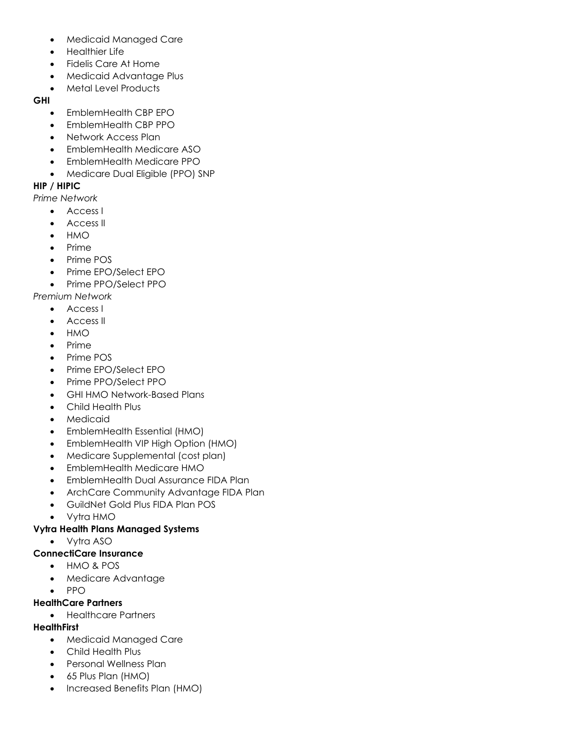- Medicaid Managed Care
- Healthier Life
- Fidelis Care At Home
- Medicaid Advantage Plus
- Metal Level Products

#### **GHI**

- EmblemHealth CBP EPO
- EmblemHealth CBP PPO
- Network Access Plan
- EmblemHealth Medicare ASO
- EmblemHealth Medicare PPO
- Medicare Dual Eligible (PPO) SNP

### **HIP / HIPIC**

*Prime Network*

- Access I
- Access II
- HMO
- Prime
- Prime POS
- Prime EPO/Select EPO
- Prime PPO/Select PPO

*Premium Network*

- Access I
- Access II
- HMO
- Prime
- Prime POS
- Prime EPO/Select EPO
- Prime PPO/Select PPO
- GHI HMO Network-Based Plans
- Child Health Plus
- **Medicaid**
- EmblemHealth Essential (HMO)
- EmblemHealth VIP High Option (HMO)
- Medicare Supplemental (cost plan)
- EmblemHealth Medicare HMO
- EmblemHealth Dual Assurance FIDA Plan
- ArchCare Community Advantage FIDA Plan
- GuildNet Gold Plus FIDA Plan POS
- Vytra HMO

### **Vytra Health Plans Managed Systems**

• Vytra ASO

### **ConnectiCare Insurance**

- HMO & POS
- Medicare Advantage
- PPO

### **HealthCare Partners**

• Healthcare Partners

### **HealthFirst**

- Medicaid Managed Care
- Child Health Plus
- Personal Wellness Plan
- 65 Plus Plan (HMO)
- Increased Benefits Plan (HMO)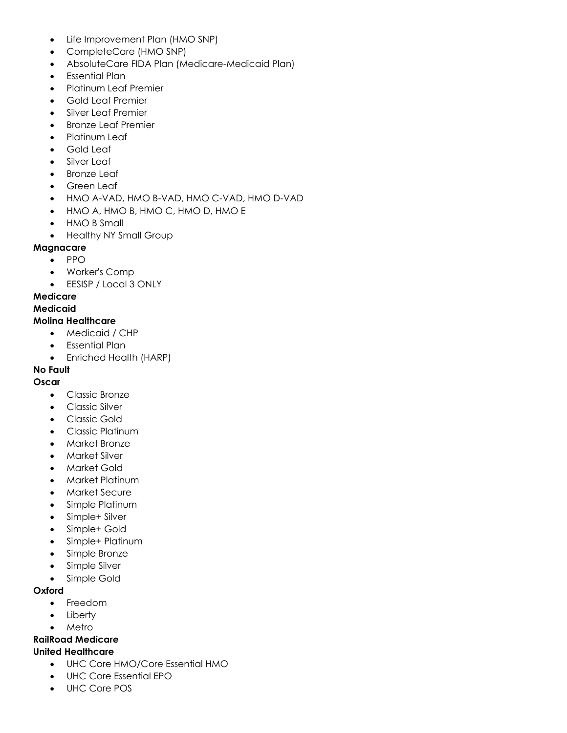- Life Improvement Plan (HMO SNP)
- CompleteCare (HMO SNP)
- AbsoluteCare FIDA Plan (Medicare-Medicaid Plan)
- Essential Plan
- Platinum Leaf Premier
- Gold Leaf Premier
- Silver Leaf Premier
- Bronze Leaf Premier
- Platinum Leaf
- Gold Leaf
- Silver Leaf
- **Bronze Leaf**
- Green Leaf
- HMO A-VAD, HMO B-VAD, HMO C-VAD, HMO D-VAD
- HMO A, HMO B, HMO C, HMO D, HMO E
- HMO B Small
- Healthy NY Small Group

#### **Magnacare**

- PPO
- Worker's Comp
- EESISP / Local 3 ONLY

#### **Medicare**

#### **Medicaid**

#### **Molina Healthcare**

- Medicaid / CHP
- Essential Plan
- Enriched Health (HARP)

### **No Fault**

#### **Oscar**

- Classic Bronze
- Classic Silver
- Classic Gold
- Classic Platinum
- Market Bronze
- Market Silver
- Market Gold
- Market Platinum
- Market Secure
- Simple Platinum
- Simple+ Silver
- Simple+ Gold
- Simple+ Platinum
- Simple Bronze
- Simple Silver
- Simple Gold

#### **Oxford**

- Freedom
- **Liberty**
- Metro

### **RailRoad Medicare**

### **United Healthcare**

- UHC Core HMO/Core Essential HMO
- UHC Core Essential EPO
- UHC Core POS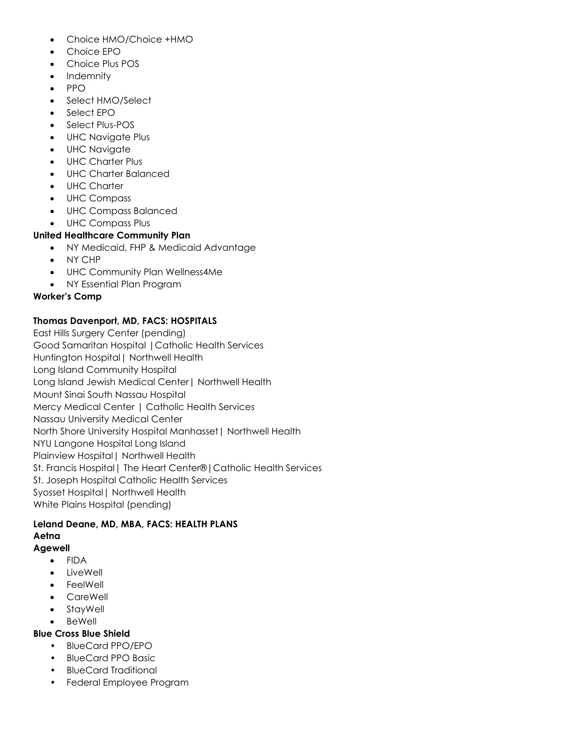- Choice HMO/Choice +HMO
- Choice EPO
- Choice Plus POS
- **Indemnity**
- PPO
- Select HMO/Select
- Select EPO
- Select Plus-POS
- UHC Navigate Plus
- UHC Navigate
- UHC Charter Plus
- UHC Charter Balanced
- UHC Charter
- UHC Compass
- UHC Compass Balanced
- UHC Compass Plus

#### **United Healthcare Community Plan**

- NY Medicaid, FHP & Medicaid Advantage
- NY CHP
- UHC Community Plan Wellness4Me
- NY Essential Plan Program

#### **Worker's Comp**

### **Thomas Davenport, MD, FACS: HOSPITALS**

East Hills Surgery Center (pending) Good Samaritan Hospital |Catholic Health Services Huntington Hospital| Northwell Health Long Island Community Hospital Long Island Jewish Medical Center| Northwell Health Mount Sinai South Nassau Hospital Mercy Medical Center | Catholic Health Services Nassau University Medical Center North Shore University Hospital Manhasset| Northwell Health NYU Langone Hospital Long Island Plainview Hospital| Northwell Health St. Francis Hospital| The Heart Center®|Catholic Health Services St. Joseph Hospital Catholic Health Services Syosset Hospital| Northwell Health White Plains Hospital (pending)

# **Leland Deane, MD, MBA, FACS: HEALTH PLANS Aetna**

# **Agewell**

- FIDA
- LiveWell
- FeelWell
- CareWell
- StayWell
- BeWell

# **Blue Cross Blue Shield**

- BlueCard PPO/EPO
- BlueCard PPO Basic
- BlueCard Traditional
- Federal Employee Program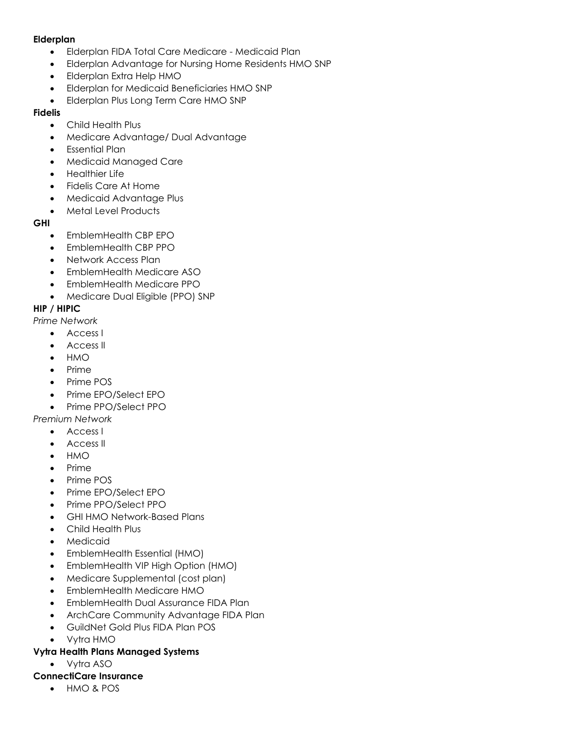#### **Elderplan**

- Elderplan FIDA Total Care Medicare Medicaid Plan
- Elderplan Advantage for Nursing Home Residents HMO SNP
- Elderplan Extra Help HMO
- Elderplan for Medicaid Beneficiaries HMO SNP
- Elderplan Plus Long Term Care HMO SNP

#### **Fidelis**

- Child Health Plus
- Medicare Advantage/ Dual Advantage
- Essential Plan
- Medicaid Managed Care
- Healthier Life
- Fidelis Care At Home
- Medicaid Advantage Plus
- Metal Level Products

#### **GHI**

- EmblemHealth CBP EPO
- EmblemHealth CBP PPO
- Network Access Plan
- EmblemHealth Medicare ASO
- EmblemHealth Medicare PPO
- Medicare Dual Eligible (PPO) SNP

### **HIP / HIPIC**

*Prime Network*

- Access I
- Access II
- HMO
- Prime
- Prime POS
- Prime EPO/Select EPO
- Prime PPO/Select PPO

### *Premium Network*

- Access I
- Access II
- HMO
- Prime
- Prime POS
- Prime EPO/Select EPO
- Prime PPO/Select PPO
- GHI HMO Network-Based Plans
- Child Health Plus
- **Medicaid**
- EmblemHealth Essential (HMO)
- EmblemHealth VIP High Option (HMO)
- Medicare Supplemental (cost plan)
- EmblemHealth Medicare HMO
- EmblemHealth Dual Assurance FIDA Plan
- ArchCare Community Advantage FIDA Plan
- GuildNet Gold Plus FIDA Plan POS
- Vytra HMO

### **Vytra Health Plans Managed Systems**

• Vytra ASO

## **ConnectiCare Insurance**

• HMO & POS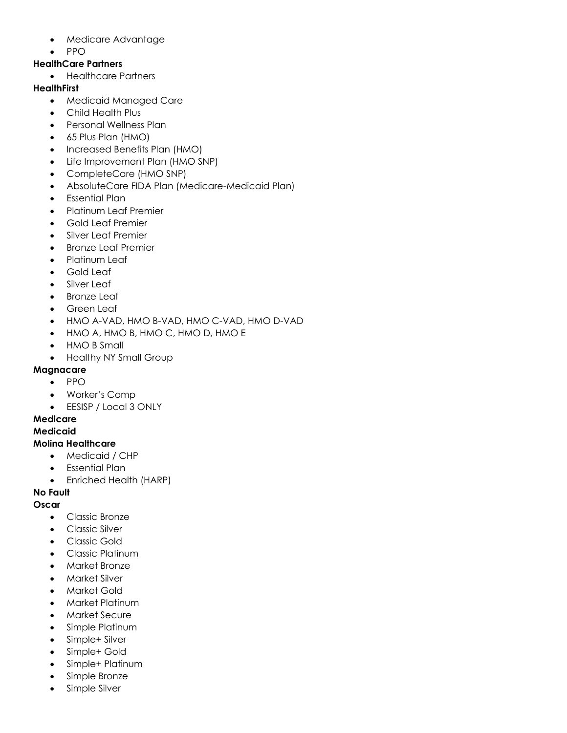- Medicare Advantage
- PPO

## **HealthCare Partners**

• Healthcare Partners

## **HealthFirst**

- Medicaid Managed Care
- Child Health Plus
- Personal Wellness Plan
- 65 Plus Plan (HMO)
- Increased Benefits Plan (HMO)
- Life Improvement Plan (HMO SNP)
- CompleteCare (HMO SNP)
- AbsoluteCare FIDA Plan (Medicare-Medicaid Plan)
- Essential Plan
- Platinum Leaf Premier
- Gold Leaf Premier
- Silver Leaf Premier
- Bronze Leaf Premier
- Platinum Leaf
- Gold Leaf
- Silver Leaf
- **Bronze Leaf**
- Green Leaf
- HMO A-VAD, HMO B-VAD, HMO C-VAD, HMO D-VAD
- HMO A, HMO B, HMO C, HMO D, HMO E
- HMO B Small
- Healthy NY Small Group

## **Magnacare**

- PPO
- Worker's Comp
- EESISP / Local 3 ONLY

## **Medicare**

### **Medicaid**

### **Molina Healthcare**

- Medicaid / CHP
- Essential Plan
- Enriched Health (HARP)

### **No Fault**

## **Oscar**

- Classic Bronze
- Classic Silver
- Classic Gold
- Classic Platinum
- Market Bronze
- Market Silver
- Market Gold
- Market Platinum
- Market Secure
- Simple Platinum
- Simple+ Silver
- Simple+ Gold
- Simple+ Platinum
- Simple Bronze
- Simple Silver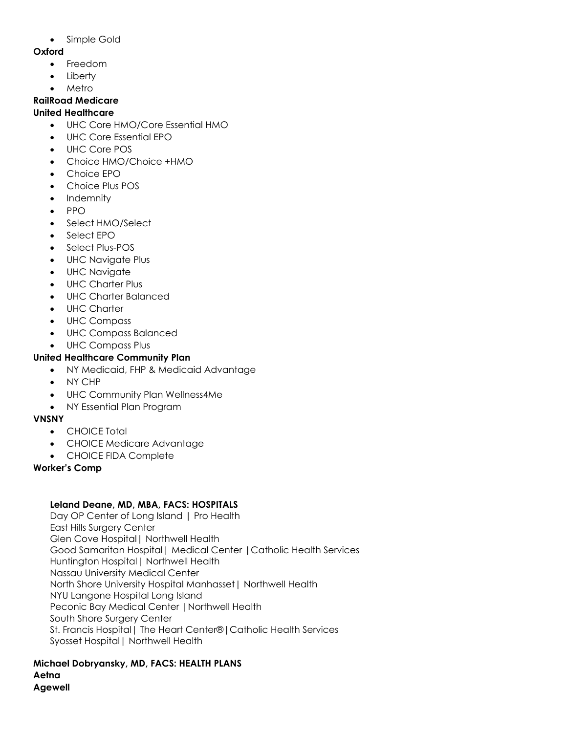• Simple Gold

## **Oxford**

- Freedom
- **Liberty**
- **Metro**

## **RailRoad Medicare**

## **United Healthcare**

- UHC Core HMO/Core Essential HMO
- UHC Core Essential EPO
- UHC Core POS
- Choice HMO/Choice +HMO
- Choice EPO
- Choice Plus POS
- Indemnity
- PPO
- Select HMO/Select
- Select EPO
- Select Plus-POS
- UHC Navigate Plus
- UHC Navigate
- UHC Charter Plus
- UHC Charter Balanced
- UHC Charter
- UHC Compass
- UHC Compass Balanced
- UHC Compass Plus

# **United Healthcare Community Plan**

- NY Medicaid, FHP & Medicaid Advantage
- NY CHP
- UHC Community Plan Wellness4Me
- NY Essential Plan Program

# **VNSNY**

- CHOICE Total
- CHOICE Medicare Advantage
- CHOICE FIDA Complete

## **Worker's Comp**

# **Leland Deane, MD, MBA, FACS: HOSPITALS**

Day OP Center of Long Island | Pro Health East Hills Surgery Center Glen Cove Hospital| Northwell Health Good Samaritan Hospital| Medical Center |Catholic Health Services Huntington Hospital| Northwell Health Nassau University Medical Center North Shore University Hospital Manhasset| Northwell Health NYU Langone Hospital Long Island Peconic Bay Medical Center |Northwell Health South Shore Surgery Center St. Francis Hospital| The Heart Center®|Catholic Health Services Syosset Hospital| Northwell Health

#### **Michael Dobryansky, MD, FACS: HEALTH PLANS Aetna Agewell**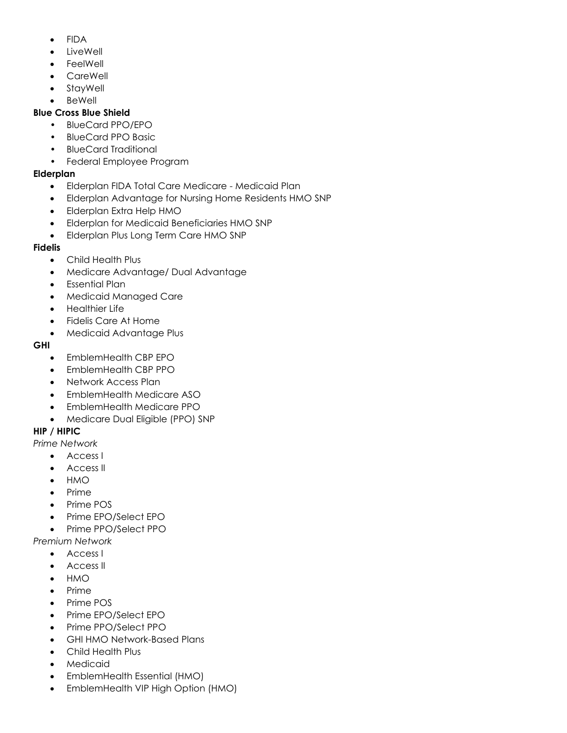- FIDA
- **LiveWell**
- **FeelWell**
- CareWell
- StayWell
- **BeWell**

## **Blue Cross Blue Shield**

- BlueCard PPO/EPO
- BlueCard PPO Basic
- BlueCard Traditional
- Federal Employee Program

# **Elderplan**

- Elderplan FIDA Total Care Medicare Medicaid Plan
- Elderplan Advantage for Nursing Home Residents HMO SNP
- Elderplan Extra Help HMO
- Elderplan for Medicaid Beneficiaries HMO SNP
- Elderplan Plus Long Term Care HMO SNP

# **Fidelis**

- Child Health Plus
- Medicare Advantage/ Dual Advantage
- Essential Plan
- Medicaid Managed Care
- Healthier Life
- Fidelis Care At Home
- Medicaid Advantage Plus

## **GHI**

- EmblemHealth CBP EPO
- EmblemHealth CBP PPO
- Network Access Plan
- EmblemHealth Medicare ASO
- EmblemHealth Medicare PPO
- Medicare Dual Eligible (PPO) SNP

# **HIP / HIPIC**

*Prime Network*

- Access I
- Access II
- HMO
- Prime
- Prime POS
- Prime EPO/Select EPO
- Prime PPO/Select PPO

*Premium Network*

- Access I
- Access II
- HMO
- Prime
- Prime POS
- Prime EPO/Select EPO
- Prime PPO/Select PPO
- GHI HMO Network-Based Plans
- Child Health Plus
- **Medicaid**
- EmblemHealth Essential (HMO)
- EmblemHealth VIP High Option (HMO)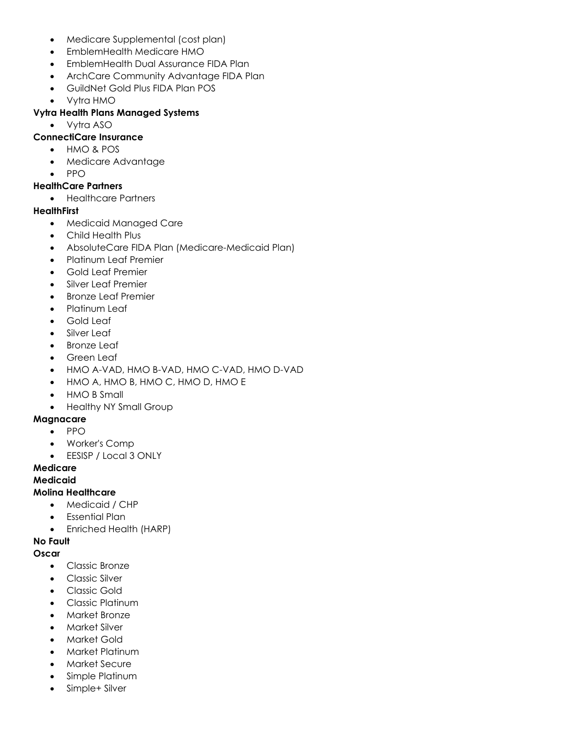- Medicare Supplemental (cost plan)
- EmblemHealth Medicare HMO
- EmblemHealth Dual Assurance FIDA Plan
- ArchCare Community Advantage FIDA Plan
- GuildNet Gold Plus FIDA Plan POS
- Vytra HMO

#### **Vytra Health Plans Managed Systems**

• Vytra ASO

#### **ConnectiCare Insurance**

- HMO & POS
- Medicare Advantage
- PPO

## **HealthCare Partners**

• Healthcare Partners

#### **HealthFirst**

- Medicaid Managed Care
- Child Health Plus
- AbsoluteCare FIDA Plan (Medicare-Medicaid Plan)
- Platinum Leaf Premier
- Gold Leaf Premier
- Silver Leaf Premier
- Bronze Leaf Premier
- Platinum Leaf
- Gold Leaf
- Silver Leaf
- **Bronze Leaf**
- Green Leaf
- HMO A-VAD, HMO B-VAD, HMO C-VAD, HMO D-VAD
- HMO A, HMO B, HMO C, HMO D, HMO E
- HMO B Small
- Healthy NY Small Group

#### **Magnacare**

- PPO
- Worker's Comp
- EESISP / Local 3 ONLY

#### **Medicare**

#### **Medicaid**

### **Molina Healthcare**

- Medicaid / CHP
- Essential Plan
- Enriched Health (HARP)

#### **No Fault**

#### **Oscar**

- Classic Bronze
- Classic Silver
- Classic Gold
- Classic Platinum
- Market Bronze
- Market Silver
- Market Gold
- Market Platinum
- Market Secure
- Simple Platinum
- Simple+ Silver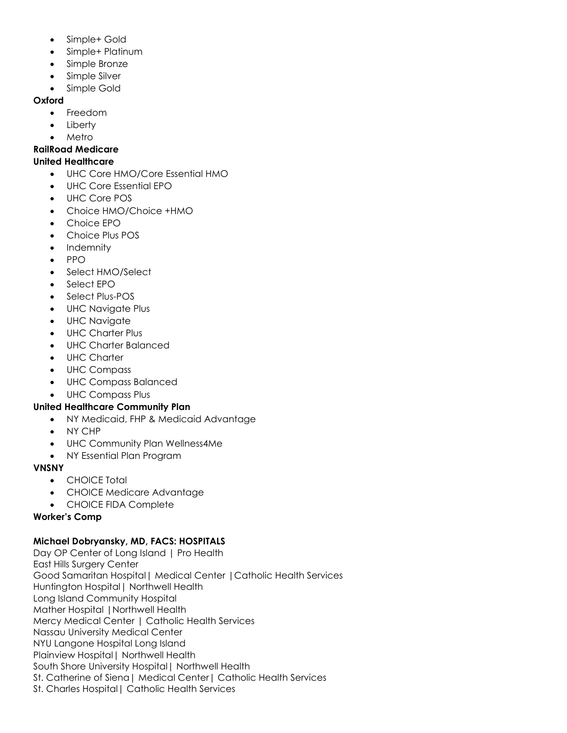- Simple+ Gold
- Simple+ Platinum
- Simple Bronze
- Simple Silver
- Simple Gold

#### **Oxford**

- Freedom
- **Liberty**
- Metro

#### **RailRoad Medicare**

#### **United Healthcare**

- UHC Core HMO/Core Essential HMO
- UHC Core Essential EPO
- UHC Core POS
- Choice HMO/Choice +HMO
- Choice EPO
- Choice Plus POS
- Indemnity
- PPO
- Select HMO/Select
- Select FPO
- Select Plus-POS
- UHC Navigate Plus
- UHC Navigate
- UHC Charter Plus
- UHC Charter Balanced
- UHC Charter
- UHC Compass
- UHC Compass Balanced
- UHC Compass Plus

### **United Healthcare Community Plan**

- NY Medicaid, FHP & Medicaid Advantage
- NY CHP
- UHC Community Plan Wellness4Me
- NY Essential Plan Program

### **VNSNY**

- CHOICE Total
- CHOICE Medicare Advantage
- CHOICE FIDA Complete

### **Worker's Comp**

### **Michael Dobryansky, MD, FACS: HOSPITALS**

Day OP Center of Long Island | Pro Health East Hills Surgery Center Good Samaritan Hospital| Medical Center |Catholic Health Services Huntington Hospital| Northwell Health Long Island Community Hospital Mather Hospital |Northwell Health Mercy Medical Center | Catholic Health Services Nassau University Medical Center NYU Langone Hospital Long Island Plainview Hospital| Northwell Health South Shore University Hospital| Northwell Health St. Catherine of Siena| Medical Center| Catholic Health Services St. Charles Hospital| Catholic Health Services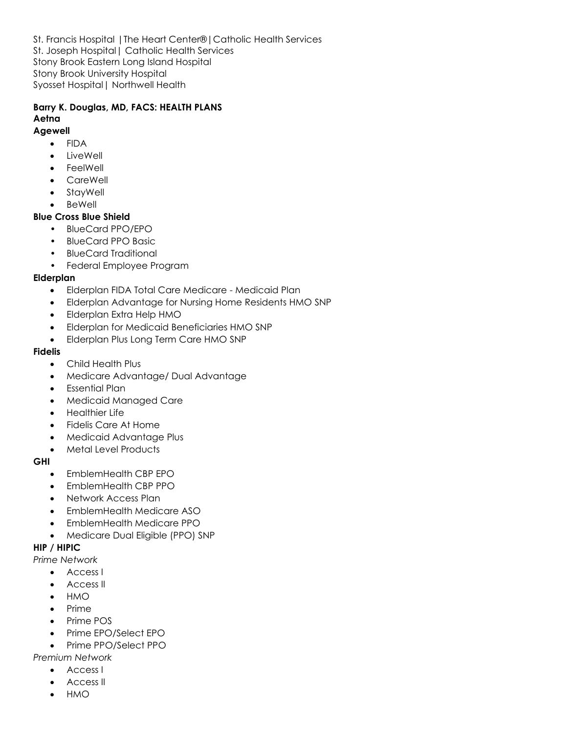St. Francis Hospital |The Heart Center®|Catholic Health Services St. Joseph Hospital| Catholic Health Services Stony Brook Eastern Long Island Hospital Stony Brook University Hospital Syosset Hospital| Northwell Health

# **Barry K. Douglas, MD, FACS: HEALTH PLANS Aetna**

#### **Agewell**

- FIDA
- LiveWell
- **FeelWell**
- CareWell
- StayWell
- **BeWell**

### **Blue Cross Blue Shield**

- BlueCard PPO/EPO
- BlueCard PPO Basic
- BlueCard Traditional
- Federal Employee Program

#### **Elderplan**

- Elderplan FIDA Total Care Medicare Medicaid Plan
- Elderplan Advantage for Nursing Home Residents HMO SNP
- Elderplan Extra Help HMO
- Elderplan for Medicaid Beneficiaries HMO SNP
- Elderplan Plus Long Term Care HMO SNP

#### **Fidelis**

- Child Health Plus
- Medicare Advantage/ Dual Advantage
- Essential Plan
- Medicaid Managed Care
- Healthier Life
- Fidelis Care At Home
- Medicaid Advantage Plus
- Metal Level Products

#### **GHI**

- EmblemHealth CBP EPO
- EmblemHealth CBP PPO
- Network Access Plan
- EmblemHealth Medicare ASO
- EmblemHealth Medicare PPO
- Medicare Dual Eligible (PPO) SNP

#### **HIP / HIPIC**

#### *Prime Network*

- Access I
- Access II
- HMO
- Prime
- Prime POS
- Prime EPO/Select EPO
- Prime PPO/Select PPO

### *Premium Network*

- Access I
- Access II
- HMO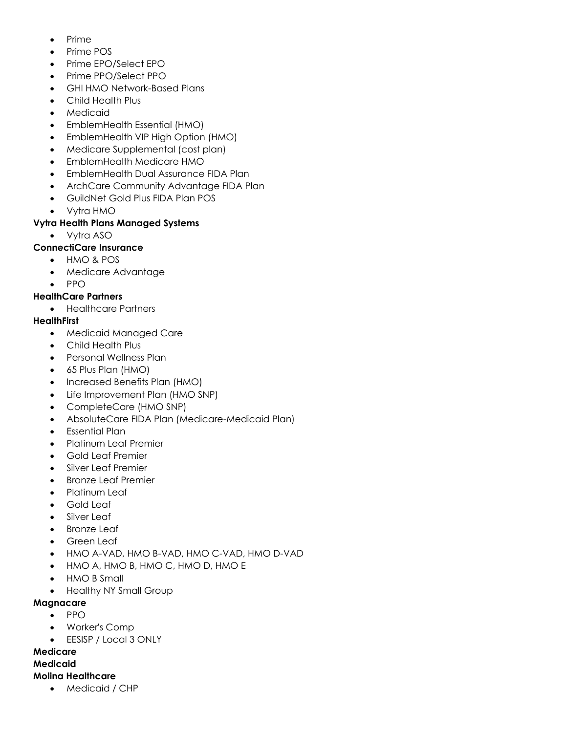- Prime
- Prime POS
- Prime EPO/Select EPO
- Prime PPO/Select PPO
- GHI HMO Network-Based Plans
- Child Health Plus
- **Medicaid**
- EmblemHealth Essential (HMO)
- EmblemHealth VIP High Option (HMO)
- Medicare Supplemental (cost plan)
- EmblemHealth Medicare HMO
- EmblemHealth Dual Assurance FIDA Plan
- ArchCare Community Advantage FIDA Plan
- GuildNet Gold Plus FIDA Plan POS
- Vytra HMO

## **Vytra Health Plans Managed Systems**

• Vytra ASO

## **ConnectiCare Insurance**

- HMO & POS
- Medicare Advantage
- PPO

## **HealthCare Partners**

• Healthcare Partners

## **HealthFirst**

- Medicaid Managed Care
- Child Health Plus
- Personal Wellness Plan
- 65 Plus Plan (HMO)
- Increased Benefits Plan (HMO)
- Life Improvement Plan (HMO SNP)
- CompleteCare (HMO SNP)
- AbsoluteCare FIDA Plan (Medicare-Medicaid Plan)
- Essential Plan
- Platinum Leaf Premier
- Gold Leaf Premier
- Silver Leaf Premier
- Bronze Leaf Premier
- Platinum Leaf
- Gold Leaf
- Silver Leaf
- **Bronze Leaf**
- Green Leaf
- HMO A-VAD, HMO B-VAD, HMO C-VAD, HMO D-VAD
- HMO A, HMO B, HMO C, HMO D, HMO E
- HMO B Small
- Healthy NY Small Group

### **Magnacare**

- PPO
- Worker's Comp
- EESISP / Local 3 ONLY

## **Medicare**

## **Medicaid**

## **Molina Healthcare**

• Medicaid / CHP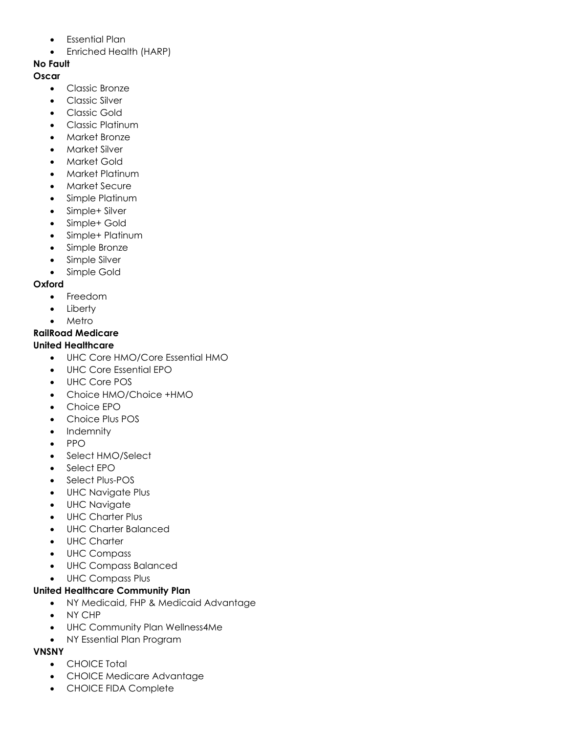- Essential Plan
- Enriched Health (HARP)

# **No Fault**

- **Oscar**
	- Classic Bronze
	- Classic Silver
	- Classic Gold
	- Classic Platinum
	- Market Bronze
	- Market Silver
	- Market Gold
	- Market Platinum
	- Market Secure
	- Simple Platinum
	- Simple+ Silver
	- Simple+ Gold
	- Simple+ Platinum
	- Simple Bronze
	- Simple Silver
	- Simple Gold

# **Oxford**

- Freedom
- Liberty
- Metro

# **RailRoad Medicare**

# **United Healthcare**

- UHC Core HMO/Core Essential HMO
- UHC Core Essential EPO
- UHC Core POS
- Choice HMO/Choice +HMO
- Choice EPO
- Choice Plus POS
- Indemnity
- PPO
- Select HMO/Select
- Select EPO
- Select Plus-POS
- UHC Navigate Plus
- UHC Navigate
- UHC Charter Plus
- UHC Charter Balanced
- UHC Charter
- UHC Compass
- UHC Compass Balanced
- UHC Compass Plus

# **United Healthcare Community Plan**

- NY Medicaid, FHP & Medicaid Advantage
- NY CHP
- UHC Community Plan Wellness4Me
- NY Essential Plan Program

# **VNSNY**

- CHOICE Total
- CHOICE Medicare Advantage
- CHOICE FIDA Complete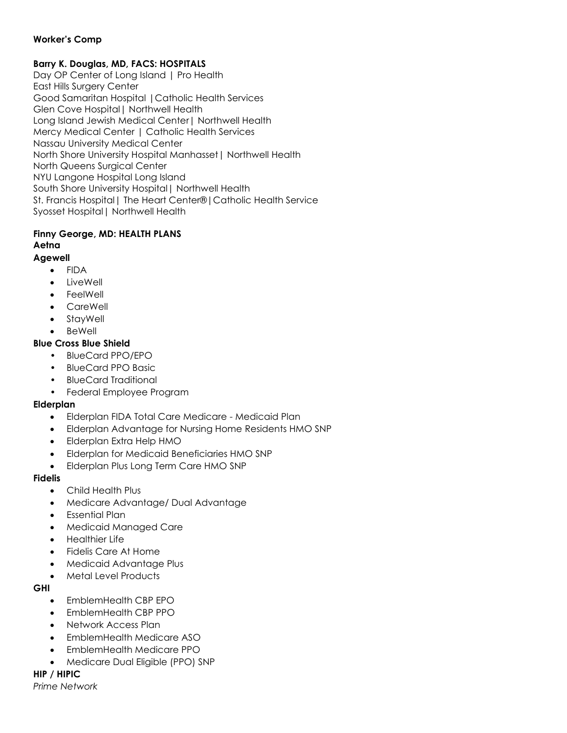## **Worker's Comp**

## **Barry K. Douglas, MD, FACS: HOSPITALS**

Day OP Center of Long Island | Pro Health East Hills Surgery Center Good Samaritan Hospital |Catholic Health Services Glen Cove Hospital| Northwell Health Long Island Jewish Medical Center| Northwell Health Mercy Medical Center | Catholic Health Services Nassau University Medical Center North Shore University Hospital Manhasset| Northwell Health North Queens Surgical Center NYU Langone Hospital Long Island South Shore University Hospital| Northwell Health St. Francis Hospital | The Heart Center® | Catholic Health Service Syosset Hospital| Northwell Health

# **Finny George, MD: HEALTH PLANS Aetna**

# **Agewell**

- FIDA • LiveWell
- **FeelWell**
- **CareWell**
- StayWell
- BeWell
- 

# **Blue Cross Blue Shield**

- BlueCard PPO/EPO
- BlueCard PPO Basic
- BlueCard Traditional
- Federal Employee Program

### **Elderplan**

- Elderplan FIDA Total Care Medicare Medicaid Plan
- Elderplan Advantage for Nursing Home Residents HMO SNP
- Elderplan Extra Help HMO
- Elderplan for Medicaid Beneficiaries HMO SNP
- Elderplan Plus Long Term Care HMO SNP

### **Fidelis**

- Child Health Plus
- Medicare Advantage/ Dual Advantage
- Essential Plan
- Medicaid Managed Care
- Healthier Life
- Fidelis Care At Home
- Medicaid Advantage Plus
- Metal Level Products

### **GHI**

- EmblemHealth CBP EPO
- EmblemHealth CBP PPO
- Network Access Plan
- EmblemHealth Medicare ASO
- EmblemHealth Medicare PPO
- Medicare Dual Eligible (PPO) SNP

### **HIP / HIPIC**

*Prime Network*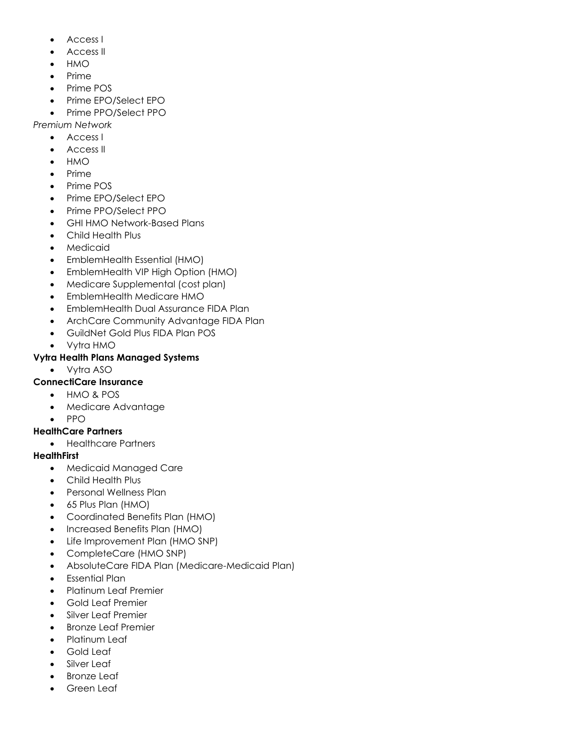- Access I
- Access II
- HMO
- Prime
- Prime POS
- Prime EPO/Select EPO
- Prime PPO/Select PPO

*Premium Network*

- Access I
- Access II
- HMO
- Prime
- Prime POS
- Prime EPO/Select EPO
- Prime PPO/Select PPO
- GHI HMO Network-Based Plans
- Child Health Plus
- Medicaid
- EmblemHealth Essential (HMO)
- EmblemHealth VIP High Option (HMO)
- Medicare Supplemental (cost plan)
- EmblemHealth Medicare HMO
- EmblemHealth Dual Assurance FIDA Plan
- ArchCare Community Advantage FIDA Plan
- GuildNet Gold Plus FIDA Plan POS
- Vytra HMO

## **Vytra Health Plans Managed Systems**

• Vytra ASO

## **ConnectiCare Insurance**

- HMO & POS
- Medicare Advantage
- PPO

## **HealthCare Partners**

• Healthcare Partners

### **HealthFirst**

- Medicaid Managed Care
- Child Health Plus
- Personal Wellness Plan
- 65 Plus Plan (HMO)
- Coordinated Benefits Plan (HMO)
- Increased Benefits Plan (HMO)
- Life Improvement Plan (HMO SNP)
- CompleteCare (HMO SNP)
- AbsoluteCare FIDA Plan (Medicare-Medicaid Plan)
- Essential Plan
- Platinum Leaf Premier
- Gold Leaf Premier
- Silver Leaf Premier
- Bronze Leaf Premier
- Platinum Leaf
- Gold Leaf
- Silver Leaf
- **Bronze Leaf**
- Green Leaf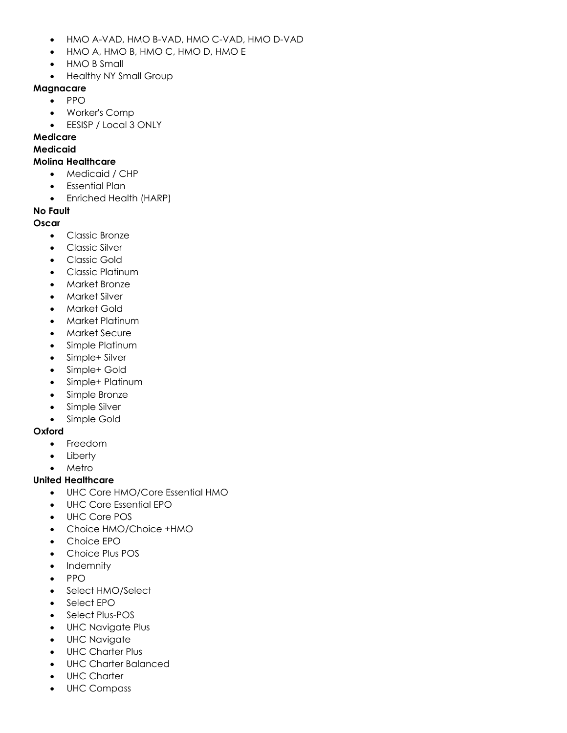- HMO A-VAD, HMO B-VAD, HMO C-VAD, HMO D-VAD
- HMO A, HMO B, HMO C, HMO D, HMO E
- HMO B Small
- Healthy NY Small Group

#### **Magnacare**

- PPO
	- Worker's Comp
	- EESISP / Local 3 ONLY

# **Medicare**

#### **Medicaid**

#### **Molina Healthcare**

- Medicaid / CHP
- Essential Plan
- Enriched Health (HARP)

### **No Fault**

#### **Oscar**

- Classic Bronze
- Classic Silver
- Classic Gold
- Classic Platinum
- Market Bronze
- Market Silver
- Market Gold
- Market Platinum
- Market Secure
- Simple Platinum
- Simple+ Silver
- Simple+ Gold
- Simple+ Platinum
- Simple Bronze
- Simple Silver
- Simple Gold

### **Oxford**

- Freedom
- Liberty
- **Metro**

### **United Healthcare**

- UHC Core HMO/Core Essential HMO
- UHC Core Essential EPO
- UHC Core POS
- Choice HMO/Choice +HMO
- Choice EPO
- Choice Plus POS
- **Indemnity**
- PPO
- Select HMO/Select
- Select EPO
- Select Plus-POS
- UHC Navigate Plus
- UHC Navigate
- UHC Charter Plus
- UHC Charter Balanced
- UHC Charter
- UHC Compass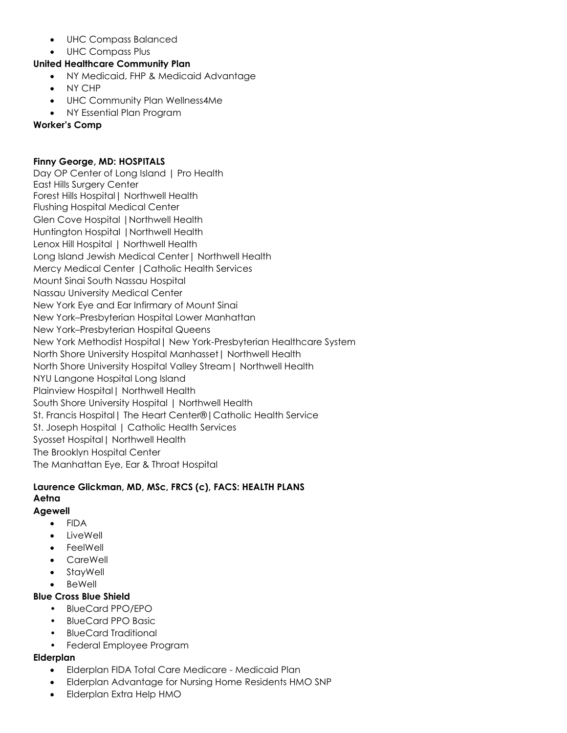- UHC Compass Balanced
- UHC Compass Plus

#### **United Healthcare Community Plan**

- NY Medicaid, FHP & Medicaid Advantage
- NY CHP
- UHC Community Plan Wellness4Me
- NY Essential Plan Program

#### **Worker's Comp**

#### **Finny George, MD: HOSPITALS**

Day OP Center of Long Island | Pro Health East Hills Surgery Center Forest Hills Hospital| Northwell Health Flushing Hospital Medical Center Glen Cove Hospital |Northwell Health Huntington Hospital |Northwell Health Lenox Hill Hospital | Northwell Health Long Island Jewish Medical Center| Northwell Health Mercy Medical Center |Catholic Health Services Mount Sinai South Nassau Hospital Nassau University Medical Center New York Eye and Ear Infirmary of Mount Sinai New York–Presbyterian Hospital Lower Manhattan New York–Presbyterian Hospital Queens New York Methodist Hospital| New York-Presbyterian Healthcare System North Shore University Hospital Manhasset| Northwell Health North Shore University Hospital Valley Stream| Northwell Health NYU Langone Hospital Long Island Plainview Hospital| Northwell Health South Shore University Hospital | Northwell Health St. Francis Hospital| The Heart Center®|Catholic Health Service St. Joseph Hospital | Catholic Health Services Syosset Hospital| Northwell Health The Brooklyn Hospital Center The Manhattan Eye, Ear & Throat Hospital

#### **Laurence Glickman, MD, MSc, FRCS (c), FACS: HEALTH PLANS Aetna Agewell**

- FIDA
- LiveWell
- **FeelWell**
- **CareWell**
- **StavWell**
- BeWell

#### **Blue Cross Blue Shield**

- BlueCard PPO/EPO
- BlueCard PPO Basic
- BlueCard Traditional
- Federal Employee Program

#### **Elderplan**

- Elderplan FIDA Total Care Medicare Medicaid Plan
- Elderplan Advantage for Nursing Home Residents HMO SNP
- Elderplan Extra Help HMO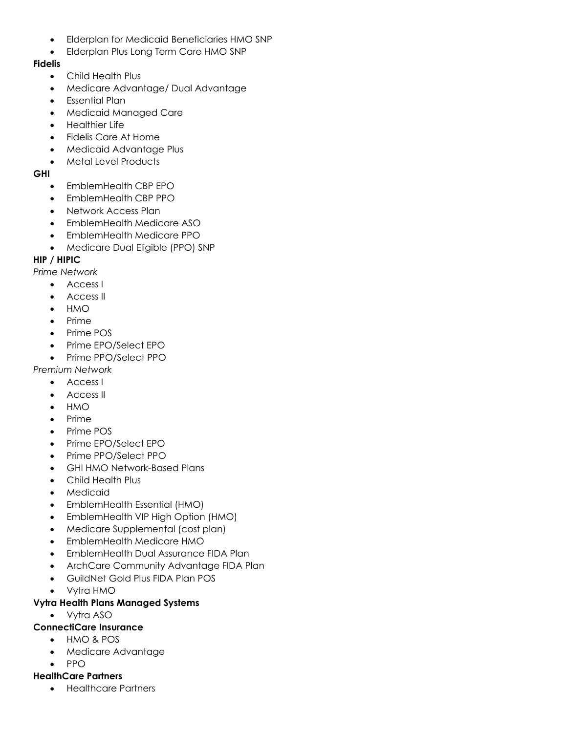- Elderplan for Medicaid Beneficiaries HMO SNP
- Elderplan Plus Long Term Care HMO SNP

## **Fidelis**

- Child Health Plus
- Medicare Advantage/ Dual Advantage
- Essential Plan
- Medicaid Managed Care
- Healthier Life
- Fidelis Care At Home
- Medicaid Advantage Plus
- Metal Level Products

## **GHI**

- EmblemHealth CBP EPO
- EmblemHealth CBP PPO
- Network Access Plan
- EmblemHealth Medicare ASO
- EmblemHealth Medicare PPO
- Medicare Dual Eligible (PPO) SNP

# **HIP / HIPIC**

*Prime Network*

- Access I
- Access II
- HMO
- Prime
- Prime POS
- Prime EPO/Select EPO
- Prime PPO/Select PPO

*Premium Network*

- Access I
- Access II
- HMO
- Prime
- Prime POS
- Prime EPO/Select EPO
- Prime PPO/Select PPO
- GHI HMO Network-Based Plans
- Child Health Plus
- **Medicaid**
- EmblemHealth Essential (HMO)
- EmblemHealth VIP High Option (HMO)
- Medicare Supplemental (cost plan)
- EmblemHealth Medicare HMO
- EmblemHealth Dual Assurance FIDA Plan
- ArchCare Community Advantage FIDA Plan
- GuildNet Gold Plus FIDA Plan POS
- Vytra HMO

## **Vytra Health Plans Managed Systems**

• Vytra ASO

## **ConnectiCare Insurance**

- HMO & POS
- Medicare Advantage
- PPO

## **HealthCare Partners**

• Healthcare Partners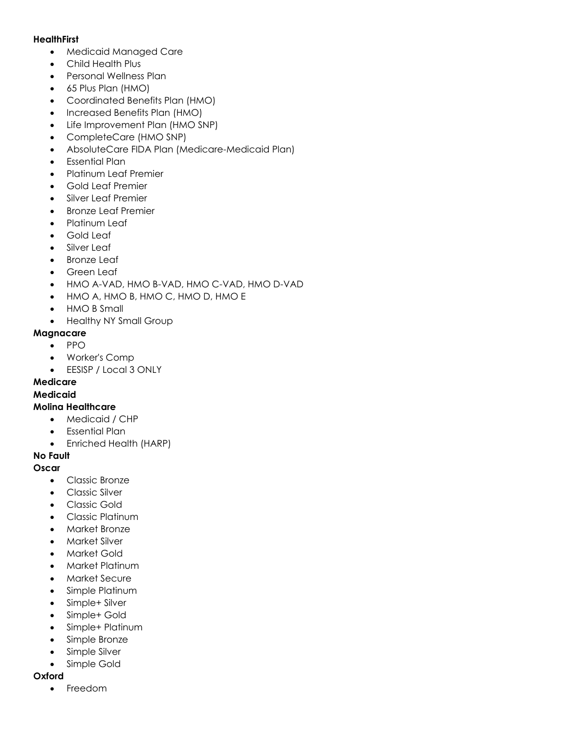#### **HealthFirst**

- Medicaid Managed Care
- Child Health Plus
- Personal Wellness Plan
- 65 Plus Plan (HMO)
- Coordinated Benefits Plan (HMO)
- Increased Benefits Plan (HMO)
- Life Improvement Plan (HMO SNP)
- CompleteCare (HMO SNP)
- AbsoluteCare FIDA Plan (Medicare-Medicaid Plan)
- Essential Plan
- Platinum Leaf Premier
- Gold Leaf Premier
- Silver Leaf Premier
- Bronze Leaf Premier
- Platinum Leaf
- Gold Leaf
- Silver Leaf
- **Bronze Leaf**
- Green Leaf
- HMO A-VAD, HMO B-VAD, HMO C-VAD, HMO D-VAD
- HMO A, HMO B, HMO C, HMO D, HMO E
- HMO B Small
- Healthy NY Small Group

#### **Magnacare**

- PPO
- Worker's Comp
- EESISP / Local 3 ONLY

# **Medicare**

#### **Medicaid**

#### **Molina Healthcare**

- Medicaid / CHP
- Essential Plan
- Enriched Health (HARP)

## **No Fault**

### **Oscar**

- Classic Bronze
- Classic Silver
- Classic Gold
- Classic Platinum
- Market Bronze
- Market Silver
- Market Gold
- Market Platinum
- Market Secure
- Simple Platinum
- Simple+ Silver
- Simple+ Gold
- Simple+ Platinum
- Simple Bronze
- Simple Silver
- Simple Gold

#### **Oxford**

• Freedom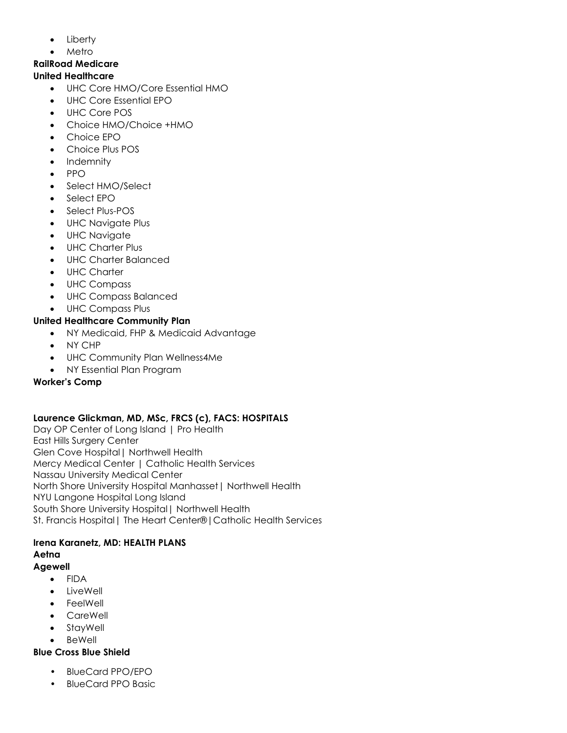- Liberty
- **Metro**

#### **RailRoad Medicare United Healthcare**

- UHC Core HMO/Core Essential HMO
- UHC Core Essential EPO
- UHC Core POS
- Choice HMO/Choice +HMO
- Choice EPO
- Choice Plus POS
- **Indemnity**
- PPO
- Select HMO/Select
- Select EPO
- Select Plus-POS
- UHC Navigate Plus
- UHC Navigate
- UHC Charter Plus
- UHC Charter Balanced
- UHC Charter
- UHC Compass
- UHC Compass Balanced
- UHC Compass Plus

## **United Healthcare Community Plan**

- NY Medicaid, FHP & Medicaid Advantage
- NY CHP
- UHC Community Plan Wellness4Me
- NY Essential Plan Program

### **Worker's Comp**

## **Laurence Glickman, MD, MSc, FRCS (c), FACS: HOSPITALS**

Day OP Center of Long Island | Pro Health East Hills Surgery Center Glen Cove Hospital| Northwell Health Mercy Medical Center | Catholic Health Services Nassau University Medical Center North Shore University Hospital Manhasset| Northwell Health NYU Langone Hospital Long Island South Shore University Hospital| Northwell Health St. Francis Hospital| The Heart Center®|Catholic Health Services

#### **Irena Karanetz, MD: HEALTH PLANS Aetna**

### **Agewell**

- FIDA
- **LiveWell**
- **FeelWell**
- **CareWell**
- **StavWell**
- BeWell

### **Blue Cross Blue Shield**

- BlueCard PPO/EPO
- BlueCard PPO Basic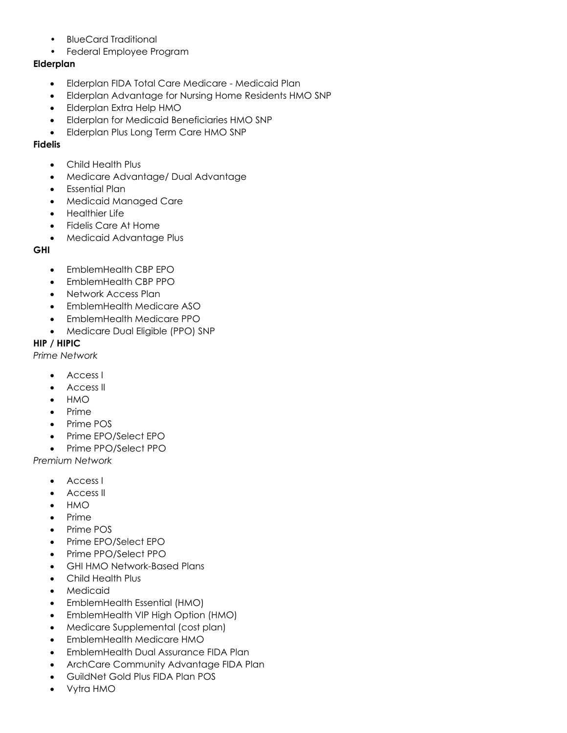- BlueCard Traditional
- Federal Employee Program

### **Elderplan**

- Elderplan FIDA Total Care Medicare Medicaid Plan
- Elderplan Advantage for Nursing Home Residents HMO SNP
- Elderplan Extra Help HMO
- Elderplan for Medicaid Beneficiaries HMO SNP
- Elderplan Plus Long Term Care HMO SNP

### **Fidelis**

- Child Health Plus
- Medicare Advantage/ Dual Advantage
- Essential Plan
- Medicaid Managed Care
- Healthier Life
- Fidelis Care At Home
- Medicaid Advantage Plus

### **GHI**

- EmblemHealth CBP EPO
- EmblemHealth CBP PPO
- Network Access Plan
- EmblemHealth Medicare ASO
- EmblemHealth Medicare PPO
- Medicare Dual Eligible (PPO) SNP

## **HIP / HIPIC**

*Prime Network*

- Access I
- Access II
- HMO
- Prime
- Prime POS
- Prime EPO/Select EPO
- Prime PPO/Select PPO

*Premium Network*

- Access I
- Access II
- HMO
- Prime
- Prime POS
- Prime EPO/Select EPO
- Prime PPO/Select PPO
- GHI HMO Network-Based Plans
- Child Health Plus
- **Medicaid**
- EmblemHealth Essential (HMO)
- EmblemHealth VIP High Option (HMO)
- Medicare Supplemental (cost plan)
- EmblemHealth Medicare HMO
- EmblemHealth Dual Assurance FIDA Plan
- ArchCare Community Advantage FIDA Plan
- GuildNet Gold Plus FIDA Plan POS
- Vytra HMO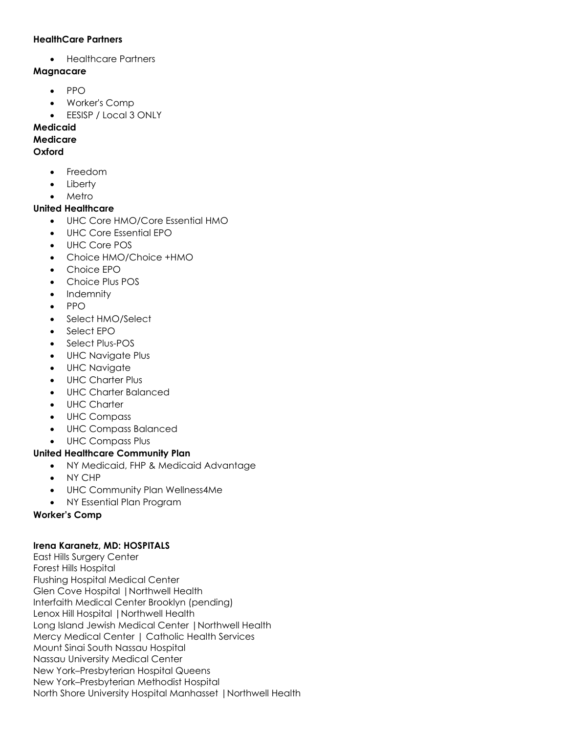#### **HealthCare Partners**

• Healthcare Partners

#### **Magnacare**

- PPO
- Worker's Comp
- EESISP / Local 3 ONLY

### **Medicaid**

#### **Medicare**

#### **Oxford**

- Freedom
- Liberty
- Metro

### **United Healthcare**

- UHC Core HMO/Core Essential HMO
- UHC Core Essential EPO
- UHC Core POS
- Choice HMO/Choice +HMO
- Choice EPO
- Choice Plus POS
- Indemnity
- PPO
- Select HMO/Select
- Select EPO
- Select Plus-POS
- UHC Navigate Plus
- UHC Navigate
- UHC Charter Plus
- UHC Charter Balanced
- UHC Charter
- UHC Compass
- UHC Compass Balanced
- UHC Compass Plus

### **United Healthcare Community Plan**

- NY Medicaid, FHP & Medicaid Advantage
- NY CHP
- UHC Community Plan Wellness4Me
- NY Essential Plan Program

### **Worker's Comp**

### **Irena Karanetz, MD: HOSPITALS**

East Hills Surgery Center Forest Hills Hospital Flushing Hospital Medical Center Glen Cove Hospital |Northwell Health Interfaith Medical Center Brooklyn (pending) Lenox Hill Hospital |Northwell Health Long Island Jewish Medical Center |Northwell Health Mercy Medical Center | Catholic Health Services Mount Sinai South Nassau Hospital Nassau University Medical Center New York–Presbyterian Hospital Queens New York–Presbyterian Methodist Hospital North Shore University Hospital Manhasset |Northwell Health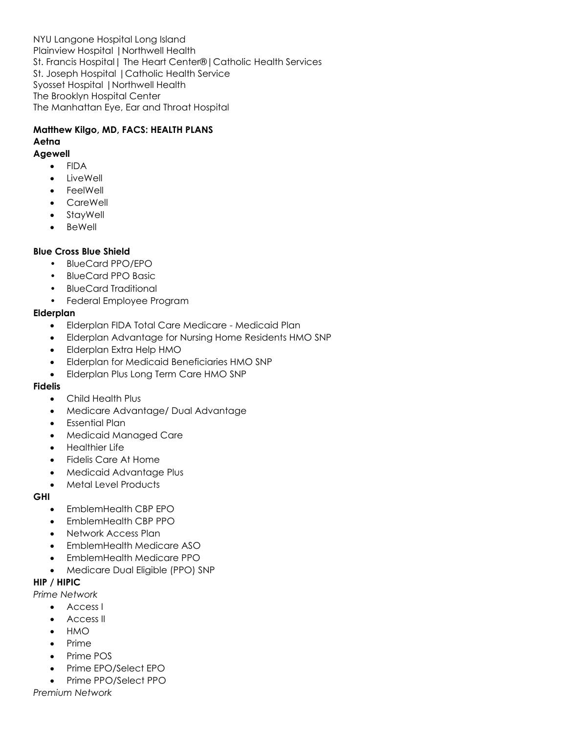NYU Langone Hospital Long Island Plainview Hospital |Northwell Health St. Francis Hospital| The Heart Center®|Catholic Health Services St. Joseph Hospital |Catholic Health Service Syosset Hospital |Northwell Health The Brooklyn Hospital Center The Manhattan Eye, Ear and Throat Hospital

# **Matthew Kilgo, MD, FACS: HEALTH PLANS Aetna**

#### **Agewell**

- FIDA
- **LiveWell**
- **FeelWell**
- CareWell
- **StayWell**
- **BeWell**

### **Blue Cross Blue Shield**

- BlueCard PPO/EPO
- BlueCard PPO Basic
- BlueCard Traditional
- Federal Employee Program

### **Elderplan**

- Elderplan FIDA Total Care Medicare Medicaid Plan
- Elderplan Advantage for Nursing Home Residents HMO SNP
- Elderplan Extra Help HMO
- Elderplan for Medicaid Beneficiaries HMO SNP
- Elderplan Plus Long Term Care HMO SNP

## **Fidelis**

- Child Health Plus
- Medicare Advantage/ Dual Advantage
- Essential Plan
- Medicaid Managed Care
- Healthier Life
- Fidelis Care At Home
- Medicaid Advantage Plus
- Metal Level Products

### **GHI**

- EmblemHealth CBP EPO
- EmblemHealth CBP PPO
- Network Access Plan
- EmblemHealth Medicare ASO
- EmblemHealth Medicare PPO
- Medicare Dual Eligible (PPO) SNP

## **HIP / HIPIC**

*Prime Network*

- Access I
- Access II
- HMO
- Prime
- Prime POS
- Prime EPO/Select EPO
- Prime PPO/Select PPO

*Premium Network*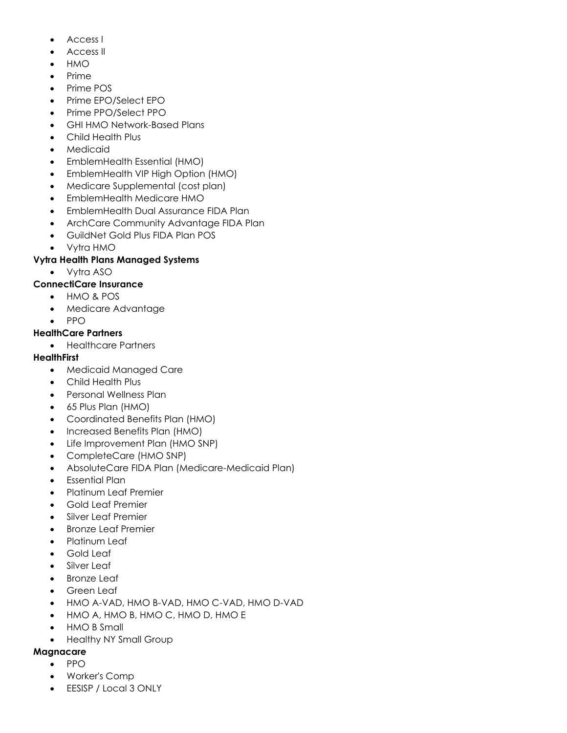- Access I
- Access II
- HMO
- Prime
- Prime POS
- Prime EPO/Select EPO
- Prime PPO/Select PPO
- GHI HMO Network-Based Plans
- Child Health Plus
- Medicaid
- EmblemHealth Essential (HMO)
- EmblemHealth VIP High Option (HMO)
- Medicare Supplemental (cost plan)
- EmblemHealth Medicare HMO
- EmblemHealth Dual Assurance FIDA Plan
- ArchCare Community Advantage FIDA Plan
- GuildNet Gold Plus FIDA Plan POS
- Vytra HMO

#### **Vytra Health Plans Managed Systems**

• Vytra ASO

### **ConnectiCare Insurance**

- HMO & POS
- Medicare Advantage
- PPO

#### **HealthCare Partners**

• Healthcare Partners

### **HealthFirst**

- Medicaid Managed Care
- Child Health Plus
- Personal Wellness Plan
- 65 Plus Plan (HMO)
- Coordinated Benefits Plan (HMO)
- Increased Benefits Plan (HMO)
- Life Improvement Plan (HMO SNP)
- CompleteCare (HMO SNP)
- AbsoluteCare FIDA Plan (Medicare-Medicaid Plan)
- Essential Plan
- Platinum Leaf Premier
- Gold Leaf Premier
- Silver Leaf Premier
- Bronze Leaf Premier
- Platinum Leaf
- Gold Leaf
- Silver Leaf
- Bronze Leaf
- Green Leaf
- HMO A-VAD, HMO B-VAD, HMO C-VAD, HMO D-VAD
- HMO A, HMO B, HMO C, HMO D, HMO E
- HMO B Small
- Healthy NY Small Group

#### **Magnacare**

- PPO
- Worker's Comp
- EESISP / Local 3 ONLY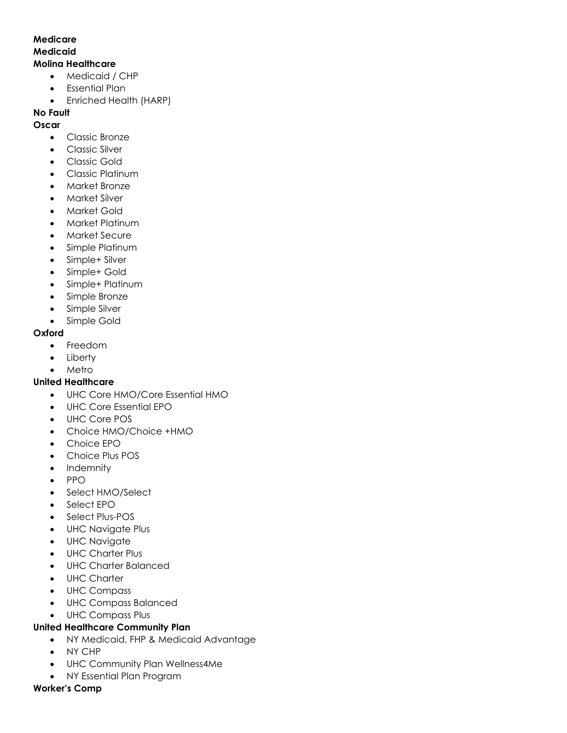#### **Medicare Medicaid Molina Healthcare**

- Medicaid / CHP
- Essential Plan
- Enriched Health (HARP)

#### **No Fault**

#### **Oscar**

- Classic Bronze
- Classic Silver
- Classic Gold
- Classic Platinum
- Market Bronze
- Market Silver
- Market Gold
- Market Platinum
- Market Secure
- Simple Platinum
- Simple+ Silver
- Simple+ Gold
- Simple+ Platinum
- Simple Bronze
- Simple Silver
- Simple Gold

#### **Oxford**

- Freedom
- Liberty
- Metro

### **United Healthcare**

- UHC Core HMO/Core Essential HMO
- UHC Core Essential EPO
- UHC Core POS
- Choice HMO/Choice +HMO
- Choice EPO
- Choice Plus POS
- Indemnity
- PPO
- Select HMO/Select
- Select EPO
- Select Plus-POS
- UHC Navigate Plus
- UHC Navigate
- UHC Charter Plus
- UHC Charter Balanced
- UHC Charter
- UHC Compass
- UHC Compass Balanced
- UHC Compass Plus

### **United Healthcare Community Plan**

- NY Medicaid, FHP & Medicaid Advantage
- NY CHP
- UHC Community Plan Wellness4Me
- NY Essential Plan Program

#### **Worker's Comp**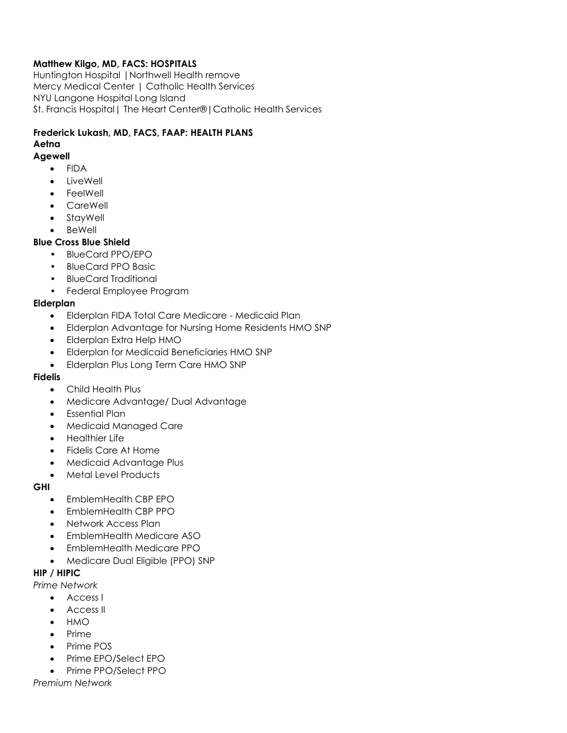### **Matthew Kilgo, MD, FACS: HOSPITALS**

Huntington Hospital |Northwell Health remove Mercy Medical Center | Catholic Health Services NYU Langone Hospital Long Island St. Francis Hospital| The Heart Center®|Catholic Health Services

## **Frederick Lukash, MD, FACS, FAAP: HEALTH PLANS**

#### **Aetna**

#### **Agewell**

- FIDA
- **LiveWell**
- **FeelWell**
- CareWell
- **StayWell**
- **BeWell**

### **Blue Cross Blue Shield**

- BlueCard PPO/EPO
- BlueCard PPO Basic
- BlueCard Traditional
- Federal Employee Program

### **Elderplan**

- Elderplan FIDA Total Care Medicare Medicaid Plan
- Elderplan Advantage for Nursing Home Residents HMO SNP
- Elderplan Extra Help HMO
- Elderplan for Medicaid Beneficiaries HMO SNP
- Elderplan Plus Long Term Care HMO SNP

### **Fidelis**

- Child Health Plus
- Medicare Advantage/ Dual Advantage
- Essential Plan
- Medicaid Managed Care
- Healthier Life
- Fidelis Care At Home
- Medicaid Advantage Plus
- Metal Level Products

### **GHI**

- EmblemHealth CBP EPO
- EmblemHealth CBP PPO
- Network Access Plan
- EmblemHealth Medicare ASO
- EmblemHealth Medicare PPO
- Medicare Dual Eligible (PPO) SNP

### **HIP / HIPIC**

*Prime Network*

- Access I
- Access II
- HMO
- Prime
- Prime POS
- Prime EPO/Select EPO
- Prime PPO/Select PPO

*Premium Network*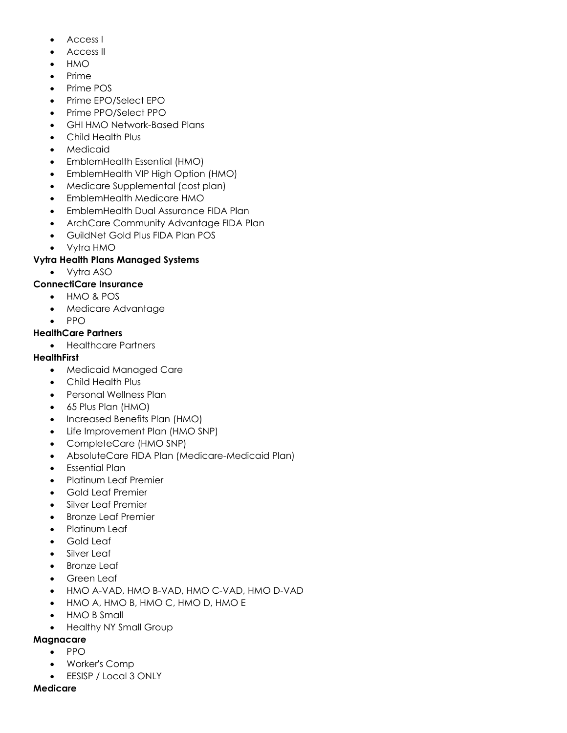- Access I
- Access II
- HMO
- Prime
- Prime POS
- Prime EPO/Select EPO
- Prime PPO/Select PPO
- GHI HMO Network-Based Plans
- Child Health Plus
- Medicaid
- EmblemHealth Essential (HMO)
- EmblemHealth VIP High Option (HMO)
- Medicare Supplemental (cost plan)
- EmblemHealth Medicare HMO
- EmblemHealth Dual Assurance FIDA Plan
- ArchCare Community Advantage FIDA Plan
- GuildNet Gold Plus FIDA Plan POS
- Vytra HMO

#### **Vytra Health Plans Managed Systems**

• Vytra ASO

### **ConnectiCare Insurance**

- HMO & POS
- Medicare Advantage
- PPO

#### **HealthCare Partners**

• Healthcare Partners

### **HealthFirst**

- Medicaid Managed Care
- Child Health Plus
- Personal Wellness Plan
- 65 Plus Plan (HMO)
- Increased Benefits Plan (HMO)
- Life Improvement Plan (HMO SNP)
- CompleteCare (HMO SNP)
- AbsoluteCare FIDA Plan (Medicare-Medicaid Plan)
- Essential Plan
- Platinum Leaf Premier
- Gold Leaf Premier
- Silver Leaf Premier
- Bronze Leaf Premier
- Platinum Leaf
- Gold Leaf
- Silver Leaf
- **Bronze Leaf**
- Green Leaf
- HMO A-VAD, HMO B-VAD, HMO C-VAD, HMO D-VAD
- HMO A, HMO B, HMO C, HMO D, HMO E
- HMO B Small
- Healthy NY Small Group

#### **Magnacare**

- PPO
	- Worker's Comp
	- EESISP / Local 3 ONLY

#### **Medicare**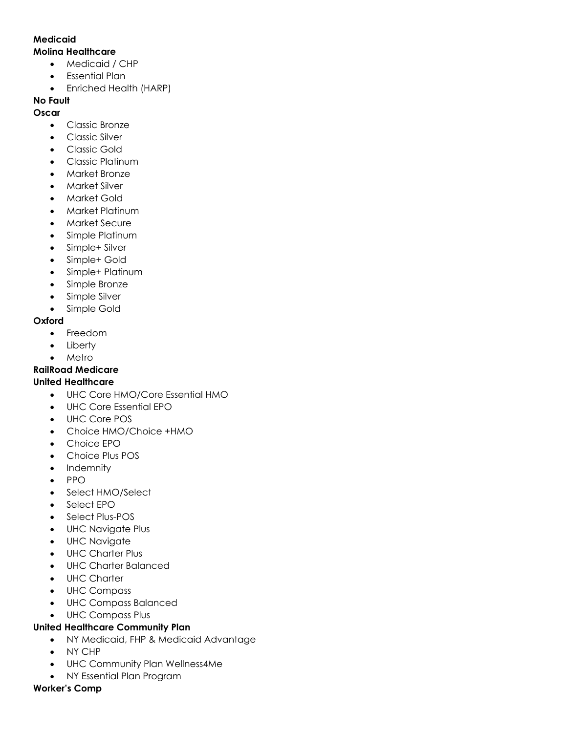### **Medicaid**

#### **Molina Healthcare**

- Medicaid / CHP
- Essential Plan
- Enriched Health (HARP)

## **No Fault**

### **Oscar**

- Classic Bronze
- Classic Silver
- Classic Gold
- Classic Platinum
- Market Bronze
- Market Silver
- Market Gold
- Market Platinum
- Market Secure
- Simple Platinum
- Simple+ Silver
- Simple+ Gold
- Simple+ Platinum
- Simple Bronze
- Simple Silver
- Simple Gold

### **Oxford**

- Freedom
- Liberty
- Metro

# **RailRoad Medicare**

## **United Healthcare**

- UHC Core HMO/Core Essential HMO
- UHC Core Essential EPO
- UHC Core POS
- Choice HMO/Choice +HMO
- Choice EPO
- Choice Plus POS
- Indemnity
- PPO
- Select HMO/Select
- Select EPO
- Select Plus-POS
- UHC Navigate Plus
- UHC Navigate
- UHC Charter Plus
- UHC Charter Balanced
- UHC Charter
- UHC Compass
- UHC Compass Balanced
- UHC Compass Plus

## **United Healthcare Community Plan**

- NY Medicaid, FHP & Medicaid Advantage
- NY CHP
- UHC Community Plan Wellness4Me
- NY Essential Plan Program

### **Worker's Comp**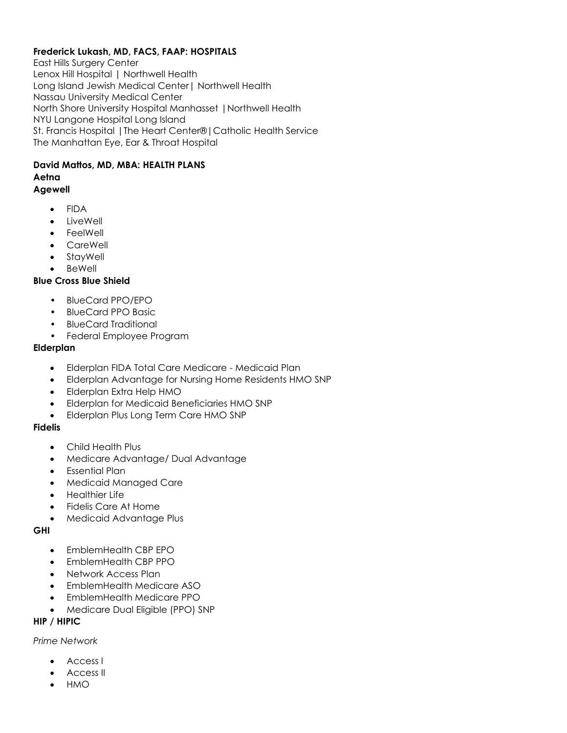# **Frederick Lukash, MD, FACS, FAAP: HOSPITALS**

East Hills Surgery Center Lenox Hill Hospital | Northwell Health Long Island Jewish Medical Center| Northwell Health Nassau University Medical Center North Shore University Hospital Manhasset |Northwell Health NYU Langone Hospital Long Island St. Francis Hospital |The Heart Center®|Catholic Health Service The Manhattan Eye, Ear & Throat Hospital

# **David Mattos, MD, MBA: HEALTH PLANS Aetna**

# **Agewell**

- FIDA
- LiveWell
- FeelWell
- CareWell
- **StayWell**
- **BeWell**

# **Blue Cross Blue Shield**

- BlueCard PPO/EPO
- BlueCard PPO Basic
- BlueCard Traditional
- Federal Employee Program

## **Elderplan**

- Elderplan FIDA Total Care Medicare Medicaid Plan
- Elderplan Advantage for Nursing Home Residents HMO SNP
- Elderplan Extra Help HMO
- Elderplan for Medicaid Beneficiaries HMO SNP
- Elderplan Plus Long Term Care HMO SNP

# **Fidelis**

- Child Health Plus
- Medicare Advantage/ Dual Advantage
- Essential Plan
- Medicaid Managed Care
- Healthier Life
- Fidelis Care At Home
- Medicaid Advantage Plus

# **GHI**

- EmblemHealth CBP EPO
- EmblemHealth CBP PPO
- Network Access Plan
- EmblemHealth Medicare ASO
- EmblemHealth Medicare PPO
- Medicare Dual Eligible (PPO) SNP

# **HIP / HIPIC**

# *Prime Network*

- Access I
- Access II
- HMO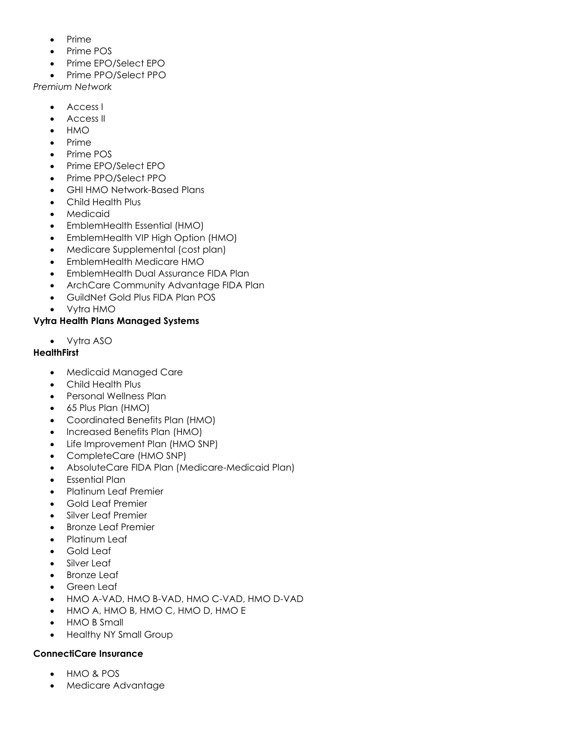- Prime
- Prime POS
- Prime EPO/Select EPO
- Prime PPO/Select PPO

*Premium Network*

- Access I
- Access II
- HMO
- Prime
- Prime POS
- Prime EPO/Select EPO
- Prime PPO/Select PPO
- GHI HMO Network-Based Plans
- Child Health Plus
- Medicaid
- EmblemHealth Essential (HMO)
- EmblemHealth VIP High Option (HMO)
- Medicare Supplemental (cost plan)
- EmblemHealth Medicare HMO
- EmblemHealth Dual Assurance FIDA Plan
- ArchCare Community Advantage FIDA Plan
- GuildNet Gold Plus FIDA Plan POS
- Vytra HMO

### **Vytra Health Plans Managed Systems**

• Vytra ASO

### **HealthFirst**

- Medicaid Managed Care
- Child Health Plus
- Personal Wellness Plan
- 65 Plus Plan (HMO)
- Coordinated Benefits Plan (HMO)
- Increased Benefits Plan (HMO)
- Life Improvement Plan (HMO SNP)
- CompleteCare (HMO SNP)
- AbsoluteCare FIDA Plan (Medicare-Medicaid Plan)
- Essential Plan
- Platinum Leaf Premier
- Gold Leaf Premier
- Silver Leaf Premier
- Bronze Leaf Premier
- Platinum Leaf
- Gold Leaf
- Silver Leaf
- Bronze Leaf
- Green Leaf
- HMO A-VAD, HMO B-VAD, HMO C-VAD, HMO D-VAD
- HMO A, HMO B, HMO C, HMO D, HMO E
- HMO B Small
- Healthy NY Small Group

### **ConnectiCare Insurance**

- HMO & POS
- Medicare Advantage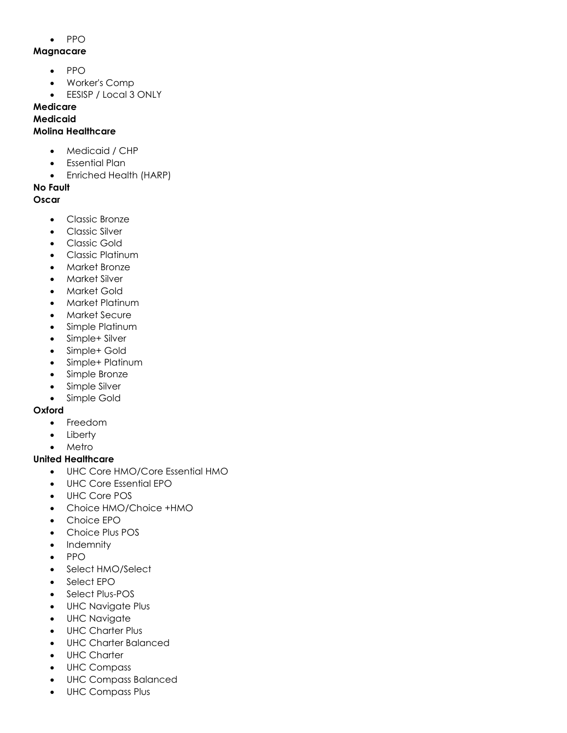• PPO

### **Magnacare**

- PPO
- Worker's Comp
- EESISP / Local 3 ONLY

# **Medicare**

# **Medicaid**

### **Molina Healthcare**

- Medicaid / CHP
- Essential Plan
- Enriched Health (HARP)

## **No Fault**

## **Oscar**

- Classic Bronze
- Classic Silver
- Classic Gold
- Classic Platinum
- Market Bronze
- Market Silver
- Market Gold
- Market Platinum
- Market Secure
- Simple Platinum
- Simple+ Silver
- Simple+ Gold
- Simple+ Platinum
- Simple Bronze
- Simple Silver
- Simple Gold

# **Oxford**

- Freedom
- Liberty
- Metro

# **United Healthcare**

- UHC Core HMO/Core Essential HMO
- UHC Core Essential EPO
- UHC Core POS
- Choice HMO/Choice +HMO
- Choice EPO
- Choice Plus POS
- Indemnity
- PPO
- Select HMO/Select
- Select EPO
- Select Plus-POS
- UHC Navigate Plus
- UHC Navigate
- UHC Charter Plus
- UHC Charter Balanced
- UHC Charter
- UHC Compass
- UHC Compass Balanced
- UHC Compass Plus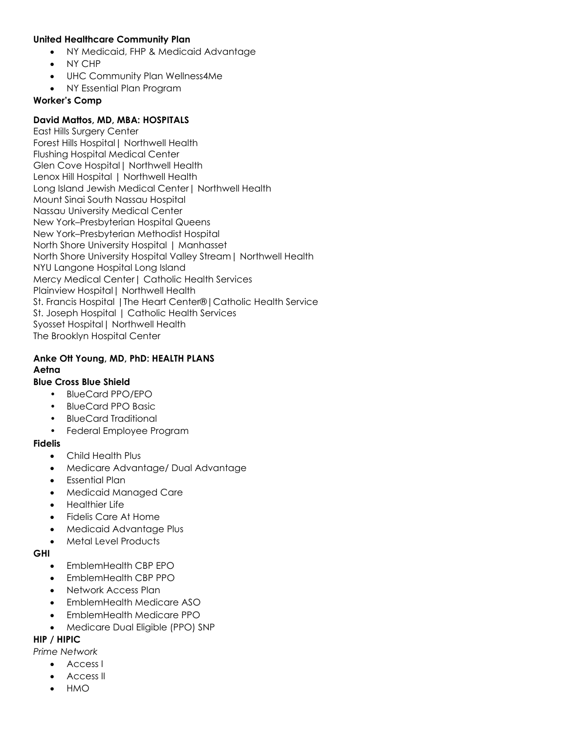#### **United Healthcare Community Plan**

- NY Medicaid, FHP & Medicaid Advantage
- NY CHP
- UHC Community Plan Wellness4Me
- NY Essential Plan Program

#### **Worker's Comp**

### **David Mattos, MD, MBA: HOSPITALS**

East Hills Surgery Center Forest Hills Hospital| Northwell Health Flushing Hospital Medical Center Glen Cove Hospital| Northwell Health Lenox Hill Hospital | Northwell Health Long Island Jewish Medical Center| Northwell Health Mount Sinai South Nassau Hospital Nassau University Medical Center New York–Presbyterian Hospital Queens New York–Presbyterian Methodist Hospital North Shore University Hospital | Manhasset North Shore University Hospital Valley Stream| Northwell Health NYU Langone Hospital Long Island Mercy Medical Center| Catholic Health Services Plainview Hospital| Northwell Health St. Francis Hospital |The Heart Center®|Catholic Health Service St. Joseph Hospital | Catholic Health Services Syosset Hospital| Northwell Health The Brooklyn Hospital Center

### **Anke Ott Young, MD, PhD: HEALTH PLANS Aetna**

#### **Blue Cross Blue Shield**

- BlueCard PPO/EPO
- BlueCard PPO Basic
- BlueCard Traditional
- Federal Employee Program

#### **Fidelis**

- Child Health Plus
- Medicare Advantage/ Dual Advantage
- Essential Plan
- Medicaid Managed Care
- Healthier Life
- Fidelis Care At Home
- Medicaid Advantage Plus
- Metal Level Products

#### **GHI**

- EmblemHealth CBP EPO
- EmblemHealth CBP PPO
- Network Access Plan
- EmblemHealth Medicare ASO
- EmblemHealth Medicare PPO
- Medicare Dual Eligible (PPO) SNP

### **HIP / HIPIC**

- *Prime Network*
	- Access I
	- Access II
	- HMO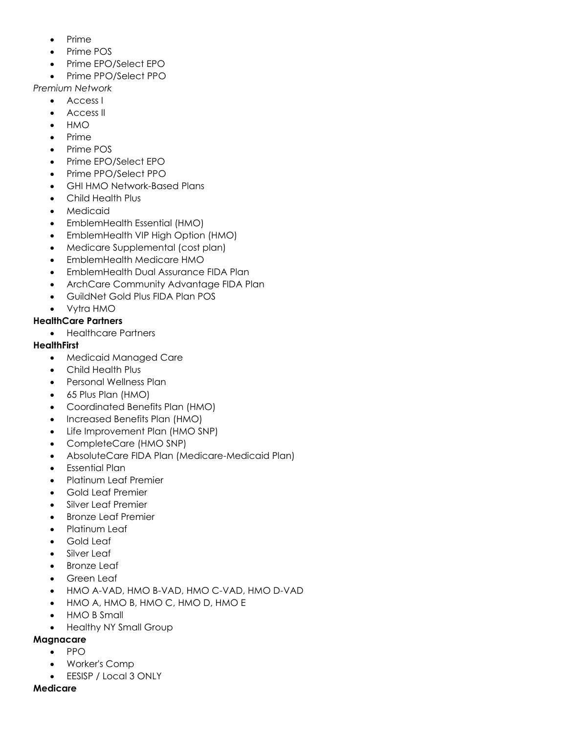- Prime
- Prime POS
- Prime EPO/Select EPO
- Prime PPO/Select PPO

*Premium Network*

- Access I
- Access II
- HMO
- Prime
- Prime POS
- Prime EPO/Select EPO
- Prime PPO/Select PPO
- GHI HMO Network-Based Plans
- Child Health Plus
- Medicaid
- EmblemHealth Essential (HMO)
- EmblemHealth VIP High Option (HMO)
- Medicare Supplemental (cost plan)
- EmblemHealth Medicare HMO
- EmblemHealth Dual Assurance FIDA Plan
- ArchCare Community Advantage FIDA Plan
- GuildNet Gold Plus FIDA Plan POS
- Vytra HMO

### **HealthCare Partners**

• Healthcare Partners

### **HealthFirst**

- Medicaid Managed Care
- Child Health Plus
- Personal Wellness Plan
- 65 Plus Plan (HMO)
- Coordinated Benefits Plan (HMO)
- Increased Benefits Plan (HMO)
- Life Improvement Plan (HMO SNP)
- CompleteCare (HMO SNP)
- AbsoluteCare FIDA Plan (Medicare-Medicaid Plan)
- Essential Plan
- Platinum Leaf Premier
- Gold Leaf Premier
- Silver Leaf Premier
- Bronze Leaf Premier
- Platinum Leaf
- Gold Leaf
- Silver Leaf
- **Bronze Leaf**
- Green Leaf
- HMO A-VAD, HMO B-VAD, HMO C-VAD, HMO D-VAD
- HMO A, HMO B, HMO C, HMO D, HMO E
- HMO B Small
- Healthy NY Small Group

### **Magnacare**

- PPO
	- Worker's Comp
	- EESISP / Local 3 ONLY

#### **Medicare**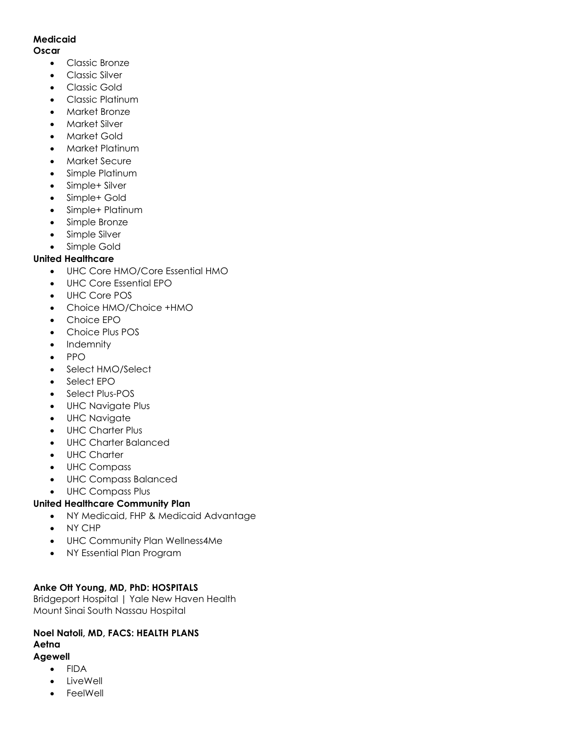### **Medicaid**

#### **Oscar**

- Classic Bronze
- Classic Silver
- Classic Gold
- Classic Platinum
- Market Bronze
- Market Silver
- Market Gold
- Market Platinum
- Market Secure
- Simple Platinum
- Simple+ Silver
- Simple+ Gold
- Simple+ Platinum
- Simple Bronze
- Simple Silver
- Simple Gold

## **United Healthcare**

- UHC Core HMO/Core Essential HMO
- UHC Core Essential EPO
- UHC Core POS
- Choice HMO/Choice +HMO
- Choice EPO
- Choice Plus POS
- Indemnity
- PPO
- Select HMO/Select
- Select EPO
- Select Plus-POS
- UHC Navigate Plus
- UHC Navigate
- UHC Charter Plus
- UHC Charter Balanced
- UHC Charter
- UHC Compass
- UHC Compass Balanced
- UHC Compass Plus

## **United Healthcare Community Plan**

- NY Medicaid, FHP & Medicaid Advantage
- NY CHP
- UHC Community Plan Wellness4Me
- NY Essential Plan Program

### **Anke Ott Young, MD, PhD: HOSPITALS**

Bridgeport Hospital | Yale New Haven Health Mount Sinai South Nassau Hospital

# **Noel Natoli, MD, FACS: HEALTH PLANS Aetna**

### **Agewell**

- FIDA
- **LiveWell**
- **FeelWell**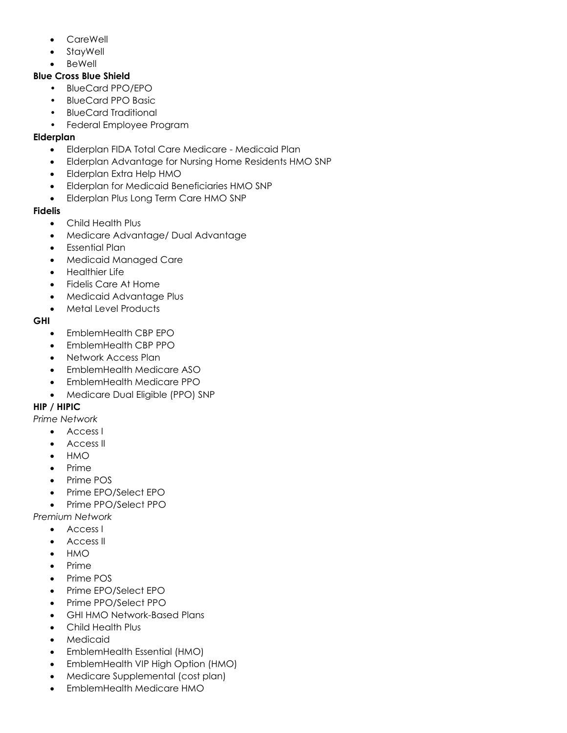- **CareWell**
- **StayWell**
- BeWell

### **Blue Cross Blue Shield**

- BlueCard PPO/EPO
- BlueCard PPO Basic
- BlueCard Traditional
- Federal Employee Program

## **Elderplan**

- Elderplan FIDA Total Care Medicare Medicaid Plan
- Elderplan Advantage for Nursing Home Residents HMO SNP
- Elderplan Extra Help HMO
- Elderplan for Medicaid Beneficiaries HMO SNP
- Elderplan Plus Long Term Care HMO SNP

## **Fidelis**

- Child Health Plus
- Medicare Advantage/ Dual Advantage
- Essential Plan
- Medicaid Managed Care
- Healthier Life
- Fidelis Care At Home
- Medicaid Advantage Plus
- Metal Level Products

# **GHI**

- EmblemHealth CBP EPO
- EmblemHealth CBP PPO
- Network Access Plan
- EmblemHealth Medicare ASO
- EmblemHealth Medicare PPO
- Medicare Dual Eligible (PPO) SNP

# **HIP / HIPIC**

*Prime Network*

- Access I
- Access II
- HMO
- Prime
- Prime POS
- Prime EPO/Select EPO
- Prime PPO/Select PPO
- *Premium Network*
	- Access I
	- Access II
	- HMO
	- Prime
	- Prime POS
	- Prime EPO/Select EPO
	- Prime PPO/Select PPO
	- GHI HMO Network-Based Plans
	- Child Health Plus
	- **Medicaid**
	- EmblemHealth Essential (HMO)
	- EmblemHealth VIP High Option (HMO)
	- Medicare Supplemental (cost plan)
	- EmblemHealth Medicare HMO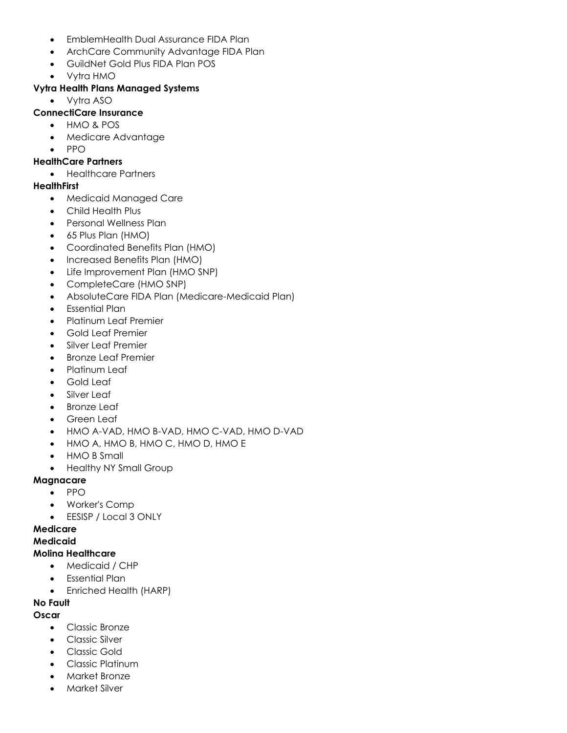- EmblemHealth Dual Assurance FIDA Plan
- ArchCare Community Advantage FIDA Plan
- GuildNet Gold Plus FIDA Plan POS
- Vytra HMO

# **Vytra Health Plans Managed Systems**

• Vytra ASO

# **ConnectiCare Insurance**

- HMO & POS
- Medicare Advantage
- PPO

# **HealthCare Partners**

• Healthcare Partners

# **HealthFirst**

- Medicaid Managed Care
- Child Health Plus
- Personal Wellness Plan
- 65 Plus Plan (HMO)
- Coordinated Benefits Plan (HMO)
- Increased Benefits Plan (HMO)
- Life Improvement Plan (HMO SNP)
- CompleteCare (HMO SNP)
- AbsoluteCare FIDA Plan (Medicare-Medicaid Plan)
- Essential Plan
- Platinum Leaf Premier
- Gold Leaf Premier
- Silver Leaf Premier
- Bronze Leaf Premier
- Platinum Leaf
- Gold Leaf
- Silver Leaf
- **Bronze Leaf**
- Green Leaf
- HMO A-VAD, HMO B-VAD, HMO C-VAD, HMO D-VAD
- HMO A, HMO B, HMO C, HMO D, HMO E
- HMO B Small
- Healthy NY Small Group

# **Magnacare**

- PPO
- Worker's Comp
- EESISP / Local 3 ONLY

# **Medicare**

## **Medicaid**

# **Molina Healthcare**

- Medicaid / CHP
- Essential Plan
- Enriched Health (HARP)

# **No Fault**

# **Oscar**

- Classic Bronze
- Classic Silver
- Classic Gold
- Classic Platinum
- Market Bronze
- Market Silver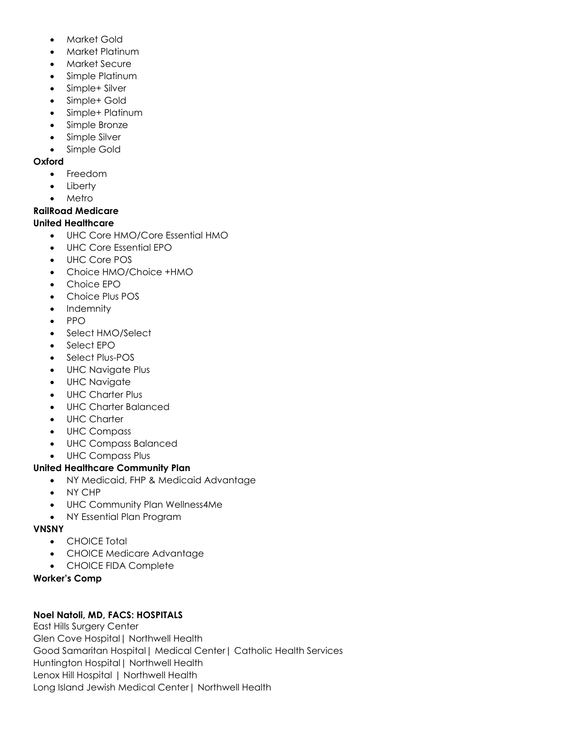- Market Gold
- Market Platinum
- Market Secure
- Simple Platinum
- Simple+ Silver
- Simple+ Gold
- Simple+ Platinum
- Simple Bronze
- Simple Silver
- Simple Gold

### **Oxford**

- Freedom
- **Liberty**
- **Metro**

# **RailRoad Medicare**

## **United Healthcare**

- UHC Core HMO/Core Essential HMO
- UHC Core Essential EPO
- UHC Core POS
- Choice HMO/Choice +HMO
- Choice EPO
- Choice Plus POS
- Indemnity
- PPO
- Select HMO/Select
- Select EPO
- Select Plus-POS
- UHC Navigate Plus
- UHC Navigate
- UHC Charter Plus
- UHC Charter Balanced
- UHC Charter
- UHC Compass
- UHC Compass Balanced
- UHC Compass Plus

## **United Healthcare Community Plan**

- NY Medicaid, FHP & Medicaid Advantage
- NY CHP
- UHC Community Plan Wellness4Me
- NY Essential Plan Program

## **VNSNY**

- CHOICE Total
- CHOICE Medicare Advantage
- CHOICE FIDA Complete

## **Worker's Comp**

## **Noel Natoli, MD, FACS: HOSPITALS**

East Hills Surgery Center Glen Cove Hospital| Northwell Health Good Samaritan Hospital| Medical Center| Catholic Health Services Huntington Hospital| Northwell Health Lenox Hill Hospital | Northwell Health Long Island Jewish Medical Center| Northwell Health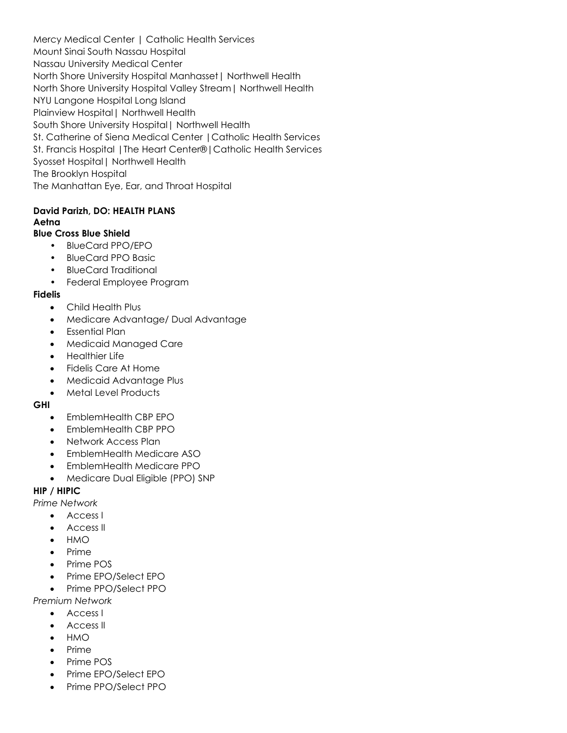Mercy Medical Center | Catholic Health Services Mount Sinai South Nassau Hospital Nassau University Medical Center North Shore University Hospital Manhasset| Northwell Health North Shore University Hospital Valley Stream| Northwell Health NYU Langone Hospital Long Island Plainview Hospital| Northwell Health South Shore University Hospital| Northwell Health St. Catherine of Siena Medical Center |Catholic Health Services St. Francis Hospital |The Heart Center®|Catholic Health Services Syosset Hospital| Northwell Health The Brooklyn Hospital The Manhattan Eye, Ear, and Throat Hospital

### **David Parizh, DO: HEALTH PLANS Aetna**

### **Blue Cross Blue Shield**

- BlueCard PPO/EPO
- BlueCard PPO Basic
- BlueCard Traditional
- Federal Employee Program

### **Fidelis**

- Child Health Plus
- Medicare Advantage/ Dual Advantage
- Essential Plan
- Medicaid Managed Care
- Healthier Life
- Fidelis Care At Home
- Medicaid Advantage Plus
- Metal Level Products

### **GHI**

- EmblemHealth CBP EPO
- EmblemHealth CBP PPO
- Network Access Plan
- EmblemHealth Medicare ASO
- EmblemHealth Medicare PPO
- Medicare Dual Eligible (PPO) SNP

## **HIP / HIPIC**

*Prime Network*

- Access I
- Access II
- HMO
- Prime
- Prime POS
- Prime EPO/Select EPO
- Prime PPO/Select PPO

*Premium Network*

- Access I
- Access II
- HMO
- Prime
- Prime POS
- Prime EPO/Select EPO
- Prime PPO/Select PPO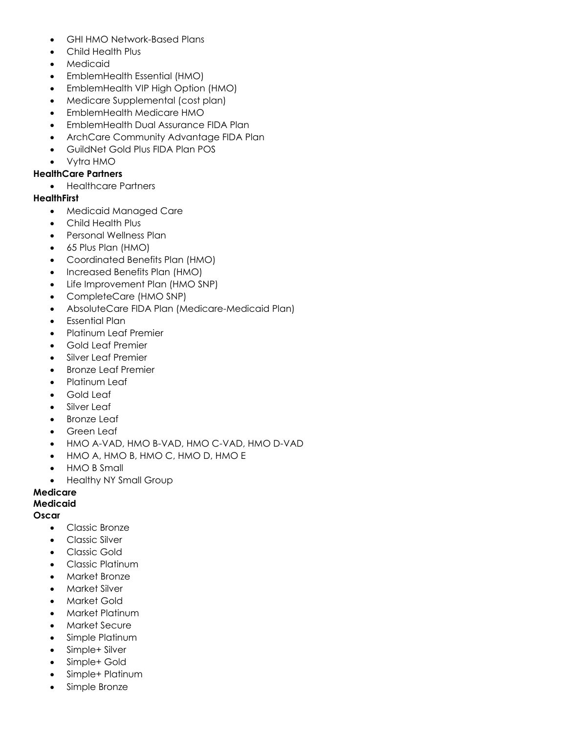- GHI HMO Network-Based Plans
- Child Health Plus
- Medicaid
- EmblemHealth Essential (HMO)
- EmblemHealth VIP High Option (HMO)
- Medicare Supplemental (cost plan)
- EmblemHealth Medicare HMO
- EmblemHealth Dual Assurance FIDA Plan
- ArchCare Community Advantage FIDA Plan
- GuildNet Gold Plus FIDA Plan POS
- Vytra HMO

### **HealthCare Partners**

• Healthcare Partners

#### **HealthFirst**

- Medicaid Managed Care
- Child Health Plus
- Personal Wellness Plan
- 65 Plus Plan (HMO)
- Coordinated Benefits Plan (HMO)
- Increased Benefits Plan (HMO)
- Life Improvement Plan (HMO SNP)
- CompleteCare (HMO SNP)
- AbsoluteCare FIDA Plan (Medicare-Medicaid Plan)
- Essential Plan
- Platinum Leaf Premier
- Gold Leaf Premier
- Silver Leaf Premier
- Bronze Leaf Premier
- Platinum Leaf
- Gold Leaf
- Silver Leaf
- **Bronze Leaf**
- Green Leaf
- HMO A-VAD, HMO B-VAD, HMO C-VAD, HMO D-VAD
- HMO A, HMO B, HMO C, HMO D, HMO E
- HMO B Small
- Healthy NY Small Group

### **Medicare**

### **Medicaid**

#### **Oscar**

- Classic Bronze
- Classic Silver
- Classic Gold
- Classic Platinum
- Market Bronze
- Market Silver
- Market Gold
- Market Platinum
- Market Secure
- Simple Platinum
- Simple+ Silver
- Simple+ Gold
- Simple+ Platinum
- Simple Bronze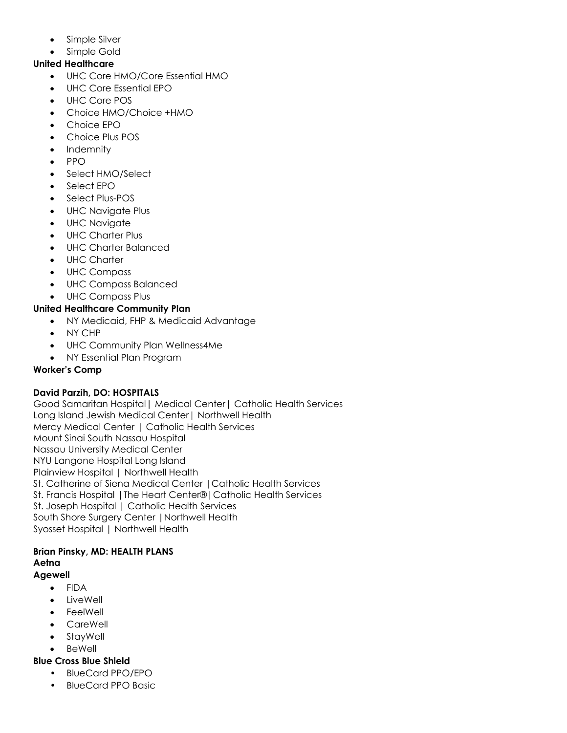- Simple Silver
- Simple Gold

### **United Healthcare**

- UHC Core HMO/Core Essential HMO
- UHC Core Essential EPO
- UHC Core POS
- Choice HMO/Choice +HMO
- Choice EPO
- Choice Plus POS
- Indemnity
- PPO
- Select HMO/Select
- Select FPO
- Select Plus-POS
- UHC Navigate Plus
- UHC Navigate
- UHC Charter Plus
- UHC Charter Balanced
- UHC Charter
- UHC Compass
- UHC Compass Balanced
- UHC Compass Plus

### **United Healthcare Community Plan**

- NY Medicaid, FHP & Medicaid Advantage
- NY CHP
- UHC Community Plan Wellness4Me
- NY Essential Plan Program

### **Worker's Comp**

### **David Parzih, DO: HOSPITALS**

Good Samaritan Hospital| Medical Center| Catholic Health Services Long Island Jewish Medical Center| Northwell Health Mercy Medical Center | Catholic Health Services Mount Sinai South Nassau Hospital Nassau University Medical Center NYU Langone Hospital Long Island Plainview Hospital | Northwell Health St. Catherine of Siena Medical Center |Catholic Health Services St. Francis Hospital |The Heart Center®|Catholic Health Services St. Joseph Hospital | Catholic Health Services South Shore Surgery Center |Northwell Health Syosset Hospital | Northwell Health

# **Brian Pinsky, MD: HEALTH PLANS Aetna**

# **Agewell**

- FIDA
- LiveWell
- **FeelWell**
- CareWell
- StayWell
- BeWell

## **Blue Cross Blue Shield**

- BlueCard PPO/EPO
- BlueCard PPO Basic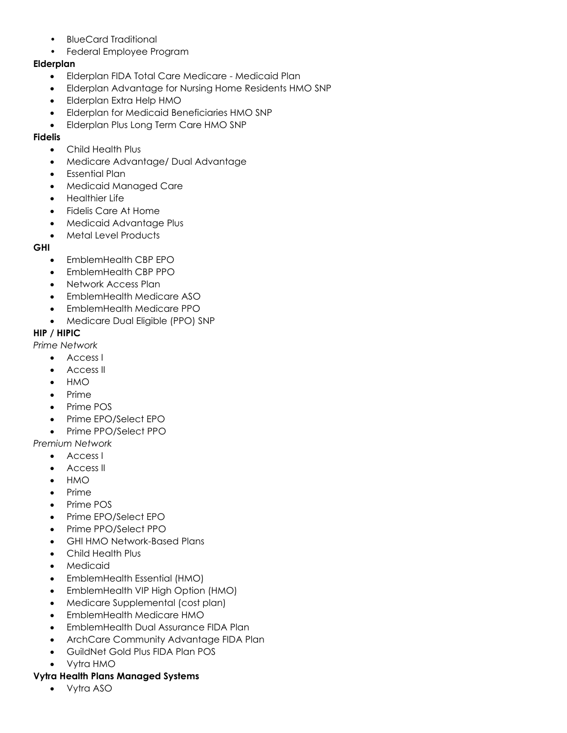- BlueCard Traditional
- Federal Employee Program

### **Elderplan**

- Elderplan FIDA Total Care Medicare Medicaid Plan
- Elderplan Advantage for Nursing Home Residents HMO SNP
- Elderplan Extra Help HMO
- Elderplan for Medicaid Beneficiaries HMO SNP
- Elderplan Plus Long Term Care HMO SNP

### **Fidelis**

- Child Health Plus
- Medicare Advantage/ Dual Advantage
- Essential Plan
- Medicaid Managed Care
- Healthier Life
- Fidelis Care At Home
- Medicaid Advantage Plus
- Metal Level Products

### **GHI**

- EmblemHealth CBP EPO
- EmblemHealth CBP PPO
- Network Access Plan
- EmblemHealth Medicare ASO
- EmblemHealth Medicare PPO
- Medicare Dual Eligible (PPO) SNP

### **HIP / HIPIC**

*Prime Network*

- Access I
- Access II
- HMO
- Prime
- Prime POS
- Prime EPO/Select EPO
- Prime PPO/Select PPO

*Premium Network*

- Access I
- Access II
- HMO
- Prime
- Prime POS
- Prime EPO/Select EPO
- Prime PPO/Select PPO
- GHI HMO Network-Based Plans
- Child Health Plus
- **Medicaid**
- EmblemHealth Essential (HMO)
- EmblemHealth VIP High Option (HMO)
- Medicare Supplemental (cost plan)
- EmblemHealth Medicare HMO
- EmblemHealth Dual Assurance FIDA Plan
- ArchCare Community Advantage FIDA Plan
- GuildNet Gold Plus FIDA Plan POS
- Vytra HMO

# **Vytra Health Plans Managed Systems**

• Vytra ASO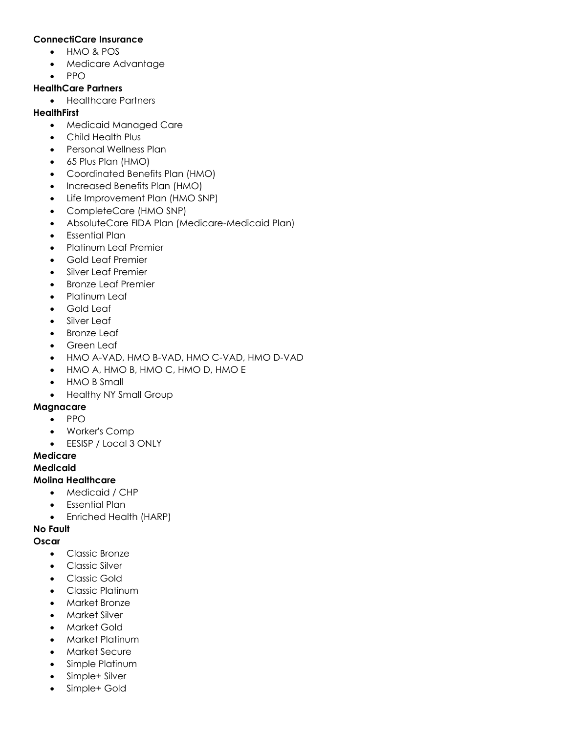#### **ConnectiCare Insurance**

- HMO & POS
- Medicare Advantage
- PPO

### **HealthCare Partners**

• Healthcare Partners

### **HealthFirst**

- Medicaid Managed Care
- Child Health Plus
- Personal Wellness Plan
- 65 Plus Plan (HMO)
- Coordinated Benefits Plan (HMO)
- Increased Benefits Plan (HMO)
- Life Improvement Plan (HMO SNP)
- CompleteCare (HMO SNP)
- AbsoluteCare FIDA Plan (Medicare-Medicaid Plan)
- Essential Plan
- Platinum Leaf Premier
- Gold Leaf Premier
- Silver Leaf Premier
- Bronze Leaf Premier
- Platinum Leaf
- Gold Leaf
- Silver Leaf
- **Bronze Leaf**
- Green Leaf
- HMO A-VAD, HMO B-VAD, HMO C-VAD, HMO D-VAD
- HMO A, HMO B, HMO C, HMO D, HMO E
- HMO B Small
- Healthy NY Small Group

### **Magnacare**

- PPO
- Worker's Comp
- EESISP / Local 3 ONLY

### **Medicare**

### **Medicaid**

### **Molina Healthcare**

- Medicaid / CHP
- Essential Plan
- Enriched Health (HARP)

# **No Fault**

## **Oscar**

- Classic Bronze
- Classic Silver
- Classic Gold
- Classic Platinum
- Market Bronze
- Market Silver
- **Market Gold**
- Market Platinum
- Market Secure
- Simple Platinum
- Simple+ Silver
- Simple+ Gold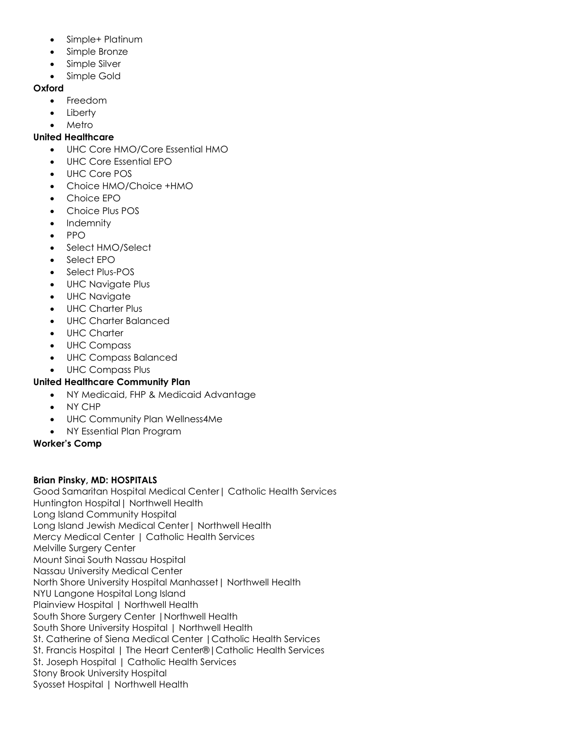- Simple+ Platinum
- Simple Bronze
- Simple Silver
- Simple Gold

### **Oxford**

- Freedom
- **Liberty**
- Metro

### **United Healthcare**

- UHC Core HMO/Core Essential HMO
- UHC Core Essential EPO
- UHC Core POS
- Choice HMO/Choice +HMO
- Choice EPO
- Choice Plus POS
- Indemnity
- PPO
- Select HMO/Select
- Select FPO
- Select Plus-POS
- UHC Navigate Plus
- UHC Navigate
- UHC Charter Plus
- UHC Charter Balanced
- UHC Charter
- UHC Compass
- UHC Compass Balanced
- UHC Compass Plus

## **United Healthcare Community Plan**

- NY Medicaid, FHP & Medicaid Advantage
- NY CHP
- UHC Community Plan Wellness4Me
- NY Essential Plan Program

### **Worker's Comp**

### **Brian Pinsky, MD: HOSPITALS**

Good Samaritan Hospital Medical Center| Catholic Health Services Huntington Hospital| Northwell Health Long Island Community Hospital Long Island Jewish Medical Center| Northwell Health Mercy Medical Center | Catholic Health Services Melville Surgery Center Mount Sinai South Nassau Hospital Nassau University Medical Center North Shore University Hospital Manhasset| Northwell Health NYU Langone Hospital Long Island Plainview Hospital | Northwell Health South Shore Surgery Center |Northwell Health South Shore University Hospital | Northwell Health St. Catherine of Siena Medical Center |Catholic Health Services St. Francis Hospital | The Heart Center®|Catholic Health Services St. Joseph Hospital | Catholic Health Services Stony Brook University Hospital Syosset Hospital | Northwell Health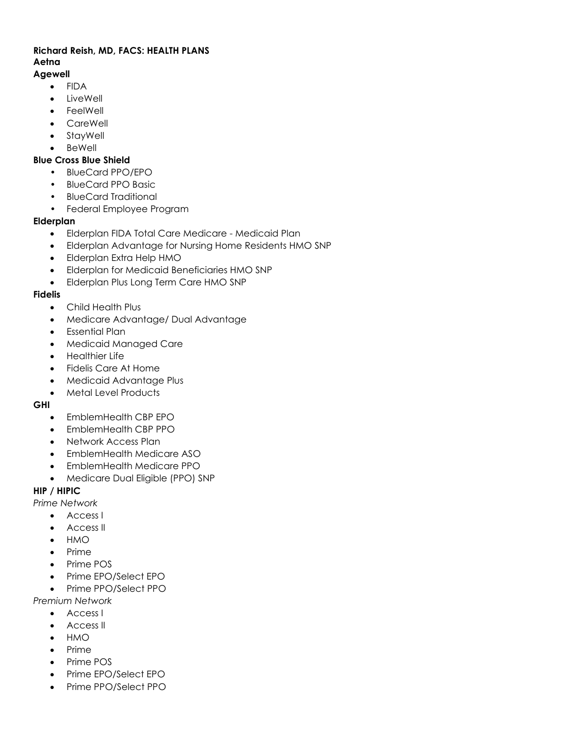# **Richard Reish, MD, FACS: HEALTH PLANS Aetna**

# **Agewell**

- FIDA
- LiveWell
- **FeelWell**
- CareWell
- StayWell
- **BeWell**

### **Blue Cross Blue Shield**

- BlueCard PPO/EPO
- BlueCard PPO Basic
- BlueCard Traditional
- Federal Employee Program

### **Elderplan**

- Elderplan FIDA Total Care Medicare Medicaid Plan
- Elderplan Advantage for Nursing Home Residents HMO SNP
- Elderplan Extra Help HMO
- Elderplan for Medicaid Beneficiaries HMO SNP
- Elderplan Plus Long Term Care HMO SNP

## **Fidelis**

- Child Health Plus
- Medicare Advantage/ Dual Advantage
- Essential Plan
- Medicaid Managed Care
- Healthier Life
- Fidelis Care At Home
- Medicaid Advantage Plus
- Metal Level Products

### **GHI**

- EmblemHealth CBP EPO
- EmblemHealth CBP PPO
- Network Access Plan
- EmblemHealth Medicare ASO
- EmblemHealth Medicare PPO
- Medicare Dual Eligible (PPO) SNP

## **HIP / HIPIC**

*Prime Network*

- Access I
- Access II
- HMO
- Prime
- Prime POS
- Prime EPO/Select EPO
- Prime PPO/Select PPO

*Premium Network*

- Access I
- Access II
- HMO
- Prime
- Prime POS
- Prime EPO/Select EPO
- Prime PPO/Select PPO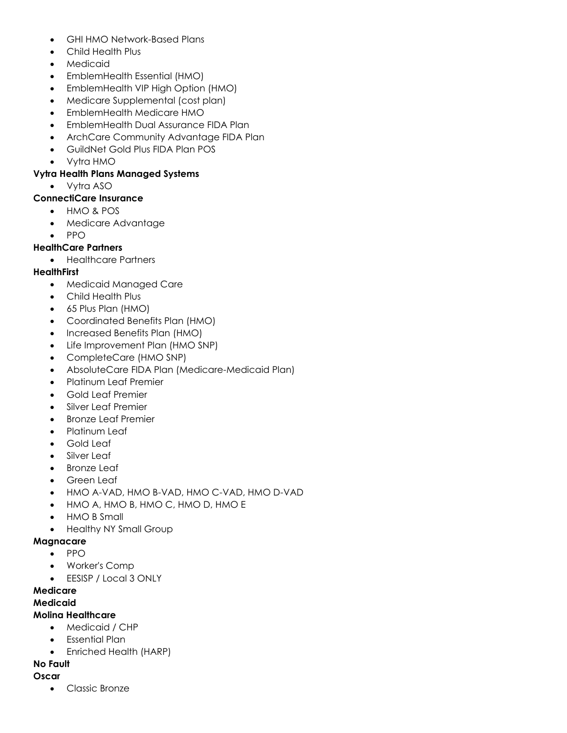- GHI HMO Network-Based Plans
- Child Health Plus
- Medicaid
- EmblemHealth Essential (HMO)
- EmblemHealth VIP High Option (HMO)
- Medicare Supplemental (cost plan)
- EmblemHealth Medicare HMO
- EmblemHealth Dual Assurance FIDA Plan
- ArchCare Community Advantage FIDA Plan
- GuildNet Gold Plus FIDA Plan POS
- Vytra HMO

### **Vytra Health Plans Managed Systems**

• Vytra ASO

#### **ConnectiCare Insurance**

- HMO & POS
- Medicare Advantage
- PPO

### **HealthCare Partners**

• Healthcare Partners

#### **HealthFirst**

- Medicaid Managed Care
- Child Health Plus
- 65 Plus Plan (HMO)
- Coordinated Benefits Plan (HMO)
- Increased Benefits Plan (HMO)
- Life Improvement Plan (HMO SNP)
- CompleteCare (HMO SNP)
- AbsoluteCare FIDA Plan (Medicare-Medicaid Plan)
- Platinum Leaf Premier
- Gold Leaf Premier
- Silver Leaf Premier
- Bronze Leaf Premier
- Platinum Leaf
- Gold Leaf
- Silver Leaf
- **Bronze Leaf**
- Green Leaf
- HMO A-VAD, HMO B-VAD, HMO C-VAD, HMO D-VAD
- HMO A, HMO B, HMO C, HMO D, HMO E
- HMO B Small
- Healthy NY Small Group

#### **Magnacare**

- PPO
- Worker's Comp
- EESISP / Local 3 ONLY

## **Medicare**

#### **Medicaid**

### **Molina Healthcare**

- Medicaid / CHP
- Essential Plan
- Enriched Health (HARP)

## **No Fault**

#### **Oscar**

• Classic Bronze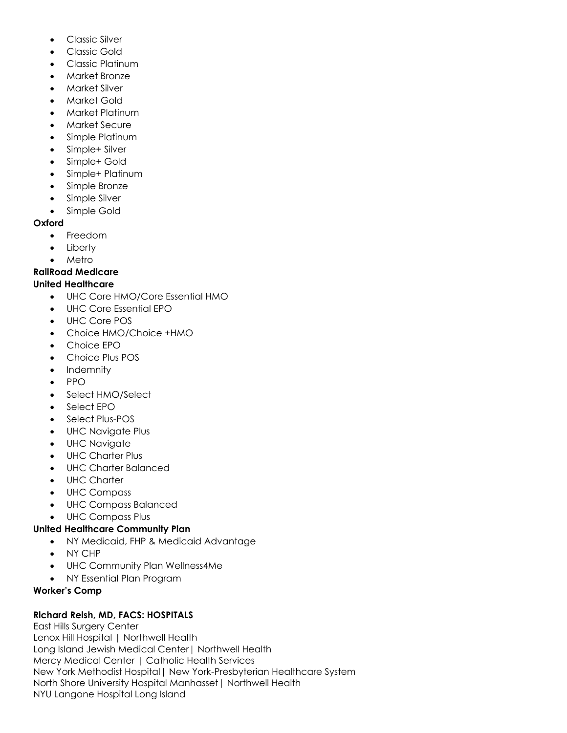- Classic Silver
- Classic Gold
- Classic Platinum
- Market Bronze
- Market Silver
- Market Gold
- Market Platinum
- Market Secure
- Simple Platinum
- Simple+ Silver
- Simple+ Gold
- Simple+ Platinum
- Simple Bronze
- Simple Silver
- Simple Gold

## **Oxford**

- Freedom
- **Liberty**
- **Metro**

# **RailRoad Medicare**

# **United Healthcare**

- UHC Core HMO/Core Essential HMO
- UHC Core Essential EPO
- UHC Core POS
- Choice HMO/Choice +HMO
- Choice EPO
- Choice Plus POS
- Indemnity
- PPO
- Select HMO/Select
- Select EPO
- Select Plus-POS
- UHC Navigate Plus
- UHC Navigate
- UHC Charter Plus
- UHC Charter Balanced
- UHC Charter
- UHC Compass
- UHC Compass Balanced
- UHC Compass Plus

# **United Healthcare Community Plan**

- NY Medicaid, FHP & Medicaid Advantage
- NY CHP
- UHC Community Plan Wellness4Me
- NY Essential Plan Program

## **Worker's Comp**

# **Richard Reish, MD, FACS: HOSPITALS**

East Hills Surgery Center Lenox Hill Hospital | Northwell Health Long Island Jewish Medical Center| Northwell Health Mercy Medical Center | Catholic Health Services New York Methodist Hospital| New York-Presbyterian Healthcare System North Shore University Hospital Manhasset| Northwell Health NYU Langone Hospital Long Island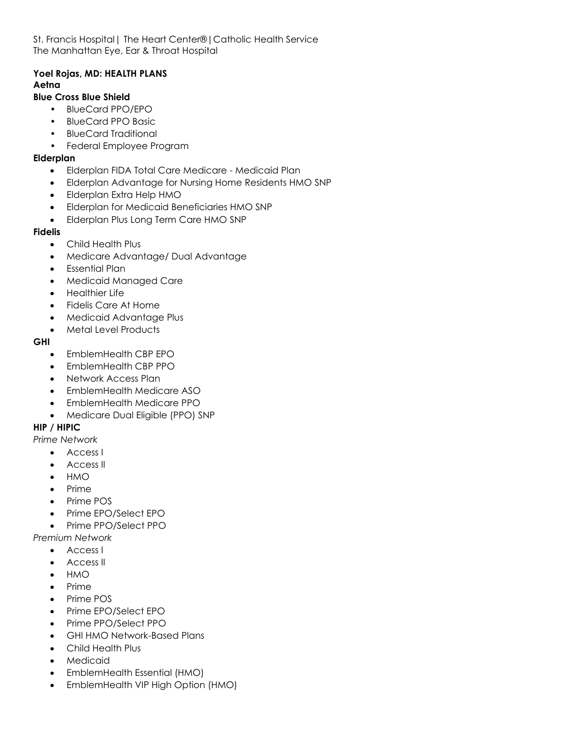St. Francis Hospital| The Heart Center®|Catholic Health Service The Manhattan Eye, Ear & Throat Hospital

### **Yoel Rojas, MD: HEALTH PLANS Aetna**

### **Blue Cross Blue Shield**

- BlueCard PPO/EPO
- BlueCard PPO Basic
- BlueCard Traditional
- Federal Employee Program

#### **Elderplan**

- Elderplan FIDA Total Care Medicare Medicaid Plan
- Elderplan Advantage for Nursing Home Residents HMO SNP
- Elderplan Extra Help HMO
- Elderplan for Medicaid Beneficiaries HMO SNP
- Elderplan Plus Long Term Care HMO SNP

#### **Fidelis**

- Child Health Plus
- Medicare Advantage/ Dual Advantage
- Essential Plan
- Medicaid Managed Care
- Healthier Life
- Fidelis Care At Home
- Medicaid Advantage Plus
- Metal Level Products

#### **GHI**

- EmblemHealth CBP EPO
- EmblemHealth CBP PPO
- Network Access Plan
- EmblemHealth Medicare ASO
- EmblemHealth Medicare PPO
- Medicare Dual Eligible (PPO) SNP

### **HIP / HIPIC**

- *Prime Network*
	- Access I
	- Access II
	- HMO
	- Prime
	- Prime POS
	- Prime EPO/Select EPO
	- Prime PPO/Select PPO

### *Premium Network*

- Access I
- Access II
- HMO
- Prime
- Prime POS
- Prime EPO/Select EPO
- Prime PPO/Select PPO
- GHI HMO Network-Based Plans
- Child Health Plus
- **Medicaid**
- EmblemHealth Essential (HMO)
- EmblemHealth VIP High Option (HMO)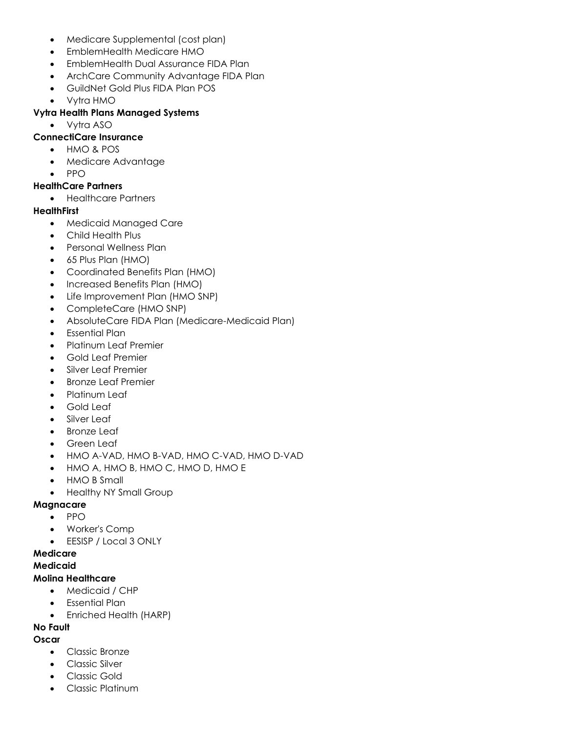- Medicare Supplemental (cost plan)
- EmblemHealth Medicare HMO
- EmblemHealth Dual Assurance FIDA Plan
- ArchCare Community Advantage FIDA Plan
- GuildNet Gold Plus FIDA Plan POS
- Vytra HMO

#### **Vytra Health Plans Managed Systems**

• Vytra ASO

#### **ConnectiCare Insurance**

- HMO & POS
- Medicare Advantage
- PPO

#### **HealthCare Partners**

• Healthcare Partners

#### **HealthFirst**

- Medicaid Managed Care
- Child Health Plus
- Personal Wellness Plan
- 65 Plus Plan (HMO)
- Coordinated Benefits Plan (HMO)
- Increased Benefits Plan (HMO)
- Life Improvement Plan (HMO SNP)
- CompleteCare (HMO SNP)
- AbsoluteCare FIDA Plan (Medicare-Medicaid Plan)
- Essential Plan
- Platinum Leaf Premier
- Gold Leaf Premier
- Silver Leaf Premier
- Bronze Leaf Premier
- Platinum Leaf
- Gold Leaf
- Silver Leaf
- **Bronze Leaf**
- Green Leaf
- HMO A-VAD, HMO B-VAD, HMO C-VAD, HMO D-VAD
- HMO A, HMO B, HMO C, HMO D, HMO E
- HMO B Small
- Healthy NY Small Group

### **Magnacare**

- PPO
- Worker's Comp
- EESISP / Local 3 ONLY

### **Medicare**

#### **Medicaid**

#### **Molina Healthcare**

- Medicaid / CHP
- Essential Plan
- Enriched Health (HARP)

# **No Fault**

- **Oscar**
	- Classic Bronze
	- Classic Silver
	- Classic Gold
	- Classic Platinum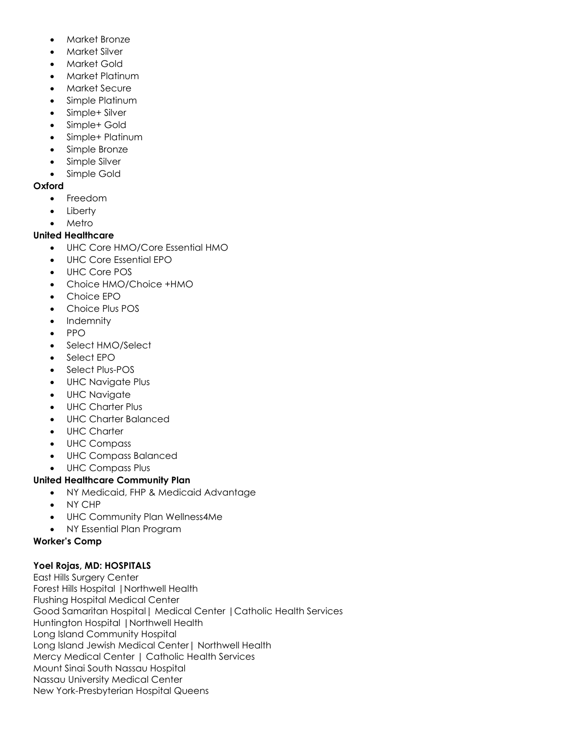- Market Bronze
- Market Silver
- Market Gold
- Market Platinum
- Market Secure
- Simple Platinum
- Simple+ Silver
- Simple+ Gold
- Simple+ Platinum
- Simple Bronze
- Simple Silver
- Simple Gold

### **Oxford**

- Freedom
- Liberty
- Metro

## **United Healthcare**

- UHC Core HMO/Core Essential HMO
- UHC Core Essential EPO
- UHC Core POS
- Choice HMO/Choice +HMO
- Choice EPO
- Choice Plus POS
- Indemnity
- PPO
- Select HMO/Select
- Select EPO
- Select Plus-POS
- UHC Navigate Plus
- UHC Navigate
- UHC Charter Plus
- UHC Charter Balanced
- UHC Charter
- UHC Compass
- UHC Compass Balanced
- UHC Compass Plus

## **United Healthcare Community Plan**

- NY Medicaid, FHP & Medicaid Advantage
- NY CHP
- UHC Community Plan Wellness4Me
- NY Essential Plan Program

## **Worker's Comp**

## **Yoel Rojas, MD: HOSPITALS**

East Hills Surgery Center Forest Hills Hospital |Northwell Health Flushing Hospital Medical Center Good Samaritan Hospital| Medical Center |Catholic Health Services Huntington Hospital |Northwell Health Long Island Community Hospital Long Island Jewish Medical Center| Northwell Health Mercy Medical Center | Catholic Health Services Mount Sinai South Nassau Hospital Nassau University Medical Center New York-Presbyterian Hospital Queens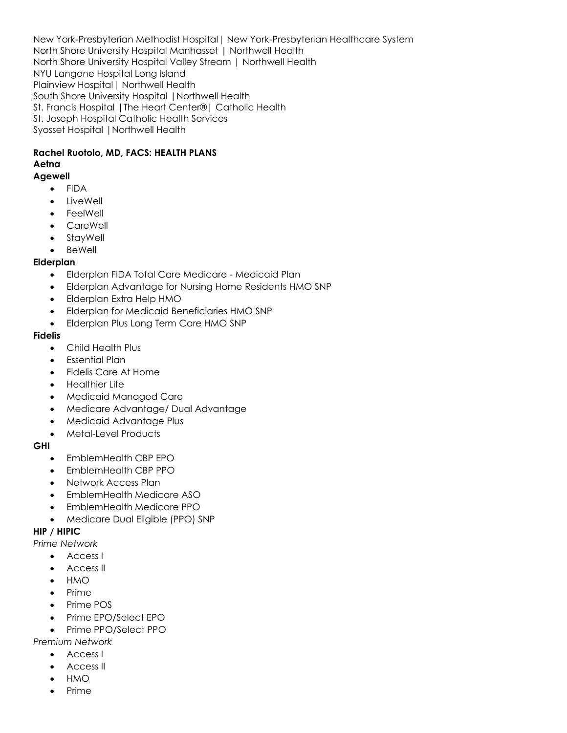New York-Presbyterian Methodist Hospital| New York-Presbyterian Healthcare System North Shore University Hospital Manhasset | Northwell Health North Shore University Hospital Valley Stream | Northwell Health NYU Langone Hospital Long Island Plainview Hospital| Northwell Health South Shore University Hospital |Northwell Health St. Francis Hospital |The Heart Center®| Catholic Health St. Joseph Hospital Catholic Health Services Syosset Hospital |Northwell Health

## **Rachel Ruotolo, MD, FACS: HEALTH PLANS Aetna**

#### **Agewell**

- FIDA
- LiveWell
- FeelWell
- CareWell
- **StayWell**
- **BeWell**

### **Elderplan**

- Elderplan FIDA Total Care Medicare Medicaid Plan
- Elderplan Advantage for Nursing Home Residents HMO SNP
- Elderplan Extra Help HMO
- Elderplan for Medicaid Beneficiaries HMO SNP
- Elderplan Plus Long Term Care HMO SNP

### **Fidelis**

- Child Health Plus
- Essential Plan
- Fidelis Care At Home
- Healthier Life
- Medicaid Managed Care
- Medicare Advantage/ Dual Advantage
- Medicaid Advantage Plus
- Metal-Level Products

### **GHI**

- EmblemHealth CBP EPO
- EmblemHealth CBP PPO
- Network Access Plan
- EmblemHealth Medicare ASO
- EmblemHealth Medicare PPO
- Medicare Dual Eligible (PPO) SNP

### **HIP / HIPIC**

*Prime Network*

- Access I
- Access II
- HMO
- Prime
- Prime POS
- Prime EPO/Select EPO
- Prime PPO/Select PPO

*Premium Network*

- Access I
- Access II
- HMO
- Prime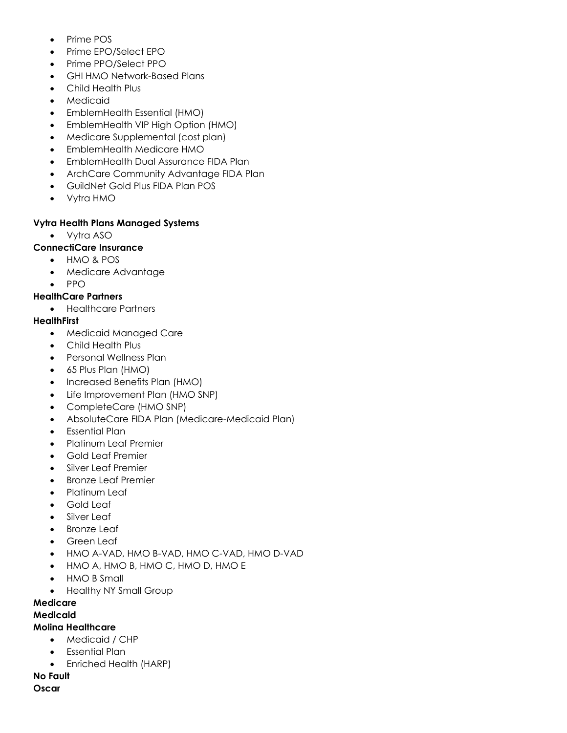- Prime POS
- Prime EPO/Select EPO
- Prime PPO/Select PPO
- GHI HMO Network-Based Plans
- Child Health Plus
- **Medicaid**
- EmblemHealth Essential (HMO)
- EmblemHealth VIP High Option (HMO)
- Medicare Supplemental (cost plan)
- EmblemHealth Medicare HMO
- EmblemHealth Dual Assurance FIDA Plan
- ArchCare Community Advantage FIDA Plan
- GuildNet Gold Plus FIDA Plan POS
- Vytra HMO

### **Vytra Health Plans Managed Systems**

• Vytra ASO

## **ConnectiCare Insurance**

- HMO & POS
- Medicare Advantage
- PPO

### **HealthCare Partners**

• Healthcare Partners

### **HealthFirst**

- Medicaid Managed Care
- Child Health Plus
- Personal Wellness Plan
- 65 Plus Plan (HMO)
- Increased Benefits Plan (HMO)
- Life Improvement Plan (HMO SNP)
- CompleteCare (HMO SNP)
- AbsoluteCare FIDA Plan (Medicare-Medicaid Plan)
- Essential Plan
- Platinum Leaf Premier
- Gold Leaf Premier
- Silver Leaf Premier
- Bronze Leaf Premier
- Platinum Leaf
- Gold Leaf
- Silver Leaf
- **Bronze Leaf**
- Green Leaf
- HMO A-VAD, HMO B-VAD, HMO C-VAD, HMO D-VAD
- HMO A, HMO B, HMO C, HMO D, HMO E
- HMO B Small
- Healthy NY Small Group

### **Medicare**

### **Medicaid**

### **Molina Healthcare**

- Medicaid / CHP
	- Essential Plan
	- Enriched Health (HARP)

### **No Fault**

**Oscar**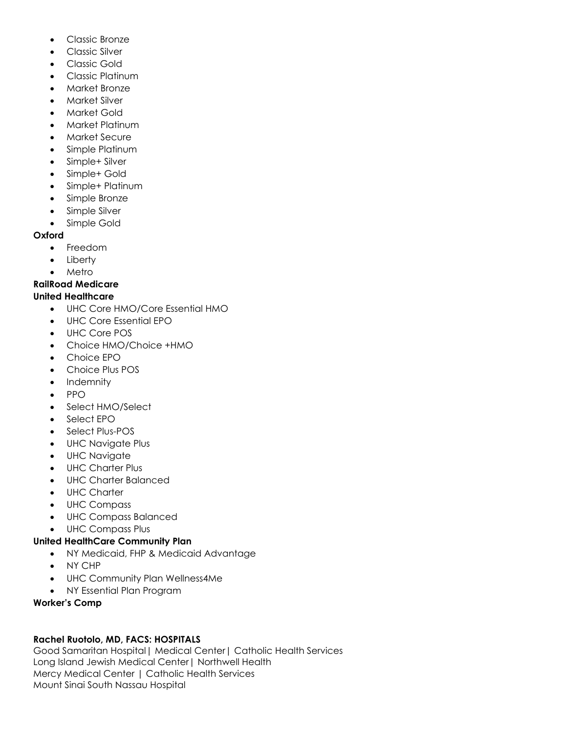- Classic Bronze
- Classic Silver
- Classic Gold
- Classic Platinum
- Market Bronze
- Market Silver
- Market Gold
- Market Platinum
- Market Secure
- Simple Platinum
- Simple+ Silver
- Simple+ Gold
- Simple+ Platinum
- Simple Bronze
- Simple Silver
- Simple Gold

### **Oxford**

- Freedom
- Liberty
- Metro

## **RailRoad Medicare**

### **United Healthcare**

- UHC Core HMO/Core Essential HMO
- UHC Core Essential EPO
- UHC Core POS
- Choice HMO/Choice +HMO
- Choice EPO
- Choice Plus POS
- Indemnity
- PPO
- Select HMO/Select
- Select EPO
- Select Plus-POS
- UHC Navigate Plus
- UHC Navigate
- UHC Charter Plus
- UHC Charter Balanced
- UHC Charter
- UHC Compass
- UHC Compass Balanced
- UHC Compass Plus

### **United HealthCare Community Plan**

- NY Medicaid, FHP & Medicaid Advantage
- NY CHP
- UHC Community Plan Wellness4Me
- NY Essential Plan Program

### **Worker's Comp**

## **Rachel Ruotolo, MD, FACS: HOSPITALS**

Good Samaritan Hospital| Medical Center| Catholic Health Services Long Island Jewish Medical Center| Northwell Health Mercy Medical Center | Catholic Health Services Mount Sinai South Nassau Hospital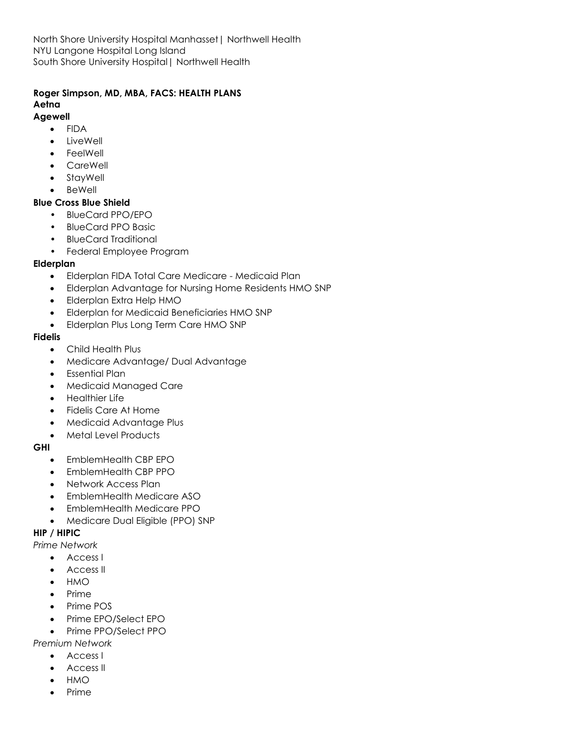North Shore University Hospital Manhasset| Northwell Health NYU Langone Hospital Long Island South Shore University Hospital| Northwell Health

## **Roger Simpson, MD, MBA, FACS: HEALTH PLANS Aetna**

#### **Agewell**

- FIDA
- LiveWell
- **FeelWell**
- CareWell
- **StayWell**
- **BeWell**

### **Blue Cross Blue Shield**

- BlueCard PPO/EPO
- BlueCard PPO Basic
- BlueCard Traditional
- Federal Employee Program

### **Elderplan**

- Elderplan FIDA Total Care Medicare Medicaid Plan
- Elderplan Advantage for Nursing Home Residents HMO SNP
- Elderplan Extra Help HMO
- Elderplan for Medicaid Beneficiaries HMO SNP
- Elderplan Plus Long Term Care HMO SNP

### **Fidelis**

- Child Health Plus
- Medicare Advantage/ Dual Advantage
- Essential Plan
- Medicaid Managed Care
- Healthier Life
- Fidelis Care At Home
- Medicaid Advantage Plus
- Metal Level Products

### **GHI**

- EmblemHealth CBP EPO
- EmblemHealth CBP PPO
- Network Access Plan
- EmblemHealth Medicare ASO
- EmblemHealth Medicare PPO
- Medicare Dual Eligible (PPO) SNP

## **HIP / HIPIC**

- *Prime Network*
	- Access I
	- Access II
	- HMO
	- Prime
	- Prime POS
	- Prime EPO/Select EPO
	- Prime PPO/Select PPO
- *Premium Network*
	- Access I
	- Access II
	- HMO
	- Prime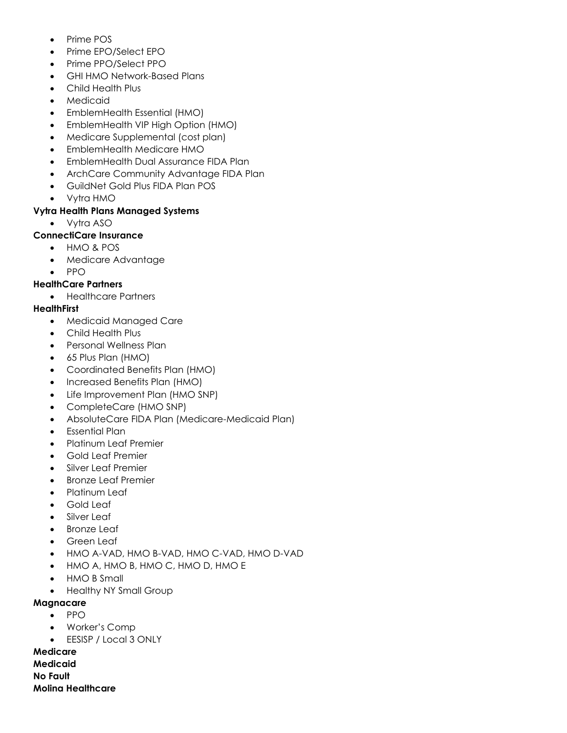- Prime POS
- Prime EPO/Select EPO
- Prime PPO/Select PPO
- GHI HMO Network-Based Plans
- Child Health Plus
- Medicaid
- EmblemHealth Essential (HMO)
- EmblemHealth VIP High Option (HMO)
- Medicare Supplemental (cost plan)
- EmblemHealth Medicare HMO
- EmblemHealth Dual Assurance FIDA Plan
- ArchCare Community Advantage FIDA Plan
- GuildNet Gold Plus FIDA Plan POS
- Vytra HMO

# **Vytra Health Plans Managed Systems**

• Vytra ASO

# **ConnectiCare Insurance**

- HMO & POS
- Medicare Advantage
- PPO

# **HealthCare Partners**

• Healthcare Partners

## **HealthFirst**

- Medicaid Managed Care
- Child Health Plus
- Personal Wellness Plan
- 65 Plus Plan (HMO)
- Coordinated Benefits Plan (HMO)
- Increased Benefits Plan (HMO)
- Life Improvement Plan (HMO SNP)
- CompleteCare (HMO SNP)
- AbsoluteCare FIDA Plan (Medicare-Medicaid Plan)
- Essential Plan
- Platinum Leaf Premier
- Gold Leaf Premier
- Silver Leaf Premier
- Bronze Leaf Premier
- Platinum Leaf
- Gold Leaf
- Silver Leaf
- **Bronze Leaf**
- Green Leaf
- HMO A-VAD, HMO B-VAD, HMO C-VAD, HMO D-VAD
- HMO A, HMO B, HMO C, HMO D, HMO E
- HMO B Small
- Healthy NY Small Group

## **Magnacare**

- PPO
- Worker's Comp
- EESISP / Local 3 ONLY

**Medicare Medicaid No Fault Molina Healthcare**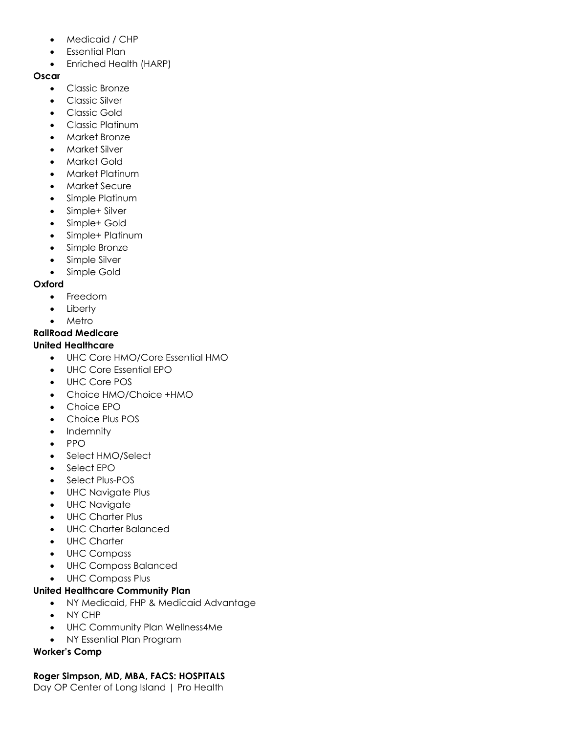- Medicaid / CHP
- Essential Plan
- Enriched Health (HARP)

## **Oscar**

- Classic Bronze
- Classic Silver
- Classic Gold
- Classic Platinum
- Market Bronze
- Market Silver
- Market Gold
- Market Platinum
- Market Secure
- Simple Platinum
- Simple+ Silver
- Simple+ Gold
- Simple+ Platinum
- Simple Bronze
- Simple Silver
- Simple Gold

## **Oxford**

- Freedom
- Liberty
- Metro

# **RailRoad Medicare**

# **United Healthcare**

- UHC Core HMO/Core Essential HMO
- UHC Core Essential EPO
- UHC Core POS
- Choice HMO/Choice +HMO
- Choice EPO
- Choice Plus POS
- Indemnity
- PPO
- Select HMO/Select
- Select EPO
- Select Plus-POS
- UHC Navigate Plus
- UHC Navigate
- UHC Charter Plus
- UHC Charter Balanced
- UHC Charter
- UHC Compass
- UHC Compass Balanced
- UHC Compass Plus

# **United Healthcare Community Plan**

- NY Medicaid, FHP & Medicaid Advantage
- NY CHP
- UHC Community Plan Wellness4Me
- NY Essential Plan Program

# **Worker's Comp**

# **Roger Simpson, MD, MBA, FACS: HOSPITALS**

Day OP Center of Long Island | Pro Health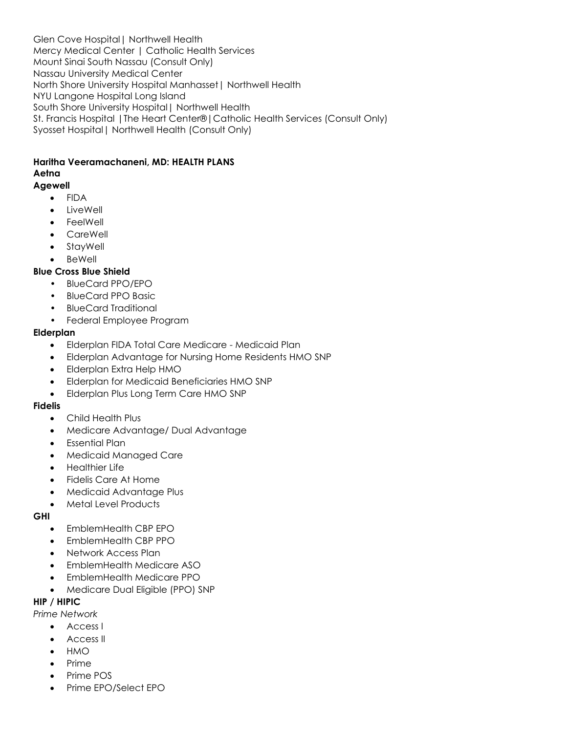Glen Cove Hospital| Northwell Health Mercy Medical Center | Catholic Health Services Mount Sinai South Nassau (Consult Only) Nassau University Medical Center North Shore University Hospital Manhasset| Northwell Health NYU Langone Hospital Long Island South Shore University Hospital| Northwell Health St. Francis Hospital |The Heart Center®|Catholic Health Services (Consult Only) Syosset Hospital| Northwell Health (Consult Only)

#### **Haritha Veeramachaneni, MD: HEALTH PLANS Aetna**

### **Agewell**

- FIDA
- **LiveWell**
- FeelWell
- CareWell
- StayWell
- **BeWell**

### **Blue Cross Blue Shield**

- BlueCard PPO/EPO
- BlueCard PPO Basic
- BlueCard Traditional
- Federal Employee Program

### **Elderplan**

- Elderplan FIDA Total Care Medicare Medicaid Plan
- Elderplan Advantage for Nursing Home Residents HMO SNP
- Elderplan Extra Help HMO
- Elderplan for Medicaid Beneficiaries HMO SNP
- Elderplan Plus Long Term Care HMO SNP

### **Fidelis**

- Child Health Plus
- Medicare Advantage/ Dual Advantage
- Essential Plan
- Medicaid Managed Care
- Healthier Life
- Fidelis Care At Home
- Medicaid Advantage Plus
- Metal Level Products

### **GHI**

- EmblemHealth CBP EPO
- EmblemHealth CBP PPO
- Network Access Plan
- EmblemHealth Medicare ASO
- EmblemHealth Medicare PPO
- Medicare Dual Eligible (PPO) SNP

### **HIP / HIPIC**

*Prime Network*

- Access I
- Access II
- HMO
- Prime
- Prime POS
- Prime EPO/Select EPO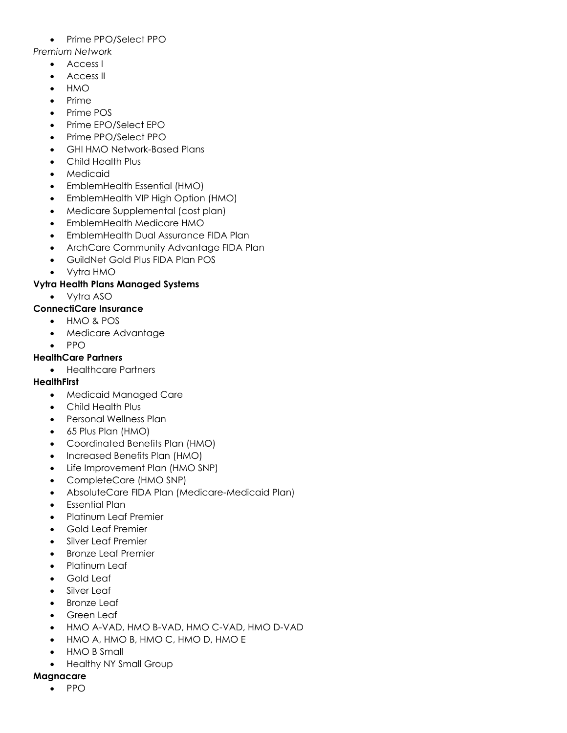## • Prime PPO/Select PPO

*Premium Network*

- Access I
- Access II
- HMO
- Prime
- Prime POS
- Prime EPO/Select EPO
- Prime PPO/Select PPO
- GHI HMO Network-Based Plans
- Child Health Plus
- Medicaid
- EmblemHealth Essential (HMO)
- EmblemHealth VIP High Option (HMO)
- Medicare Supplemental (cost plan)
- EmblemHealth Medicare HMO
- EmblemHealth Dual Assurance FIDA Plan
- ArchCare Community Advantage FIDA Plan
- GuildNet Gold Plus FIDA Plan POS
- Vytra HMO

## **Vytra Health Plans Managed Systems**

• Vytra ASO

## **ConnectiCare Insurance**

- HMO & POS
- Medicare Advantage
- PPO

## **HealthCare Partners**

• Healthcare Partners

## **HealthFirst**

- Medicaid Managed Care
- Child Health Plus
- Personal Wellness Plan
- 65 Plus Plan (HMO)
- Coordinated Benefits Plan (HMO)
- Increased Benefits Plan (HMO)
- Life Improvement Plan (HMO SNP)
- CompleteCare (HMO SNP)
- AbsoluteCare FIDA Plan (Medicare-Medicaid Plan)
- Essential Plan
- Platinum Leaf Premier
- Gold Leaf Premier
- Silver Leaf Premier
- Bronze Leaf Premier
- Platinum Leaf
- Gold Leaf
- Silver Leaf
- **Bronze Leaf**
- Green Leaf
- HMO A-VAD, HMO B-VAD, HMO C-VAD, HMO D-VAD
- HMO A, HMO B, HMO C, HMO D, HMO E
- HMO B Small
- Healthy NY Small Group

## **Magnacare**

• PPO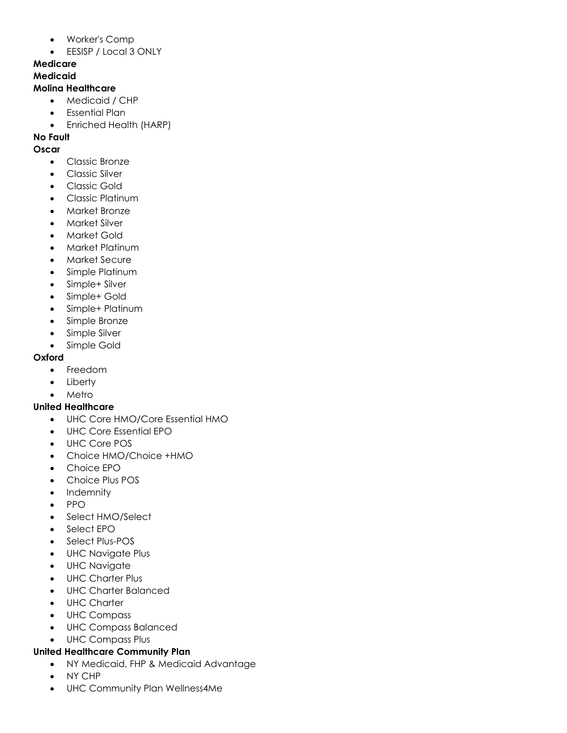- Worker's Comp
- EESISP / Local 3 ONLY

# **Medicare**

# **Medicaid**

## **Molina Healthcare**

- Medicaid / CHP
- Essential Plan
- Enriched Health (HARP)

# **No Fault**

- **Oscar**
	- Classic Bronze
	- Classic Silver
	- Classic Gold
	- Classic Platinum
	- Market Bronze
	- Market Silver
	- Market Gold
	- Market Platinum
	- Market Secure
	- Simple Platinum
	- Simple+ Silver
	- Simple+ Gold
	- Simple+ Platinum
	- Simple Bronze
	- Simple Silver
	- Simple Gold

## **Oxford**

- Freedom
- Liberty
- Metro

## **United Healthcare**

- UHC Core HMO/Core Essential HMO
- UHC Core Essential EPO
- UHC Core POS
- Choice HMO/Choice +HMO
- Choice EPO
- Choice Plus POS
- Indemnity
- PPO
- Select HMO/Select
- Select EPO
- Select Plus-POS
- UHC Navigate Plus
- UHC Navigate
- UHC Charter Plus
- UHC Charter Balanced
- UHC Charter
- UHC Compass
- UHC Compass Balanced
- UHC Compass Plus

## **United Healthcare Community Plan**

- NY Medicaid, FHP & Medicaid Advantage
- NY CHP
- UHC Community Plan Wellness4Me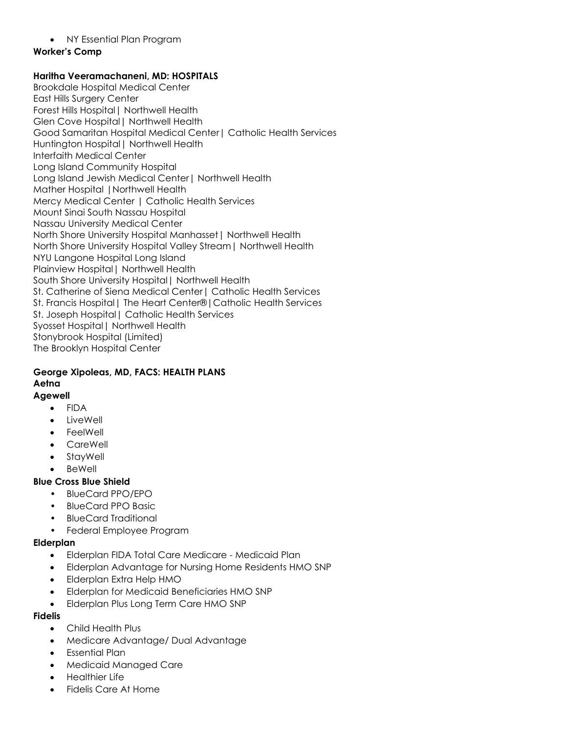#### • NY Essential Plan Program

#### **Worker's Comp**

#### **Haritha Veeramachaneni, MD: HOSPITALS**

Brookdale Hospital Medical Center East Hills Surgery Center Forest Hills Hospital| Northwell Health Glen Cove Hospital| Northwell Health Good Samaritan Hospital Medical Center| Catholic Health Services Huntington Hospital| Northwell Health Interfaith Medical Center Long Island Community Hospital Long Island Jewish Medical Center| Northwell Health Mather Hospital |Northwell Health Mercy Medical Center | Catholic Health Services Mount Sinai South Nassau Hospital Nassau University Medical Center North Shore University Hospital Manhasset| Northwell Health North Shore University Hospital Valley Stream| Northwell Health NYU Langone Hospital Long Island Plainview Hospital| Northwell Health South Shore University Hospital| Northwell Health St. Catherine of Siena Medical Center | Catholic Health Services St. Francis Hospital| The Heart Center®|Catholic Health Services St. Joseph Hospital| Catholic Health Services Syosset Hospital| Northwell Health Stonybrook Hospital (Limited) The Brooklyn Hospital Center

## **George Xipoleas, MD, FACS: HEALTH PLANS Aetna**

## **Agewell**

- FIDA
- LiveWell
- **FeelWell**
- CareWell
- **StavWell**
- **BeWell**

## **Blue Cross Blue Shield**

- BlueCard PPO/EPO
- BlueCard PPO Basic
- BlueCard Traditional
- Federal Employee Program

## **Elderplan**

- Elderplan FIDA Total Care Medicare Medicaid Plan
- Elderplan Advantage for Nursing Home Residents HMO SNP
- Elderplan Extra Help HMO
- Elderplan for Medicaid Beneficiaries HMO SNP
- Elderplan Plus Long Term Care HMO SNP

#### **Fidelis**

- Child Health Plus
- Medicare Advantage/ Dual Advantage
- Essential Plan
- Medicaid Managed Care
- Healthier Life
- Fidelis Care At Home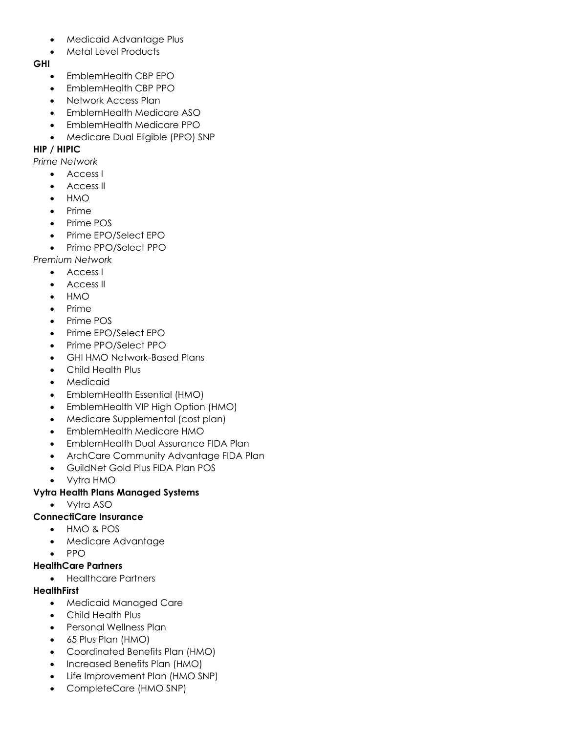- Medicaid Advantage Plus
- Metal Level Products

#### **GHI**

- EmblemHealth CBP EPO
- EmblemHealth CBP PPO
- Network Access Plan
- EmblemHealth Medicare ASO
- EmblemHealth Medicare PPO
- Medicare Dual Eligible (PPO) SNP

## **HIP / HIPIC**

*Prime Network*

- Access I
- Access II
- HMO
- Prime
- Prime POS
- Prime EPO/Select EPO
- Prime PPO/Select PPO

*Premium Network*

- Access I
- Access II
- HMO
- Prime
- Prime POS
- Prime EPO/Select EPO
- Prime PPO/Select PPO
- GHI HMO Network-Based Plans
- Child Health Plus
- **Medicaid**
- EmblemHealth Essential (HMO)
- EmblemHealth VIP High Option (HMO)
- Medicare Supplemental (cost plan)
- EmblemHealth Medicare HMO
- EmblemHealth Dual Assurance FIDA Plan
- ArchCare Community Advantage FIDA Plan
- GuildNet Gold Plus FIDA Plan POS
- Vytra HMO

## **Vytra Health Plans Managed Systems**

- Vytra ASO
- **ConnectiCare Insurance**
	- HMO & POS
	- Medicare Advantage
	- PPO

## **HealthCare Partners**

• Healthcare Partners

## **HealthFirst**

- Medicaid Managed Care
- Child Health Plus
- Personal Wellness Plan
- 65 Plus Plan (HMO)
- Coordinated Benefits Plan (HMO)
- Increased Benefits Plan (HMO)
- Life Improvement Plan (HMO SNP)
- CompleteCare (HMO SNP)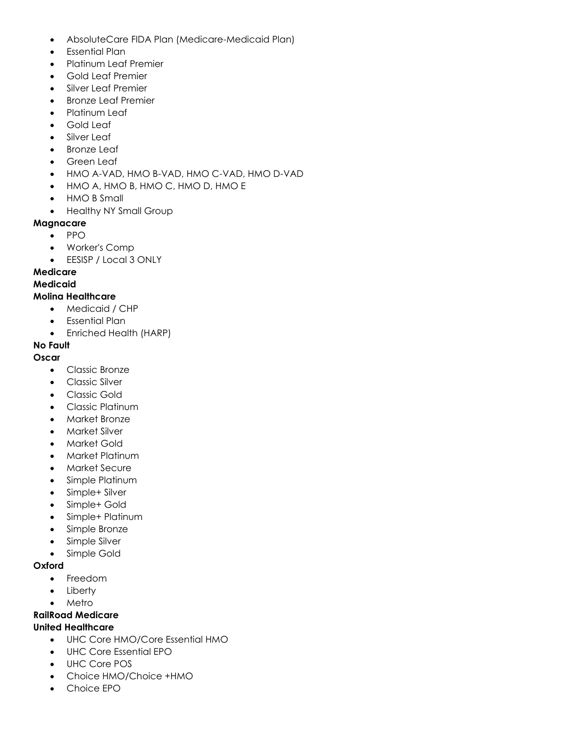- AbsoluteCare FIDA Plan (Medicare-Medicaid Plan)
- Essential Plan
- Platinum Leaf Premier
- Gold Leaf Premier
- Silver Leaf Premier
- Bronze Leaf Premier
- Platinum Leaf
- Gold Leaf
- Silver Leaf
- **Bronze Leaf**
- Green Leaf
- HMO A-VAD, HMO B-VAD, HMO C-VAD, HMO D-VAD
- HMO A, HMO B, HMO C, HMO D, HMO E
- HMO B Small
- Healthy NY Small Group

## **Magnacare**

- PPO
- Worker's Comp
- EESISP / Local 3 ONLY

## **Medicare**

#### **Medicaid**

## **Molina Healthcare**

- Medicaid / CHP
- Essential Plan
- Enriched Health (HARP)

#### **No Fault**

#### **Oscar**

- Classic Bronze
- Classic Silver
- Classic Gold
- Classic Platinum
- Market Bronze
- Market Silver
- Market Gold
- Market Platinum
- Market Secure
- Simple Platinum
- Simple+ Silver
- Simple+ Gold
- Simple+ Platinum
- Simple Bronze
- Simple Silver
- Simple Gold

#### **Oxford**

- Freedom
- Liberty
- **Metro**

## **RailRoad Medicare**

## **United Healthcare**

- UHC Core HMO/Core Essential HMO
- UHC Core Essential EPO
- UHC Core POS
- Choice HMO/Choice +HMO
- Choice EPO